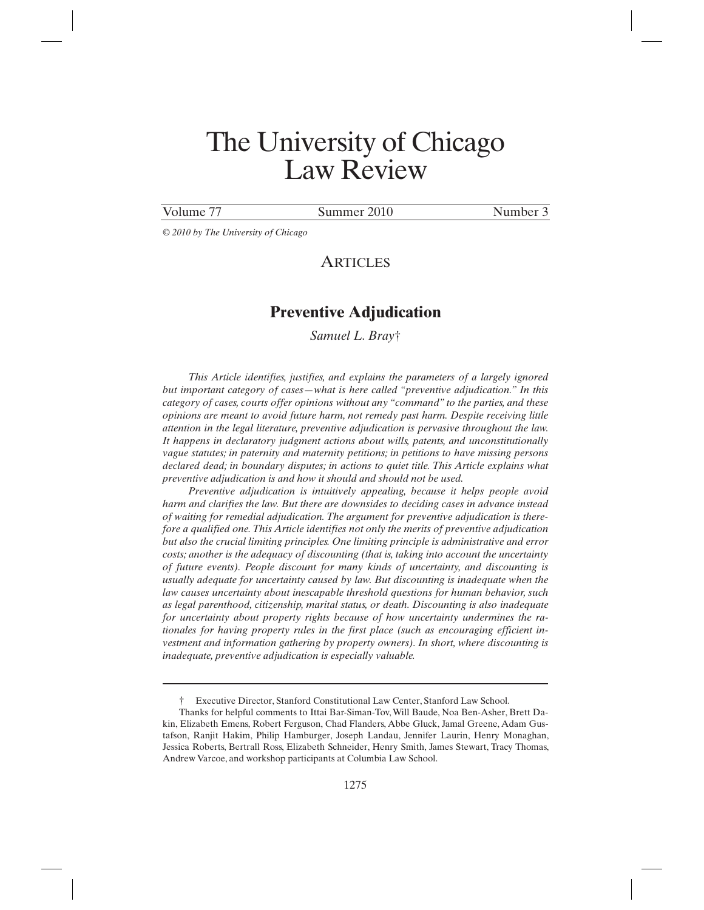# The University of Chicago Law Review

 $\overline{a}$ 

Volume 77 Summer 2010 Number 3

*© 2010 by The University of Chicago* 

# **ARTICLES**

# **Preventive Adjudication**

*Samuel L. Bray*†

*This Article identifies, justifies, and explains the parameters of a largely ignored but important category of cases—what is here called "preventive adjudication." In this category of cases, courts offer opinions without any "command" to the parties, and these opinions are meant to avoid future harm, not remedy past harm. Despite receiving little attention in the legal literature, preventive adjudication is pervasive throughout the law. It happens in declaratory judgment actions about wills, patents, and unconstitutionally vague statutes; in paternity and maternity petitions; in petitions to have missing persons*  declared dead; in boundary disputes; in actions to quiet title. This Article explains what *preventive adjudication is and how it should and should not be used.* 

*Preventive adjudication is intuitively appealing, because it helps people avoid harm and clarifies the law. But there are downsides to deciding cases in advance instead of waiting for remedial adjudication. The argument for preventive adjudication is therefore a qualified one. This Article identifies not only the merits of preventive adjudication but also the crucial limiting principles. One limiting principle is administrative and error costs; another is the adequacy of discounting (that is, taking into account the uncertainty of future events). People discount for many kinds of uncertainty, and discounting is usually adequate for uncertainty caused by law. But discounting is inadequate when the law causes uncertainty about inescapable threshold questions for human behavior, such as legal parenthood, citizenship, marital status, or death. Discounting is also inadequate for uncertainty about property rights because of how uncertainty undermines the rationales for having property rules in the first place (such as encouraging efficient investment and information gathering by property owners). In short, where discounting is inadequate, preventive adjudication is especially valuable.* 

<sup>†</sup> Executive Director, Stanford Constitutional Law Center, Stanford Law School.

Thanks for helpful comments to Ittai Bar-Siman-Tov, Will Baude, Noa Ben-Asher, Brett Dakin, Elizabeth Emens, Robert Ferguson, Chad Flanders, Abbe Gluck, Jamal Greene, Adam Gustafson, Ranjit Hakim, Philip Hamburger, Joseph Landau, Jennifer Laurin, Henry Monaghan, Jessica Roberts, Bertrall Ross, Elizabeth Schneider, Henry Smith, James Stewart, Tracy Thomas, Andrew Varcoe, and workshop participants at Columbia Law School.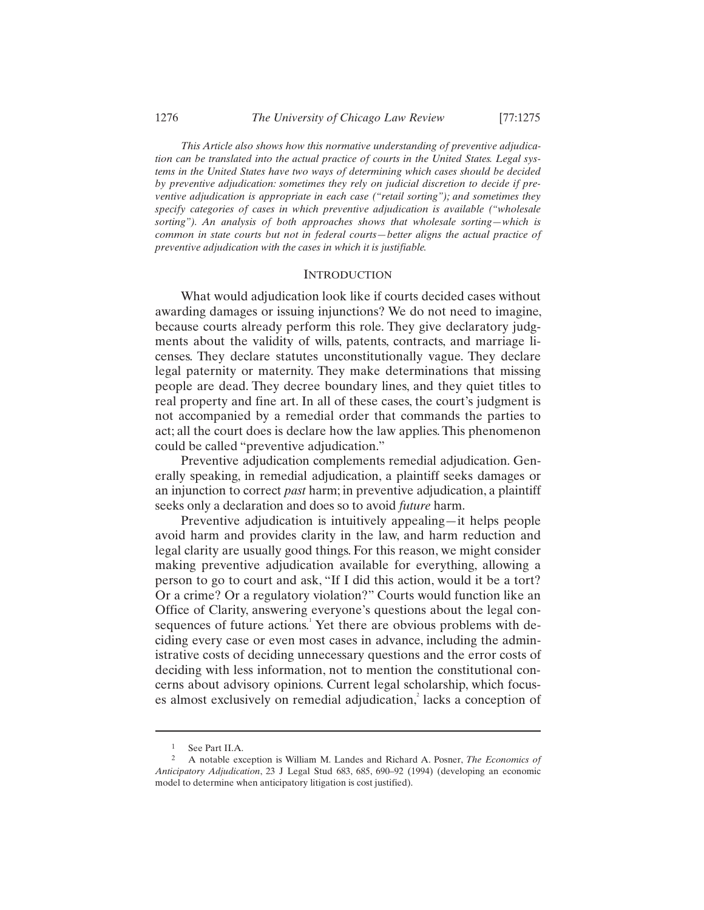*This Article also shows how this normative understanding of preventive adjudication can be translated into the actual practice of courts in the United States. Legal systems in the United States have two ways of determining which cases should be decided by preventive adjudication: sometimes they rely on judicial discretion to decide if preventive adjudication is appropriate in each case ("retail sorting"); and sometimes they specify categories of cases in which preventive adjudication is available ("wholesale sorting"). An analysis of both approaches shows that wholesale sorting—which is common in state courts but not in federal courts—better aligns the actual practice of preventive adjudication with the cases in which it is justifiable.* 

## **INTRODUCTION**

What would adjudication look like if courts decided cases without awarding damages or issuing injunctions? We do not need to imagine, because courts already perform this role. They give declaratory judgments about the validity of wills, patents, contracts, and marriage licenses. They declare statutes unconstitutionally vague. They declare legal paternity or maternity. They make determinations that missing people are dead. They decree boundary lines, and they quiet titles to real property and fine art. In all of these cases, the court's judgment is not accompanied by a remedial order that commands the parties to act; all the court does is declare how the law applies. This phenomenon could be called "preventive adjudication."

Preventive adjudication complements remedial adjudication. Generally speaking, in remedial adjudication, a plaintiff seeks damages or an injunction to correct *past* harm; in preventive adjudication, a plaintiff seeks only a declaration and does so to avoid *future* harm.

Preventive adjudication is intuitively appealing—it helps people avoid harm and provides clarity in the law, and harm reduction and legal clarity are usually good things. For this reason, we might consider making preventive adjudication available for everything, allowing a person to go to court and ask, "If I did this action, would it be a tort? Or a crime? Or a regulatory violation?" Courts would function like an Office of Clarity, answering everyone's questions about the legal consequences of future actions.<sup>1</sup> Yet there are obvious problems with deciding every case or even most cases in advance, including the administrative costs of deciding unnecessary questions and the error costs of deciding with less information, not to mention the constitutional concerns about advisory opinions. Current legal scholarship, which focuses almost exclusively on remedial adjudication,<sup>2</sup> lacks a conception of

 $\frac{1}{2}$  See Part II.A.

<sup>2</sup> A notable exception is William M. Landes and Richard A. Posner, *The Economics of Anticipatory Adjudication*, 23 J Legal Stud 683, 685, 690–92 (1994) (developing an economic model to determine when anticipatory litigation is cost justified).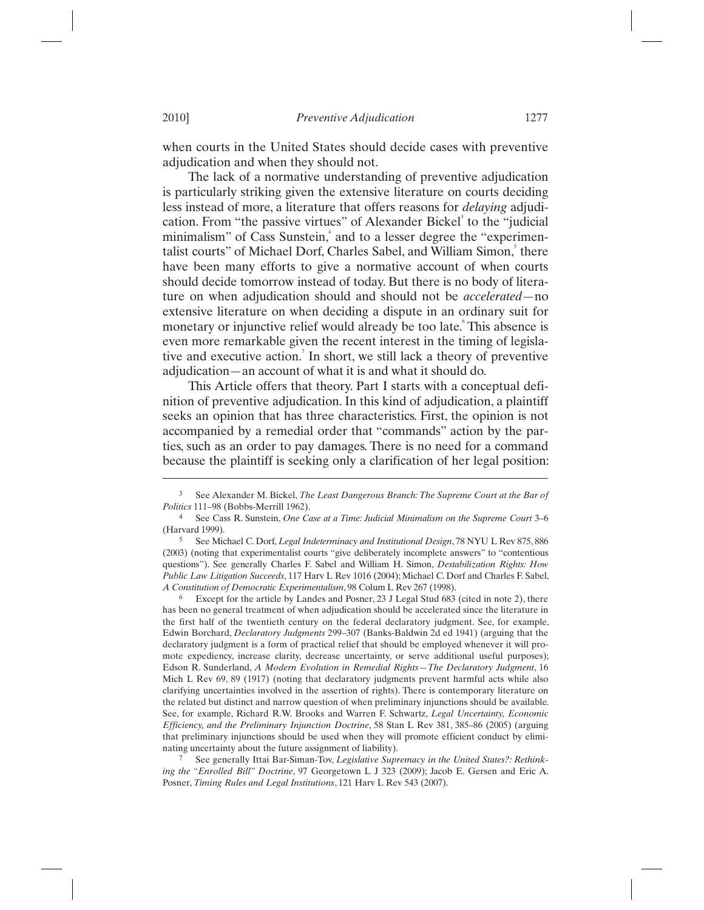when courts in the United States should decide cases with preventive adjudication and when they should not.

The lack of a normative understanding of preventive adjudication is particularly striking given the extensive literature on courts deciding less instead of more, a literature that offers reasons for *delaying* adjudication. From "the passive virtues" of Alexander Bickel<sup>3</sup> to the "judicial minimalism" of Cass Sunstein,<sup>4</sup> and to a lesser degree the "experimentalist courts" of Michael Dorf, Charles Sabel, and William Simon, there have been many efforts to give a normative account of when courts should decide tomorrow instead of today. But there is no body of literature on when adjudication should and should not be *accelerated*—no extensive literature on when deciding a dispute in an ordinary suit for monetary or injunctive relief would already be too late. This absence is even more remarkable given the recent interest in the timing of legislative and executive action.<sup>7</sup> In short, we still lack a theory of preventive adjudication—an account of what it is and what it should do.

This Article offers that theory. Part I starts with a conceptual definition of preventive adjudication. In this kind of adjudication, a plaintiff seeks an opinion that has three characteristics. First, the opinion is not accompanied by a remedial order that "commands" action by the parties, such as an order to pay damages. There is no need for a command because the plaintiff is seeking only a clarification of her legal position:

6 Except for the article by Landes and Posner, 23 J Legal Stud 683 (cited in note 2), there has been no general treatment of when adjudication should be accelerated since the literature in the first half of the twentieth century on the federal declaratory judgment. See, for example, Edwin Borchard, *Declaratory Judgments* 299–307 (Banks-Baldwin 2d ed 1941) (arguing that the declaratory judgment is a form of practical relief that should be employed whenever it will promote expediency, increase clarity, decrease uncertainty, or serve additional useful purposes); Edson R. Sunderland, *A Modern Evolution in Remedial Rights—The Declaratory Judgment*, 16 Mich L Rev 69, 89 (1917) (noting that declaratory judgments prevent harmful acts while also clarifying uncertainties involved in the assertion of rights). There is contemporary literature on the related but distinct and narrow question of when preliminary injunctions should be available. See, for example, Richard R.W. Brooks and Warren F. Schwartz, *Legal Uncertainty, Economic Efficiency, and the Preliminary Injunction Doctrine*, 58 Stan L Rev 381, 385–86 (2005) (arguing that preliminary injunctions should be used when they will promote efficient conduct by eliminating uncertainty about the future assignment of liability).

See generally Ittai Bar-Siman-Tov, *Legislative Supremacy in the United States?*: Rethink*ing the "Enrolled Bill" Doctrine*, 97 Georgetown L J 323 (2009); Jacob E. Gersen and Eric A. Posner, *Timing Rules and Legal Institutions*, 121 Harv L Rev 543 (2007).

<sup>3</sup> See Alexander M. Bickel, *The Least Dangerous Branch: The Supreme Court at the Bar of Politics* 111–98 (Bobbs-Merrill 1962).

<sup>4</sup> See Cass R. Sunstein, *One Case at a Time: Judicial Minimalism on the Supreme Court* 3–6 (Harvard 1999).

<sup>5</sup> See Michael C. Dorf, *Legal Indeterminacy and Institutional Design*, 78 NYU L Rev 875, 886 (2003) (noting that experimentalist courts "give deliberately incomplete answers" to "contentious questions"). See generally Charles F. Sabel and William H. Simon, *Destabilization Rights: How Public Law Litigation Succeeds*, 117 Harv L Rev 1016 (2004); Michael C. Dorf and Charles F. Sabel, *A Constitution of Democratic Experimentalism*, 98 Colum L Rev 267 (1998).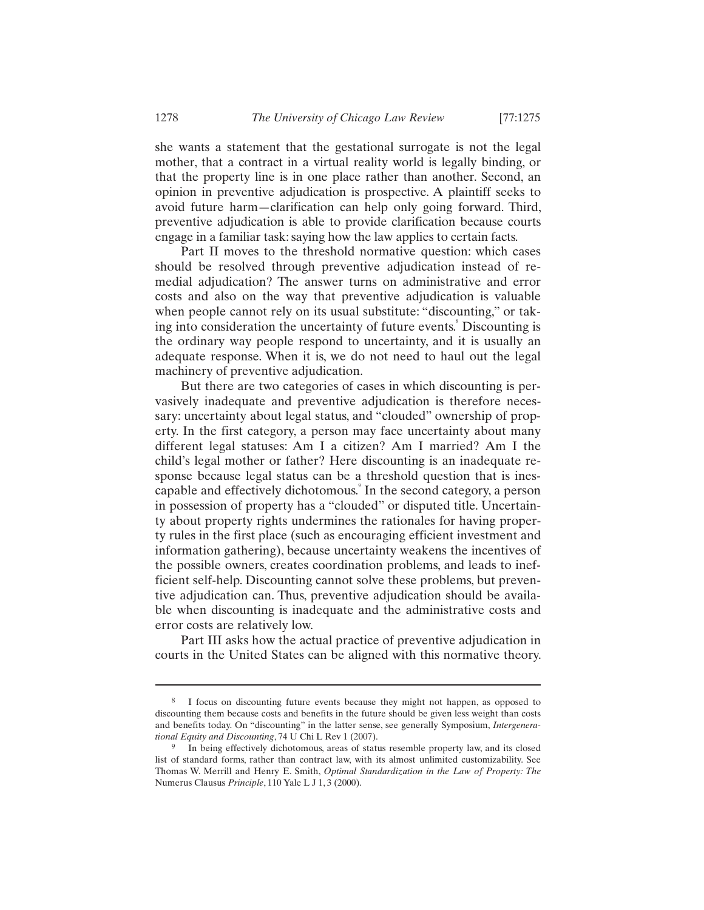she wants a statement that the gestational surrogate is not the legal mother, that a contract in a virtual reality world is legally binding, or that the property line is in one place rather than another. Second, an opinion in preventive adjudication is prospective. A plaintiff seeks to avoid future harm—clarification can help only going forward. Third, preventive adjudication is able to provide clarification because courts engage in a familiar task: saying how the law applies to certain facts.

Part II moves to the threshold normative question: which cases should be resolved through preventive adjudication instead of remedial adjudication? The answer turns on administrative and error costs and also on the way that preventive adjudication is valuable when people cannot rely on its usual substitute: "discounting," or taking into consideration the uncertainty of future events.<sup>8</sup> Discounting is the ordinary way people respond to uncertainty, and it is usually an adequate response. When it is, we do not need to haul out the legal machinery of preventive adjudication.

But there are two categories of cases in which discounting is pervasively inadequate and preventive adjudication is therefore necessary: uncertainty about legal status, and "clouded" ownership of property. In the first category, a person may face uncertainty about many different legal statuses: Am I a citizen? Am I married? Am I the child's legal mother or father? Here discounting is an inadequate response because legal status can be a threshold question that is inescapable and effectively dichotomous.<sup>9</sup> In the second category, a person in possession of property has a "clouded" or disputed title. Uncertainty about property rights undermines the rationales for having property rules in the first place (such as encouraging efficient investment and information gathering), because uncertainty weakens the incentives of the possible owners, creates coordination problems, and leads to inefficient self-help. Discounting cannot solve these problems, but preventive adjudication can. Thus, preventive adjudication should be available when discounting is inadequate and the administrative costs and error costs are relatively low.

Part III asks how the actual practice of preventive adjudication in courts in the United States can be aligned with this normative theory.

<sup>8</sup> I focus on discounting future events because they might not happen, as opposed to discounting them because costs and benefits in the future should be given less weight than costs and benefits today. On "discounting" in the latter sense, see generally Symposium, *Intergenera-*

*tional Equity and Discounting*, 74 U Chi L Rev 1 (2007).<br><sup>9</sup> In being effectively dichotomous, areas of status resemble property law, and its closed list of standard forms, rather than contract law, with its almost unlimited customizability. See Thomas W. Merrill and Henry E. Smith, *Optimal Standardization in the Law of Property: The*  Numerus Clausus *Principle*, 110 Yale L J 1, 3 (2000).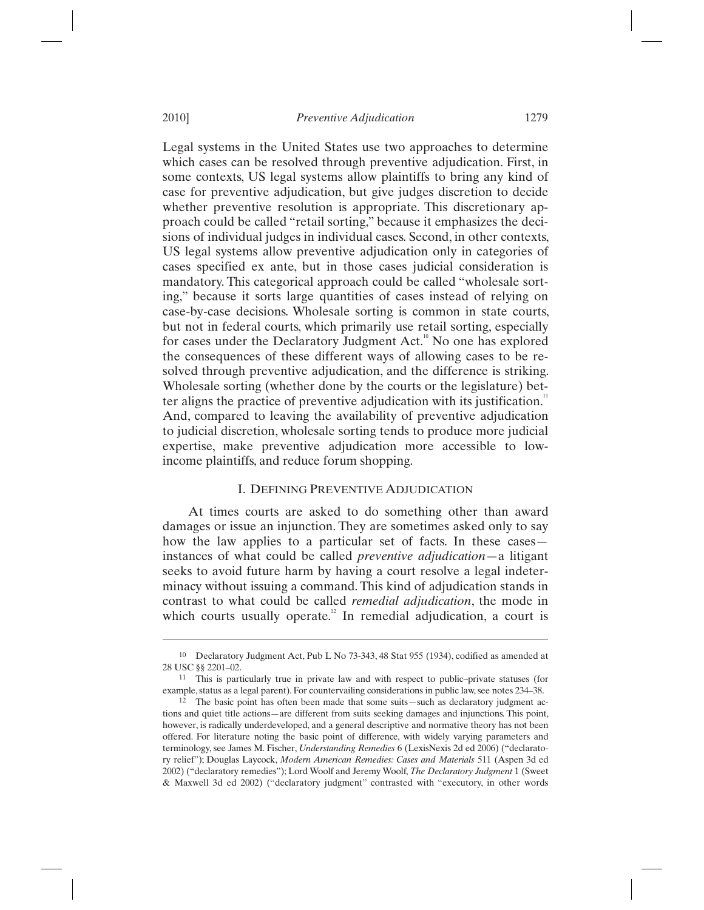Legal systems in the United States use two approaches to determine which cases can be resolved through preventive adjudication. First, in some contexts, US legal systems allow plaintiffs to bring any kind of case for preventive adjudication, but give judges discretion to decide whether preventive resolution is appropriate. This discretionary approach could be called "retail sorting," because it emphasizes the decisions of individual judges in individual cases. Second, in other contexts, US legal systems allow preventive adjudication only in categories of cases specified ex ante, but in those cases judicial consideration is mandatory. This categorical approach could be called "wholesale sorting," because it sorts large quantities of cases instead of relying on case-by-case decisions. Wholesale sorting is common in state courts, but not in federal courts, which primarily use retail sorting, especially for cases under the Declaratory Judgment Act.<sup>10</sup> No one has explored the consequences of these different ways of allowing cases to be resolved through preventive adjudication, and the difference is striking. Wholesale sorting (whether done by the courts or the legislature) better aligns the practice of preventive adjudication with its justification.<sup>11</sup> And, compared to leaving the availability of preventive adjudication to judicial discretion, wholesale sorting tends to produce more judicial expertise, make preventive adjudication more accessible to lowincome plaintiffs, and reduce forum shopping.

## I. DEFINING PREVENTIVE ADJUDICATION

At times courts are asked to do something other than award damages or issue an injunction. They are sometimes asked only to say how the law applies to a particular set of facts. In these cases instances of what could be called *preventive adjudication*—a litigant seeks to avoid future harm by having a court resolve a legal indeterminacy without issuing a command. This kind of adjudication stands in contrast to what could be called *remedial adjudication*, the mode in which courts usually operate.<sup>12</sup> In remedial adjudication, a court is

<sup>10</sup> Declaratory Judgment Act, Pub L No 73-343, 48 Stat 955 (1934), codified as amended at 28 USC §§ 2201–02.<br><sup>11</sup> This is particularly true in private law and with respect to public–private statuses (for

example, status as a legal parent). For countervailing considerations in public law, see notes 234–38.

<sup>12</sup> The basic point has often been made that some suits—such as declaratory judgment actions and quiet title actions—are different from suits seeking damages and injunctions. This point, however, is radically underdeveloped, and a general descriptive and normative theory has not been offered. For literature noting the basic point of difference, with widely varying parameters and terminology, see James M. Fischer, *Understanding Remedies* 6 (LexisNexis 2d ed 2006) ("declaratory relief"); Douglas Laycock, *Modern American Remedies: Cases and Materials* 511 (Aspen 3d ed 2002) ("declaratory remedies"); Lord Woolf and Jeremy Woolf, *The Declaratory Judgment* 1 (Sweet & Maxwell 3d ed 2002) ("declaratory judgment" contrasted with "executory, in other words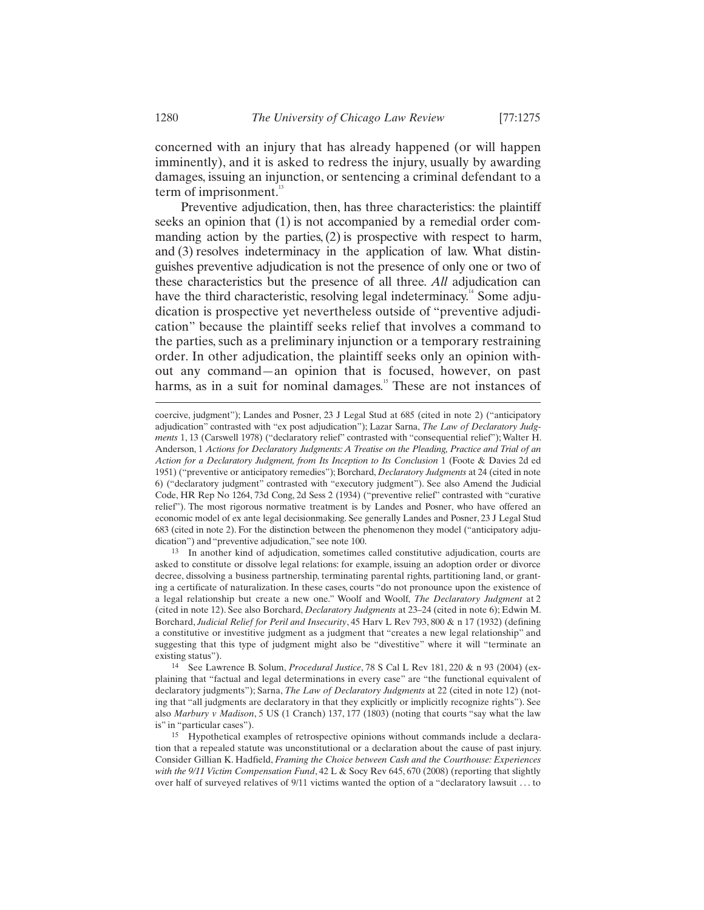concerned with an injury that has already happened (or will happen imminently), and it is asked to redress the injury, usually by awarding damages, issuing an injunction, or sentencing a criminal defendant to a term of imprisonment. $13$ 

Preventive adjudication, then, has three characteristics: the plaintiff seeks an opinion that (1) is not accompanied by a remedial order commanding action by the parties,  $(2)$  is prospective with respect to harm, and (3) resolves indeterminacy in the application of law. What distinguishes preventive adjudication is not the presence of only one or two of these characteristics but the presence of all three. *All* adjudication can have the third characteristic, resolving legal indeterminacy.<sup>14</sup> Some adjudication is prospective yet nevertheless outside of "preventive adjudication" because the plaintiff seeks relief that involves a command to the parties, such as a preliminary injunction or a temporary restraining order. In other adjudication, the plaintiff seeks only an opinion without any command—an opinion that is focused, however, on past harms, as in a suit for nominal damages.<sup>15</sup> These are not instances of

13 In another kind of adjudication, sometimes called constitutive adjudication, courts are asked to constitute or dissolve legal relations: for example, issuing an adoption order or divorce decree, dissolving a business partnership, terminating parental rights, partitioning land, or granting a certificate of naturalization. In these cases, courts "do not pronounce upon the existence of a legal relationship but create a new one." Woolf and Woolf, *The Declaratory Judgment* at 2 (cited in note 12). See also Borchard, *Declaratory Judgments* at 23–24 (cited in note 6); Edwin M. Borchard, *Judicial Relief for Peril and Insecurity*, 45 Harv L Rev 793, 800 & n 17 (1932) (defining a constitutive or investitive judgment as a judgment that "creates a new legal relationship" and suggesting that this type of judgment might also be "divestitive" where it will "terminate an existing status"). 14 See Lawrence B. Solum, *Procedural Justice*, 78 S Cal L Rev 181, 220 & n 93 (2004) (ex-

plaining that "factual and legal determinations in every case" are "the functional equivalent of declaratory judgments"); Sarna, *The Law of Declaratory Judgments* at 22 (cited in note 12) (noting that "all judgments are declaratory in that they explicitly or implicitly recognize rights"). See also *Marbury v Madison*, 5 US (1 Cranch) 137, 177 (1803) (noting that courts "say what the law is" in "particular cases"). 15 Hypothetical examples of retrospective opinions without commands include a declara-

tion that a repealed statute was unconstitutional or a declaration about the cause of past injury. Consider Gillian K. Hadfield, *Framing the Choice between Cash and the Courthouse: Experiences with the 9/11 Victim Compensation Fund*, 42 L & Socy Rev 645, 670 (2008) (reporting that slightly over half of surveyed relatives of 9/11 victims wanted the option of a "declaratory lawsuit . . . to

-

coercive, judgment"); Landes and Posner, 23 J Legal Stud at 685 (cited in note 2) ("anticipatory adjudication" contrasted with "ex post adjudication"); Lazar Sarna, *The Law of Declaratory Judgments* 1, 13 (Carswell 1978) ("declaratory relief" contrasted with "consequential relief"); Walter H. Anderson, 1 *Actions for Declaratory Judgments: A Treatise on the Pleading, Practice and Trial of an Action for a Declaratory Judgment, from Its Inception to Its Conclusion* 1 (Foote & Davies 2d ed 1951) ("preventive or anticipatory remedies"); Borchard, *Declaratory Judgments* at 24 (cited in note 6) ("declaratory judgment" contrasted with "executory judgment"). See also Amend the Judicial Code, HR Rep No 1264, 73d Cong, 2d Sess 2 (1934) ("preventive relief" contrasted with "curative relief"). The most rigorous normative treatment is by Landes and Posner, who have offered an economic model of ex ante legal decisionmaking. See generally Landes and Posner, 23 J Legal Stud 683 (cited in note 2). For the distinction between the phenomenon they model ("anticipatory adjudication") and "preventive adjudication," see note 100.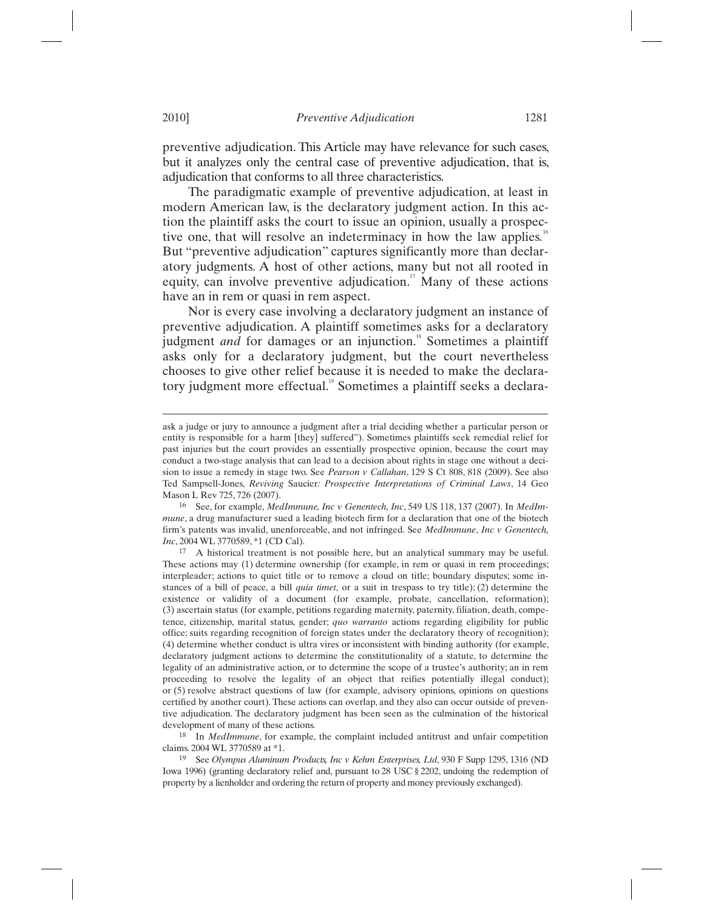preventive adjudication. This Article may have relevance for such cases, but it analyzes only the central case of preventive adjudication, that is, adjudication that conforms to all three characteristics.

The paradigmatic example of preventive adjudication, at least in modern American law, is the declaratory judgment action. In this action the plaintiff asks the court to issue an opinion, usually a prospective one, that will resolve an indeterminacy in how the law applies.<sup>16</sup> But "preventive adjudication" captures significantly more than declaratory judgments. A host of other actions, many but not all rooted in equity, can involve preventive adjudication.<sup> $n$ </sup> Many of these actions have an in rem or quasi in rem aspect.

Nor is every case involving a declaratory judgment an instance of preventive adjudication. A plaintiff sometimes asks for a declaratory judgment *and* for damages or an injunction.<sup>18</sup> Sometimes a plaintiff asks only for a declaratory judgment, but the court nevertheless chooses to give other relief because it is needed to make the declaratory judgment more effectual.<sup>19</sup> Sometimes a plaintiff seeks a declara-

ask a judge or jury to announce a judgment after a trial deciding whether a particular person or entity is responsible for a harm [they] suffered"). Sometimes plaintiffs seek remedial relief for past injuries but the court provides an essentially prospective opinion, because the court may conduct a two-stage analysis that can lead to a decision about rights in stage one without a decision to issue a remedy in stage two. See *Pearson v Callahan*, 129 S Ct 808, 818 (2009). See also Ted Sampsell-Jones, *Reviving* Saucier*: Prospective Interpretations of Criminal Laws*, 14 Geo Mason L Rev 725, 726 (2007). 16 See, for example, *MedImmune, Inc v Genentech, Inc*, 549 US 118, 137 (2007). In *MedIm-*

*mune*, a drug manufacturer sued a leading biotech firm for a declaration that one of the biotech firm's patents was invalid, unenforceable, and not infringed. See *MedImmune*, *Inc v Genentech, Inc*, 2004 WL 3770589, \*1 (CD Cal).

<sup>17</sup> A historical treatment is not possible here, but an analytical summary may be useful. These actions may (1) determine ownership (for example, in rem or quasi in rem proceedings; interpleader; actions to quiet title or to remove a cloud on title; boundary disputes; some instances of a bill of peace, a bill *quia timet*, or a suit in trespass to try title); (2) determine the existence or validity of a document (for example, probate, cancellation, reformation); (3) ascertain status (for example, petitions regarding maternity, paternity, filiation, death, competence, citizenship, marital status, gender; *quo warranto* actions regarding eligibility for public office; suits regarding recognition of foreign states under the declaratory theory of recognition); (4) determine whether conduct is ultra vires or inconsistent with binding authority (for example, declaratory judgment actions to determine the constitutionality of a statute, to determine the legality of an administrative action, or to determine the scope of a trustee's authority; an in rem proceeding to resolve the legality of an object that reifies potentially illegal conduct); or (5) resolve abstract questions of law (for example, advisory opinions, opinions on questions certified by another court). These actions can overlap, and they also can occur outside of preventive adjudication. The declaratory judgment has been seen as the culmination of the historical development of many of these actions.

<sup>18</sup> In *MedImmune*, for example, the complaint included antitrust and unfair competition claims. 2004 WL 3770589 at \*1.

<sup>19</sup> See *Olympus Aluminum Products, Inc v Kehm Enterprises, Ltd*, 930 F Supp 1295, 1316 (ND Iowa 1996) (granting declaratory relief and, pursuant to 28 USC § 2202, undoing the redemption of property by a lienholder and ordering the return of property and money previously exchanged).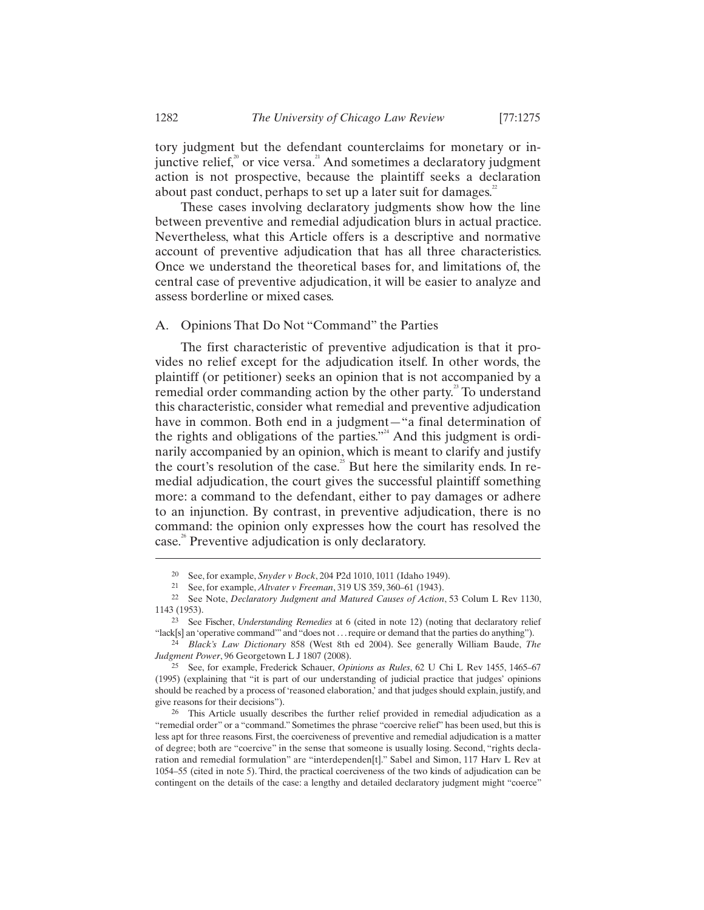junctive relief, $\alpha$ <sup>20</sup> or vice versa.<sup>21</sup> And sometimes a declaratory judgment action is not prospective, because the plaintiff seeks a declaration about past conduct, perhaps to set up a later suit for damages.<sup>22</sup>

These cases involving declaratory judgments show how the line between preventive and remedial adjudication blurs in actual practice. Nevertheless, what this Article offers is a descriptive and normative account of preventive adjudication that has all three characteristics. Once we understand the theoretical bases for, and limitations of, the central case of preventive adjudication, it will be easier to analyze and assess borderline or mixed cases.

## A. Opinions That Do Not "Command" the Parties

The first characteristic of preventive adjudication is that it provides no relief except for the adjudication itself. In other words, the plaintiff (or petitioner) seeks an opinion that is not accompanied by a remedial order commanding action by the other party.<sup>25</sup> To understand this characteristic, consider what remedial and preventive adjudication have in common. Both end in a judgment—"a final determination of the rights and obligations of the parties."<sup>24</sup> And this judgment is ordinarily accompanied by an opinion, which is meant to clarify and justify the court's resolution of the case.<sup>25</sup> But here the similarity ends. In remedial adjudication, the court gives the successful plaintiff something more: a command to the defendant, either to pay damages or adhere to an injunction. By contrast, in preventive adjudication, there is no command: the opinion only expresses how the court has resolved the case.<sup>26</sup> Preventive adjudication is only declaratory.

<sup>20</sup> See, for example, *Snyder v Bock*, 204 P2d 1010, 1011 (Idaho 1949).

<sup>&</sup>lt;sup>22</sup> See Note, *Declaratory Judgment and Matured Causes of Action*, 53 Colum L Rev 1130, 1143 (1953).

<sup>23</sup> See Fischer, *Understanding Remedies* at 6 (cited in note 12) (noting that declaratory relief

<sup>&</sup>quot;lack[s] an 'operative command'" and "does not . . . require or demand that the parties do anything"). 24 *Black's Law Dictionary* 858 (West 8th ed 2004). See generally William Baude, *The* 

<sup>&</sup>lt;sup>25</sup> See, for example, Frederick Schauer, *Opinions as Rules*, 62 U Chi L Rev 1455, 1465–67 (1995) (explaining that "it is part of our understanding of judicial practice that judges' opinions should be reached by a process of 'reasoned elaboration,' and that judges should explain, justify, and give reasons for their decisions").

<sup>26</sup> This Article usually describes the further relief provided in remedial adjudication as a "remedial order" or a "command." Sometimes the phrase "coercive relief" has been used, but this is less apt for three reasons. First, the coerciveness of preventive and remedial adjudication is a matter of degree; both are "coercive" in the sense that someone is usually losing. Second, "rights declaration and remedial formulation" are "interdependen[t]." Sabel and Simon, 117 Harv L Rev at 1054–55 (cited in note 5). Third, the practical coerciveness of the two kinds of adjudication can be contingent on the details of the case: a lengthy and detailed declaratory judgment might "coerce"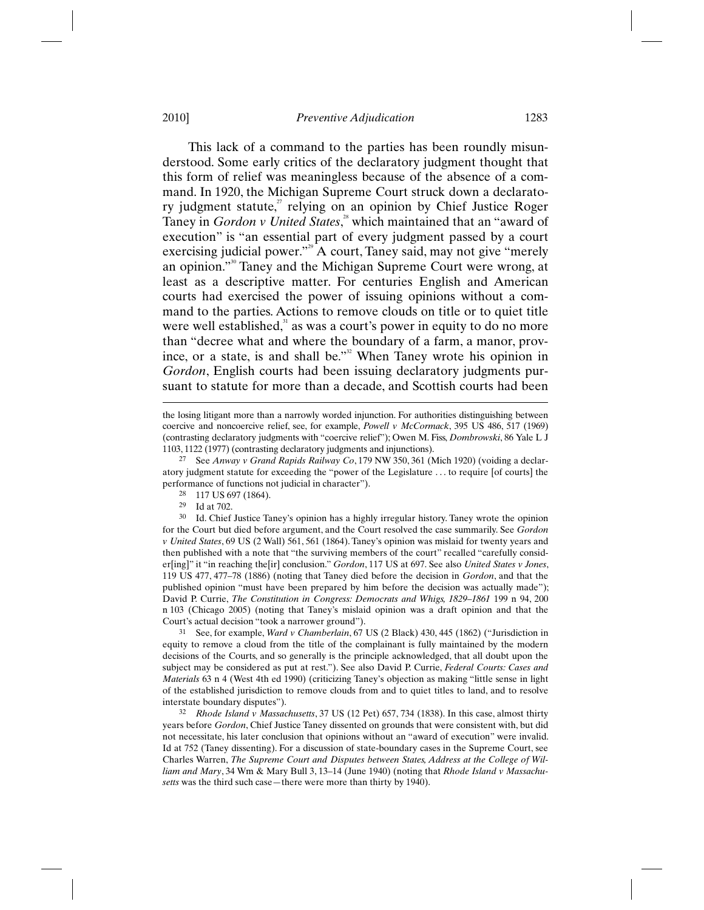This lack of a command to the parties has been roundly misunderstood. Some early critics of the declaratory judgment thought that this form of relief was meaningless because of the absence of a command. In 1920, the Michigan Supreme Court struck down a declaratory judgment statute, $\alpha$ <sup>7</sup> relying on an opinion by Chief Justice Roger Taney in *Gordon v United States*,<sup>28</sup> which maintained that an "award of execution" is "an essential part of every judgment passed by a court exercising judicial power."<sup>29</sup> A court, Taney said, may not give "merely an opinion."<sup>30</sup> Taney and the Michigan Supreme Court were wrong, at least as a descriptive matter. For centuries English and American courts had exercised the power of issuing opinions without a command to the parties. Actions to remove clouds on title or to quiet title were well established, $3<sup>1</sup>$  as was a court's power in equity to do no more than "decree what and where the boundary of a farm, a manor, province, or a state, is and shall be."<sup>32</sup> When Taney wrote his opinion in *Gordon*, English courts had been issuing declaratory judgments pursuant to statute for more than a decade, and Scottish courts had been

 $\overline{a}$ 

30 Id. Chief Justice Taney's opinion has a highly irregular history. Taney wrote the opinion for the Court but died before argument, and the Court resolved the case summarily. See *Gordon v United States*, 69 US (2 Wall) 561, 561 (1864). Taney's opinion was mislaid for twenty years and then published with a note that "the surviving members of the court" recalled "carefully consider[ing]" it "in reaching the[ir] conclusion." *Gordon*, 117 US at 697. See also *United States v Jones*, 119 US 477, 477–78 (1886) (noting that Taney died before the decision in *Gordon*, and that the published opinion "must have been prepared by him before the decision was actually made"); David P. Currie, *The Constitution in Congress: Democrats and Whigs, 1829–1861* 199 n 94, 200 n 103 (Chicago 2005) (noting that Taney's mislaid opinion was a draft opinion and that the Court's actual decision "took a narrower ground").

31 See, for example, *Ward v Chamberlain*, 67 US (2 Black) 430, 445 (1862) ("Jurisdiction in equity to remove a cloud from the title of the complainant is fully maintained by the modern decisions of the Courts, and so generally is the principle acknowledged, that all doubt upon the subject may be considered as put at rest."). See also David P. Currie, *Federal Courts: Cases and Materials* 63 n 4 (West 4th ed 1990) (criticizing Taney's objection as making "little sense in light of the established jurisdiction to remove clouds from and to quiet titles to land, and to resolve

interstate boundary disputes"). 32 *Rhode Island v Massachusetts*, 37 US (12 Pet) 657, 734 (1838). In this case, almost thirty years before *Gordon*, Chief Justice Taney dissented on grounds that were consistent with, but did not necessitate, his later conclusion that opinions without an "award of execution" were invalid. Id at 752 (Taney dissenting). For a discussion of state-boundary cases in the Supreme Court, see Charles Warren, *The Supreme Court and Disputes between States, Address at the College of William and Mary*, 34 Wm & Mary Bull 3, 13–14 (June 1940) (noting that *Rhode Island v Massachusetts* was the third such case—there were more than thirty by 1940).

the losing litigant more than a narrowly worded injunction. For authorities distinguishing between coercive and noncoercive relief, see, for example, *Powell v McCormack*, 395 US 486, 517 (1969) (contrasting declaratory judgments with "coercive relief"); Owen M. Fiss, *Dombrowski*, 86 Yale L J 1103, 1122 (1977) (contrasting declaratory judgments and injunctions).

<sup>27</sup> See *Anway v Grand Rapids Railway Co*, 179 NW 350, 361 (Mich 1920) (voiding a declaratory judgment statute for exceeding the "power of the Legislature . . . to require [of courts] the performance of functions not judicial in character").<br>
<sup>28</sup> 117 US 697 (1864).<br>
<sup>29</sup> Id at 702

 $^{29}$  Id at 702.<br> $^{30}$  Id Chief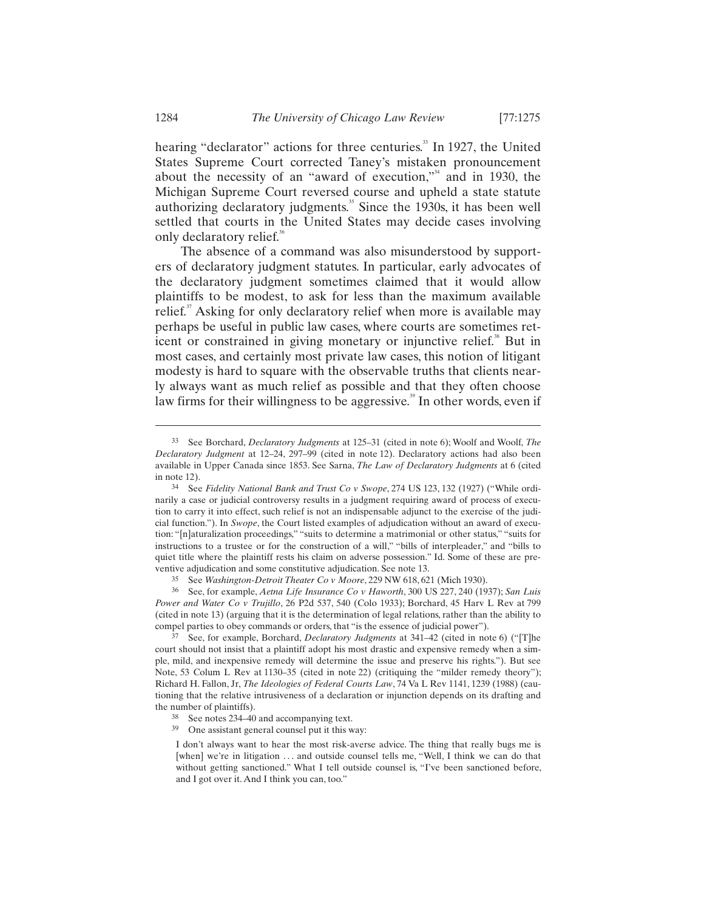hearing "declarator" actions for three centuries.<sup>33</sup> In 1927, the United States Supreme Court corrected Taney's mistaken pronouncement about the necessity of an "award of execution," and in 1930, the Michigan Supreme Court reversed course and upheld a state statute authorizing declaratory judgments.<sup>35</sup> Since the 1930s, it has been well settled that courts in the United States may decide cases involving only declaratory relief.<sup>36</sup>

The absence of a command was also misunderstood by supporters of declaratory judgment statutes. In particular, early advocates of the declaratory judgment sometimes claimed that it would allow plaintiffs to be modest, to ask for less than the maximum available relief. $37$  Asking for only declaratory relief when more is available may perhaps be useful in public law cases, where courts are sometimes reticent or constrained in giving monetary or injunctive relief.<sup>38</sup> But in most cases, and certainly most private law cases, this notion of litigant modesty is hard to square with the observable truths that clients nearly always want as much relief as possible and that they often choose law firms for their willingness to be aggressive.<sup>39</sup> In other words, even if

35 See *Washington-Detroit Theater Co v Moore*, 229 NW 618, 621 (Mich 1930).

36 See, for example, *Aetna Life Insurance Co v Haworth*, 300 US 227, 240 (1937); *San Luis Power and Water Co v Trujillo*, 26 P2d 537, 540 (Colo 1933); Borchard, 45 Harv L Rev at 799 (cited in note 13) (arguing that it is the determination of legal relations, rather than the ability to compel parties to obey commands or orders, that "is the essence of judicial power").

37 See, for example, Borchard, *Declaratory Judgments* at 341–42 (cited in note 6) ("[T]he court should not insist that a plaintiff adopt his most drastic and expensive remedy when a simple, mild, and inexpensive remedy will determine the issue and preserve his rights."). But see Note, 53 Colum L Rev at 1130–35 (cited in note 22) (critiquing the "milder remedy theory"); Richard H. Fallon, Jr, *The Ideologies of Federal Courts Law*, 74 Va L Rev 1141, 1239 (1988) (cautioning that the relative intrusiveness of a declaration or injunction depends on its drafting and the number of plaintiffs).

- 
- <sup>38</sup> See notes 234–40 and accompanying text.<br><sup>39</sup> One assistant general counsel put it this way:

I don't always want to hear the most risk-averse advice. The thing that really bugs me is [when] we're in litigation ... and outside counsel tells me, "Well, I think we can do that without getting sanctioned." What I tell outside counsel is, "I've been sanctioned before, and I got over it. And I think you can, too."

<sup>33</sup> See Borchard, *Declaratory Judgments* at 125–31 (cited in note 6); Woolf and Woolf, *The Declaratory Judgment* at 12–24, 297–99 (cited in note 12). Declaratory actions had also been available in Upper Canada since 1853. See Sarna, *The Law of Declaratory Judgments* at 6 (cited in note 12). 34 See *Fidelity National Bank and Trust Co v Swope*, 274 US 123, 132 (1927) ("While ordi-

narily a case or judicial controversy results in a judgment requiring award of process of execution to carry it into effect, such relief is not an indispensable adjunct to the exercise of the judicial function."). In *Swope*, the Court listed examples of adjudication without an award of execution: "[n]aturalization proceedings," "suits to determine a matrimonial or other status," "suits for instructions to a trustee or for the construction of a will," "bills of interpleader," and "bills to quiet title where the plaintiff rests his claim on adverse possession." Id. Some of these are preventive adjudication and some constitutive adjudication. See note 13.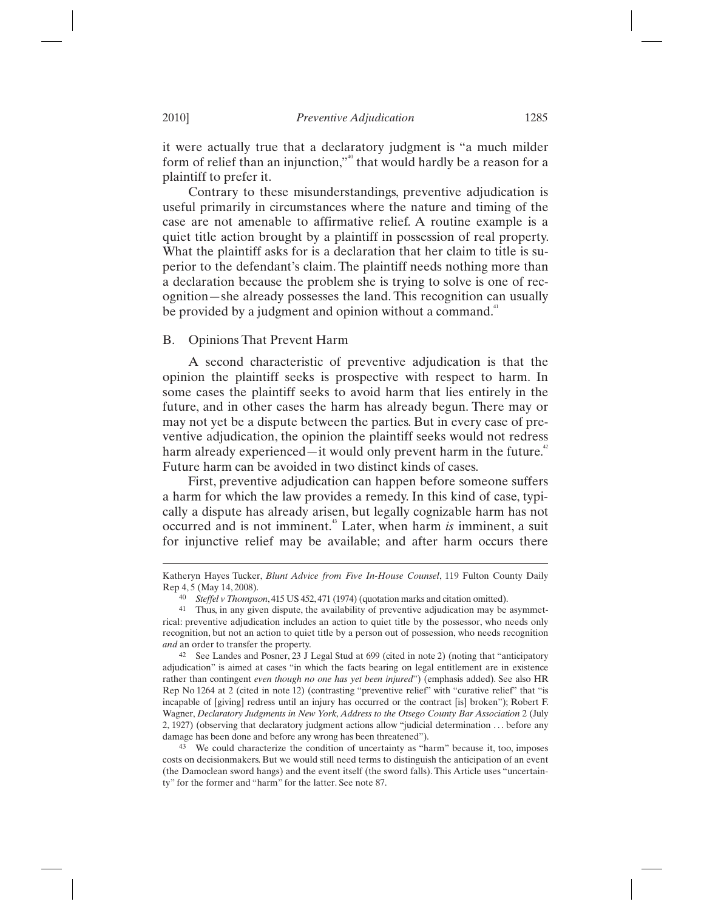it were actually true that a declaratory judgment is "a much milder form of relief than an injunction,"<sup>60</sup> that would hardly be a reason for a plaintiff to prefer it.

Contrary to these misunderstandings, preventive adjudication is useful primarily in circumstances where the nature and timing of the case are not amenable to affirmative relief. A routine example is a quiet title action brought by a plaintiff in possession of real property. What the plaintiff asks for is a declaration that her claim to title is superior to the defendant's claim. The plaintiff needs nothing more than a declaration because the problem she is trying to solve is one of recognition—she already possesses the land. This recognition can usually be provided by a judgment and opinion without a command.<sup>41</sup>

## B. Opinions That Prevent Harm

A second characteristic of preventive adjudication is that the opinion the plaintiff seeks is prospective with respect to harm. In some cases the plaintiff seeks to avoid harm that lies entirely in the future, and in other cases the harm has already begun. There may or may not yet be a dispute between the parties. But in every case of preventive adjudication, the opinion the plaintiff seeks would not redress harm already experienced—it would only prevent harm in the future. $\ddot{\,}$ Future harm can be avoided in two distinct kinds of cases.

First, preventive adjudication can happen before someone suffers a harm for which the law provides a remedy. In this kind of case, typically a dispute has already arisen, but legally cognizable harm has not occurred and is not imminent.43 Later, when harm *is* imminent, a suit for injunctive relief may be available; and after harm occurs there

Katheryn Hayes Tucker, *Blunt Advice from Five In-House Counsel*, 119 Fulton County Daily Rep 4, 5 (May 14, 2008).<br><sup>40</sup> Steffel v Thompson, 415 US 452, 471 (1974) (quotation marks and citation omitted).

<sup>&</sup>lt;sup>41</sup> Thus, in any given dispute, the availability of preventive adjudication may be asymmetrical: preventive adjudication includes an action to quiet title by the possessor, who needs only recognition, but not an action to quiet title by a person out of possession, who needs recognition *and* an order to transfer the property.

<sup>42</sup> See Landes and Posner, 23 J Legal Stud at 699 (cited in note 2) (noting that "anticipatory adjudication" is aimed at cases "in which the facts bearing on legal entitlement are in existence rather than contingent *even though no one has yet been injured*") (emphasis added). See also HR Rep No 1264 at 2 (cited in note 12) (contrasting "preventive relief" with "curative relief" that "is incapable of [giving] redress until an injury has occurred or the contract [is] broken"); Robert F. Wagner, *Declaratory Judgments in New York, Address to the Otsego County Bar Association* 2 (July 2, 1927) (observing that declaratory judgment actions allow "judicial determination . . . before any damage has been done and before any wrong has been threatened").<br><sup>43</sup> We could characterize the condition of uncertainty as "harm" because it, too, imposes

costs on decisionmakers. But we would still need terms to distinguish the anticipation of an event (the Damoclean sword hangs) and the event itself (the sword falls). This Article uses "uncertainty" for the former and "harm" for the latter. See note 87.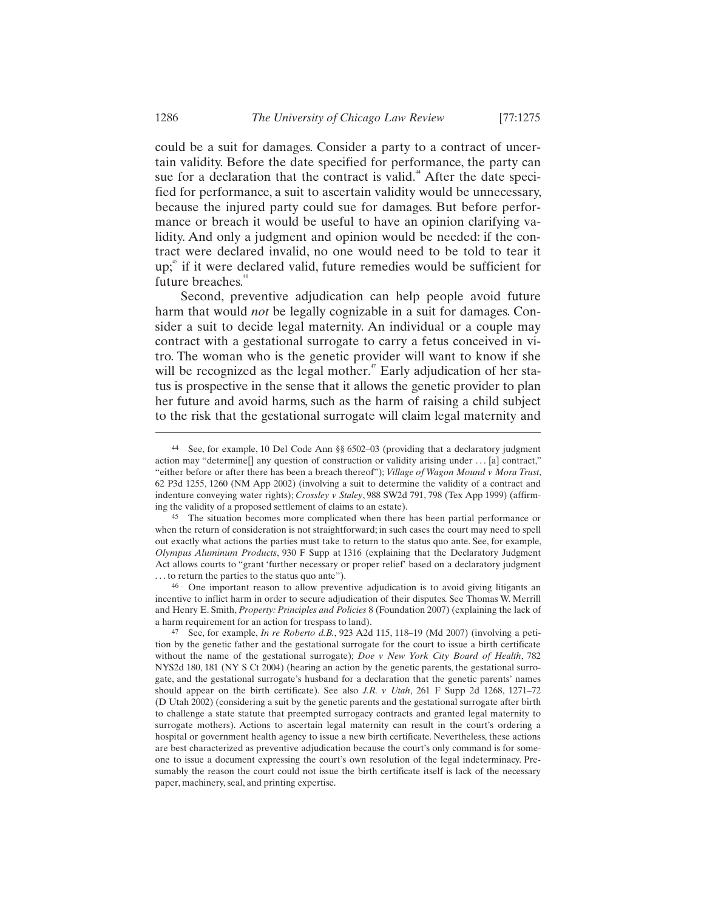could be a suit for damages. Consider a party to a contract of uncertain validity. Before the date specified for performance, the party can sue for a declaration that the contract is valid.<sup>44</sup> After the date specified for performance, a suit to ascertain validity would be unnecessary, because the injured party could sue for damages. But before performance or breach it would be useful to have an opinion clarifying validity. And only a judgment and opinion would be needed: if the contract were declared invalid, no one would need to be told to tear it  $up<sub>i</sub><sup>45</sup>$  if it were declared valid, future remedies would be sufficient for future breaches.<sup>46</sup>

Second, preventive adjudication can help people avoid future harm that would *not* be legally cognizable in a suit for damages. Consider a suit to decide legal maternity. An individual or a couple may contract with a gestational surrogate to carry a fetus conceived in vitro. The woman who is the genetic provider will want to know if she will be recognized as the legal mother. $47$  Early adjudication of her status is prospective in the sense that it allows the genetic provider to plan her future and avoid harms, such as the harm of raising a child subject to the risk that the gestational surrogate will claim legal maternity and

46 One important reason to allow preventive adjudication is to avoid giving litigants an incentive to inflict harm in order to secure adjudication of their disputes. See Thomas W. Merrill and Henry E. Smith, *Property: Principles and Policies* 8 (Foundation 2007) (explaining the lack of a harm requirement for an action for trespass to land).

<sup>44</sup> See, for example, 10 Del Code Ann §§ 6502–03 (providing that a declaratory judgment action may "determine[] any question of construction or validity arising under . . . [a] contract," "either before or after there has been a breach thereof"); *Village of Wagon Mound v Mora Trust*, 62 P3d 1255, 1260 (NM App 2002) (involving a suit to determine the validity of a contract and indenture conveying water rights); *Crossley v Staley*, 988 SW2d 791, 798 (Tex App 1999) (affirming the validity of a proposed settlement of claims to an estate).

<sup>45</sup> The situation becomes more complicated when there has been partial performance or when the return of consideration is not straightforward; in such cases the court may need to spell out exactly what actions the parties must take to return to the status quo ante. See, for example, *Olympus Aluminum Products*, 930 F Supp at 1316 (explaining that the Declaratory Judgment Act allows courts to "grant 'further necessary or proper relief' based on a declaratory judgment . . . to return the parties to the status quo ante").

<sup>47</sup> See, for example, *In re Roberto d.B.*, 923 A2d 115, 118–19 (Md 2007) (involving a petition by the genetic father and the gestational surrogate for the court to issue a birth certificate without the name of the gestational surrogate); *Doe v New York City Board of Health*, 782 NYS2d 180, 181 (NY S Ct 2004) (hearing an action by the genetic parents, the gestational surrogate, and the gestational surrogate's husband for a declaration that the genetic parents' names should appear on the birth certificate). See also *J.R. v Utah*, 261 F Supp 2d 1268, 1271–72 (D Utah 2002) (considering a suit by the genetic parents and the gestational surrogate after birth to challenge a state statute that preempted surrogacy contracts and granted legal maternity to surrogate mothers). Actions to ascertain legal maternity can result in the court's ordering a hospital or government health agency to issue a new birth certificate. Nevertheless, these actions are best characterized as preventive adjudication because the court's only command is for someone to issue a document expressing the court's own resolution of the legal indeterminacy. Presumably the reason the court could not issue the birth certificate itself is lack of the necessary paper, machinery, seal, and printing expertise.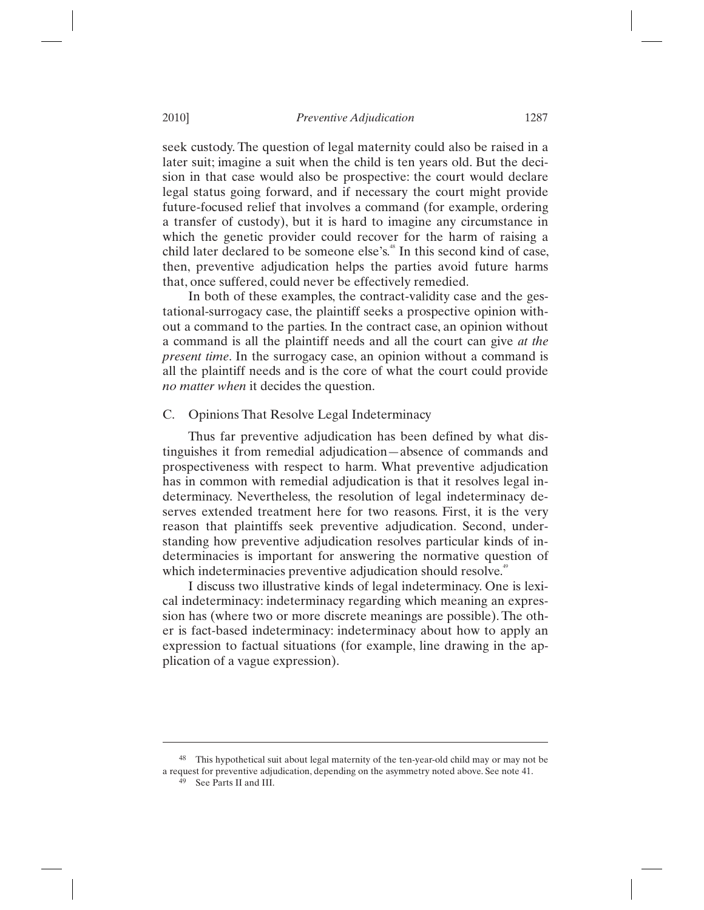seek custody. The question of legal maternity could also be raised in a later suit; imagine a suit when the child is ten years old. But the decision in that case would also be prospective: the court would declare legal status going forward, and if necessary the court might provide future-focused relief that involves a command (for example, ordering a transfer of custody), but it is hard to imagine any circumstance in which the genetic provider could recover for the harm of raising a child later declared to be someone else's.<sup>48</sup> In this second kind of case, then, preventive adjudication helps the parties avoid future harms that, once suffered, could never be effectively remedied.

In both of these examples, the contract-validity case and the gestational-surrogacy case, the plaintiff seeks a prospective opinion without a command to the parties. In the contract case, an opinion without a command is all the plaintiff needs and all the court can give *at the present time*. In the surrogacy case, an opinion without a command is all the plaintiff needs and is the core of what the court could provide *no matter when* it decides the question.

## C. Opinions That Resolve Legal Indeterminacy

Thus far preventive adjudication has been defined by what distinguishes it from remedial adjudication—absence of commands and prospectiveness with respect to harm. What preventive adjudication has in common with remedial adjudication is that it resolves legal indeterminacy. Nevertheless, the resolution of legal indeterminacy deserves extended treatment here for two reasons. First, it is the very reason that plaintiffs seek preventive adjudication. Second, understanding how preventive adjudication resolves particular kinds of indeterminacies is important for answering the normative question of which indeterminacies preventive adjudication should resolve.<sup>49</sup>

I discuss two illustrative kinds of legal indeterminacy. One is lexical indeterminacy: indeterminacy regarding which meaning an expression has (where two or more discrete meanings are possible). The other is fact-based indeterminacy: indeterminacy about how to apply an expression to factual situations (for example, line drawing in the application of a vague expression).

48 This hypothetical suit about legal maternity of the ten-year-old child may or may not be a request for preventive adjudication, depending on the asymmetry noted above. See note 41. 49 See Parts II and III.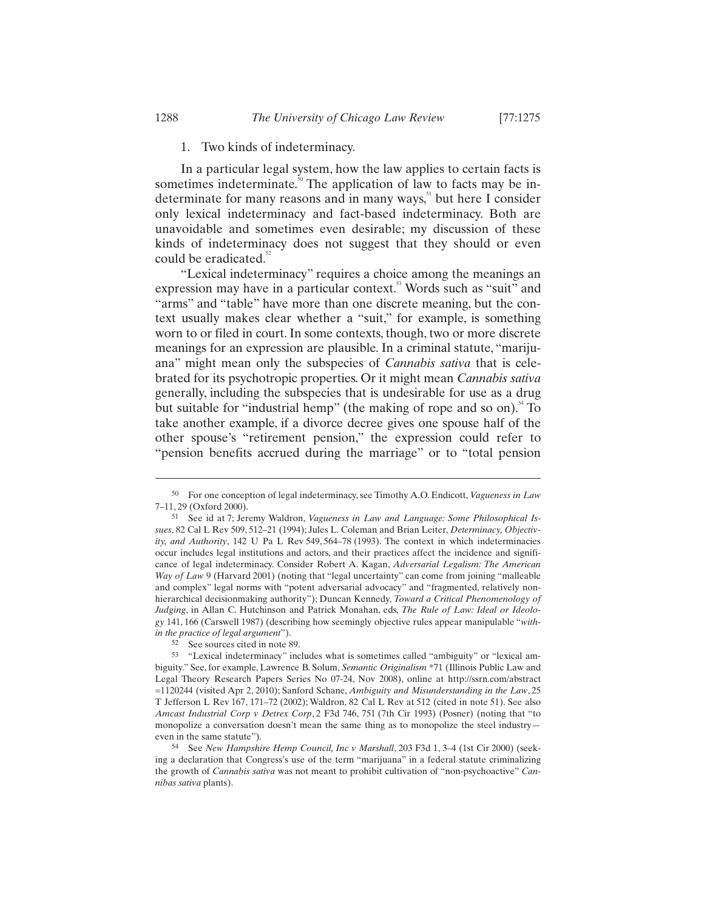# 1. Two kinds of indeterminacy.

In a particular legal system, how the law applies to certain facts is sometimes indeterminate.<sup>50</sup> The application of law to facts may be indeterminate for many reasons and in many ways, $5$  but here I consider only lexical indeterminacy and fact-based indeterminacy. Both are unavoidable and sometimes even desirable; my discussion of these kinds of indeterminacy does not suggest that they should or even could be eradicated.<sup>52</sup>

"Lexical indeterminacy" requires a choice among the meanings an expression may have in a particular context.<sup>53</sup> Words such as "suit" and "arms" and "table" have more than one discrete meaning, but the context usually makes clear whether a "suit," for example, is something worn to or filed in court. In some contexts, though, two or more discrete meanings for an expression are plausible. In a criminal statute, "marijuana" might mean only the subspecies of *Cannabis sativa* that is celebrated for its psychotropic properties. Or it might mean *Cannabis sativa* generally, including the subspecies that is undesirable for use as a drug but suitable for "industrial hemp" (the making of rope and so on).<sup>54</sup> To take another example, if a divorce decree gives one spouse half of the other spouse's "retirement pension," the expression could refer to "pension benefits accrued during the marriage" or to "total pension

-

<sup>50</sup> For one conception of legal indeterminacy, see Timothy A.O. Endicott, *Vagueness in Law* 7–11, 29 (Oxford 2000).

<sup>51</sup> See id at 7; Jeremy Waldron, *Vagueness in Law and Language: Some Philosophical Issues*, 82 Cal L Rev 509, 512–21 (1994); Jules L. Coleman and Brian Leiter, *Determinacy, Objectivity, and Authority*, 142 U Pa L Rev 549, 564–78 (1993). The context in which indeterminacies occur includes legal institutions and actors, and their practices affect the incidence and significance of legal indeterminacy. Consider Robert A. Kagan, *Adversarial Legalism: The American Way of Law* 9 (Harvard 2001) (noting that "legal uncertainty" can come from joining "malleable and complex" legal norms with "potent adversarial advocacy" and "fragmented, relatively nonhierarchical decisionmaking authority"); Duncan Kennedy, *Toward a Critical Phenomenology of Judging*, in Allan C. Hutchinson and Patrick Monahan, eds, *The Rule of Law: Ideal or Ideology* 141, 166 (Carswell 1987) (describing how seemingly objective rules appear manipulable "*within the practice of legal argument*"). 52 See sources cited in note 89.

<sup>53 &</sup>quot;Lexical indeterminacy" includes what is sometimes called "ambiguity" or "lexical ambiguity." See, for example, Lawrence B. Solum, *Semantic Originalism* \*71 (Illinois Public Law and Legal Theory Research Papers Series No 07-24, Nov 2008), online at http://ssrn.com/abstract =1120244 (visited Apr 2, 2010); Sanford Schane, *Ambiguity and Misunderstanding in the Law*, 25 T Jefferson L Rev 167, 171–72 (2002); Waldron, 82 Cal L Rev at 512 (cited in note 51). See also *Amcast Industrial Corp v Detrex Corp*, 2 F3d 746, 751 (7th Cir 1993) (Posner) (noting that "to monopolize a conversation doesn't mean the same thing as to monopolize the steel industry even in the same statute"). 54 See *New Hampshire Hemp Council, Inc v Marshall*, 203 F3d 1, 3–4 (1st Cir 2000) (seek-

ing a declaration that Congress's use of the term "marijuana" in a federal statute criminalizing the growth of *Cannabis sativa* was not meant to prohibit cultivation of "non-psychoactive" *Cannibas sativa* plants).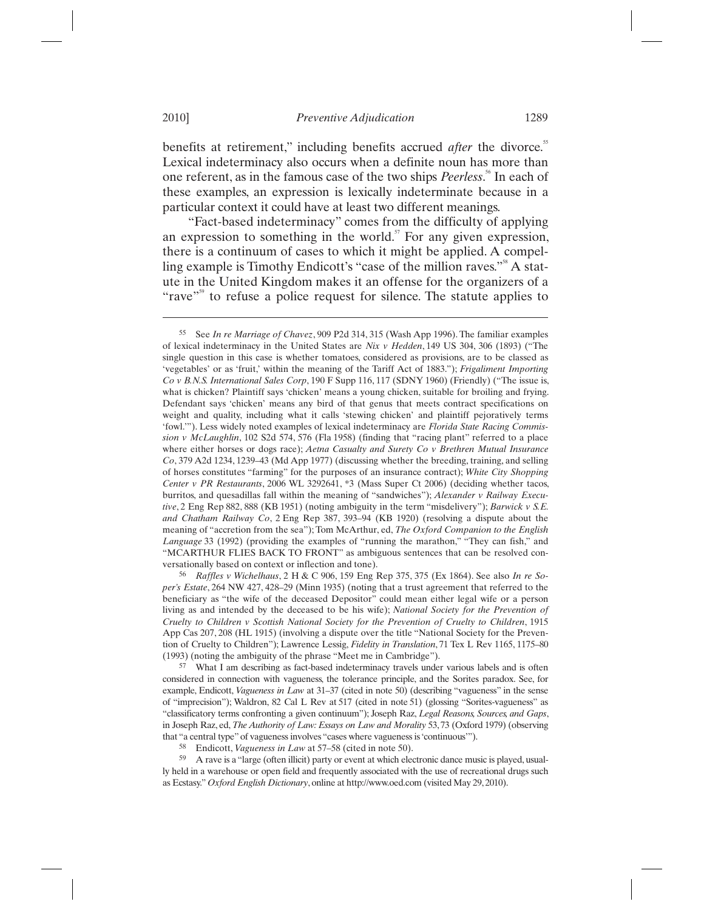benefits at retirement," including benefits accrued *after* the divorce.<sup>55</sup> Lexical indeterminacy also occurs when a definite noun has more than one referent, as in the famous case of the two ships *Peerless*.<sup>56</sup> In each of these examples, an expression is lexically indeterminate because in a particular context it could have at least two different meanings.

"Fact-based indeterminacy" comes from the difficulty of applying an expression to something in the world. $57$  For any given expression, there is a continuum of cases to which it might be applied. A compelling example is Timothy Endicott's "case of the million raves."<sup>58</sup> A statute in the United Kingdom makes it an offense for the organizers of a "rave"<sup>59</sup> to refuse a police request for silence. The statute applies to

considered in connection with vagueness, the tolerance principle, and the Sorites paradox. See, for example, Endicott, *Vagueness in Law* at 31–37 (cited in note 50) (describing "vagueness" in the sense of "imprecision"); Waldron, 82 Cal L Rev at 517 (cited in note 51) (glossing "Sorites-vagueness" as "classificatory terms confronting a given continuum"); Joseph Raz, *Legal Reasons, Sources, and Gaps*, in Joseph Raz, ed, *The Authority of Law: Essays on Law and Morality* 53, 73 (Oxford 1979) (observing that "a central type" of vagueness involves "cases where vagueness is 'continuous'").

58 Endicott, *Vagueness in Law* at 57–58 (cited in note 50).

59 A rave is a "large (often illicit) party or event at which electronic dance music is played, usually held in a warehouse or open field and frequently associated with the use of recreational drugs such as Ecstasy." *Oxford English Dictionary*, online at http://www.oed.com (visited May 29, 2010).

<sup>55</sup> See *In re Marriage of Chavez*, 909 P2d 314, 315 (Wash App 1996). The familiar examples of lexical indeterminacy in the United States are *Nix v Hedden*, 149 US 304, 306 (1893) ("The single question in this case is whether tomatoes, considered as provisions, are to be classed as 'vegetables' or as 'fruit,' within the meaning of the Tariff Act of 1883."); *Frigaliment Importing Co v B.N.S. International Sales Corp*, 190 F Supp 116, 117 (SDNY 1960) (Friendly) ("The issue is, what is chicken? Plaintiff says 'chicken' means a young chicken, suitable for broiling and frying. Defendant says 'chicken' means any bird of that genus that meets contract specifications on weight and quality, including what it calls 'stewing chicken' and plaintiff pejoratively terms 'fowl.'"). Less widely noted examples of lexical indeterminacy are *Florida State Racing Commission v McLaughlin*, 102 S2d 574, 576 (Fla 1958) (finding that "racing plant" referred to a place where either horses or dogs race); *Aetna Casualty and Surety Co v Brethren Mutual Insurance Co*, 379 A2d 1234, 1239–43 (Md App 1977) (discussing whether the breeding, training, and selling of horses constitutes "farming" for the purposes of an insurance contract); *White City Shopping Center v PR Restaurants*, 2006 WL 3292641, \*3 (Mass Super Ct 2006) (deciding whether tacos, burritos, and quesadillas fall within the meaning of "sandwiches"); *Alexander v Railway Executive*, 2 Eng Rep 882, 888 (KB 1951) (noting ambiguity in the term "misdelivery"); *Barwick v S.E. and Chatham Railway Co*, 2 Eng Rep 387, 393–94 (KB 1920) (resolving a dispute about the meaning of "accretion from the sea"); Tom McArthur, ed, *The Oxford Companion to the English Language* 33 (1992) (providing the examples of "running the marathon," "They can fish," and "MCARTHUR FLIES BACK TO FRONT" as ambiguous sentences that can be resolved conversationally based on context or inflection and tone). 56 *Raffles v Wichelhaus*, 2 H & C 906, 159 Eng Rep 375, 375 (Ex 1864). See also *In re So-*

*per's Estate*, 264 NW 427, 428–29 (Minn 1935) (noting that a trust agreement that referred to the beneficiary as "the wife of the deceased Depositor" could mean either legal wife or a person living as and intended by the deceased to be his wife); *National Society for the Prevention of Cruelty to Children v Scottish National Society for the Prevention of Cruelty to Children*, 1915 App Cas 207, 208 (HL 1915) (involving a dispute over the title "National Society for the Prevention of Cruelty to Children"); Lawrence Lessig, *Fidelity in Translation*, 71 Tex L Rev 1165, 1175–80 (1993) (noting the ambiguity of the phrase "Meet me in Cambridge").<br> $57$  What I am describing as fact-based indeterminacy travels under various labels and is often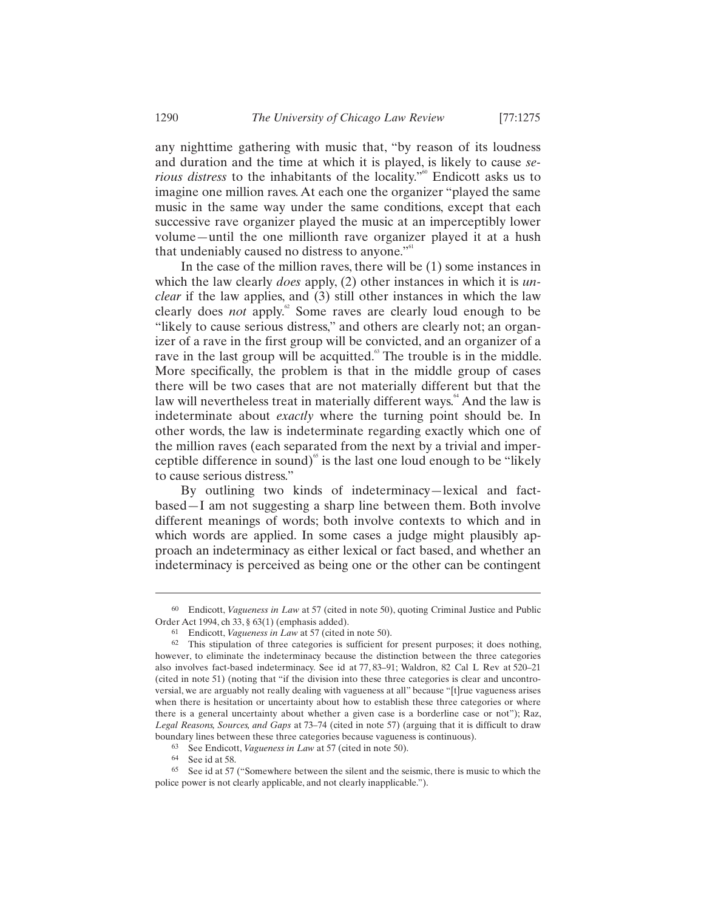any nighttime gathering with music that, "by reason of its loudness and duration and the time at which it is played, is likely to cause *serious distress* to the inhabitants of the locality."<sup>60</sup> Endicott asks us to imagine one million raves. At each one the organizer "played the same music in the same way under the same conditions, except that each successive rave organizer played the music at an imperceptibly lower volume—until the one millionth rave organizer played it at a hush that undeniably caused no distress to anyone."<sup>61</sup>

In the case of the million raves, there will be (1) some instances in which the law clearly *does* apply, (2) other instances in which it is *unclear* if the law applies, and (3) still other instances in which the law clearly does *not* apply.<sup>62</sup> Some raves are clearly loud enough to be "likely to cause serious distress," and others are clearly not; an organizer of a rave in the first group will be convicted, and an organizer of a rave in the last group will be acquitted.<sup>63</sup> The trouble is in the middle. More specifically, the problem is that in the middle group of cases there will be two cases that are not materially different but that the law will nevertheless treat in materially different ways.<sup>64</sup> And the law is indeterminate about *exactly* where the turning point should be. In other words, the law is indeterminate regarding exactly which one of the million raves (each separated from the next by a trivial and imperceptible difference in sound) $\delta$  is the last one loud enough to be "likely" to cause serious distress."

By outlining two kinds of indeterminacy—lexical and factbased—I am not suggesting a sharp line between them. Both involve different meanings of words; both involve contexts to which and in which words are applied. In some cases a judge might plausibly approach an indeterminacy as either lexical or fact based, and whether an indeterminacy is perceived as being one or the other can be contingent

<sup>60</sup> Endicott, *Vagueness in Law* at 57 (cited in note 50), quoting Criminal Justice and Public Order Act 1994, ch 33, § 63(1) (emphasis added).<br><sup>61</sup> Endicott, *Vagueness in Law* at 57 (cited in note 50).

<sup>62</sup> This stipulation of three categories is sufficient for present purposes; it does nothing, however, to eliminate the indeterminacy because the distinction between the three categories also involves fact-based indeterminacy. See id at 77, 83–91; Waldron, 82 Cal L Rev at 520–21 (cited in note 51) (noting that "if the division into these three categories is clear and uncontroversial, we are arguably not really dealing with vagueness at all" because "[t]rue vagueness arises when there is hesitation or uncertainty about how to establish these three categories or where there is a general uncertainty about whether a given case is a borderline case or not"); Raz, *Legal Reasons, Sources, and Gaps* at 73–74 (cited in note 57) (arguing that it is difficult to draw boundary lines between these three categories because vagueness is continuous). 63 See Endicott, *Vagueness in Law* at 57 (cited in note 50).

<sup>64</sup> See id at 58.

<sup>65</sup> See id at 57 ("Somewhere between the silent and the seismic, there is music to which the police power is not clearly applicable, and not clearly inapplicable.").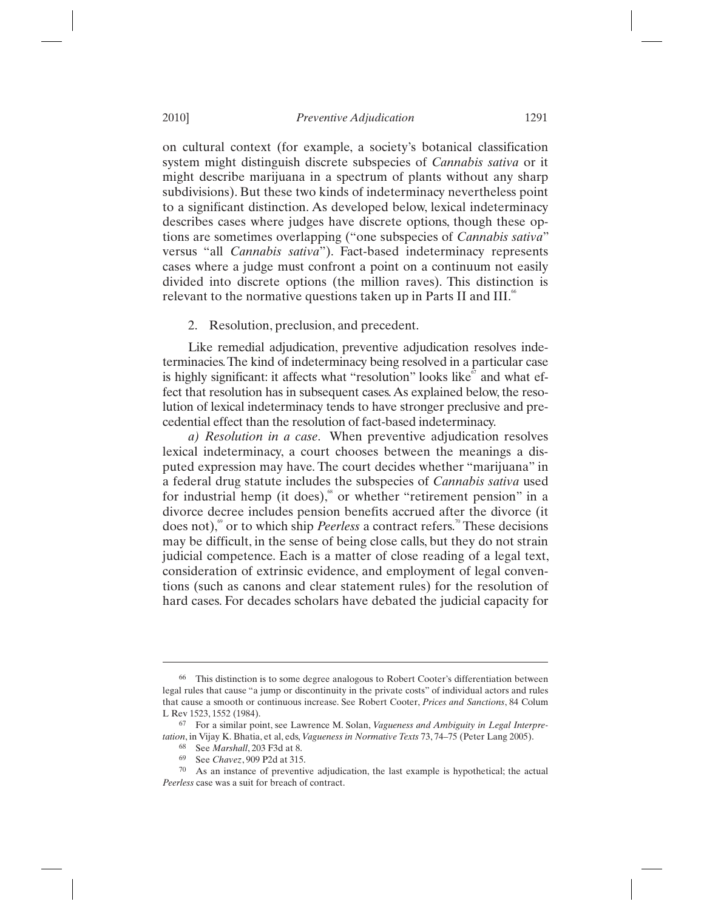on cultural context (for example, a society's botanical classification system might distinguish discrete subspecies of *Cannabis sativa* or it might describe marijuana in a spectrum of plants without any sharp subdivisions). But these two kinds of indeterminacy nevertheless point to a significant distinction. As developed below, lexical indeterminacy describes cases where judges have discrete options, though these options are sometimes overlapping ("one subspecies of *Cannabis sativa*" versus "all *Cannabis sativa*"). Fact-based indeterminacy represents cases where a judge must confront a point on a continuum not easily divided into discrete options (the million raves). This distinction is relevant to the normative questions taken up in Parts II and III. $\degree$ 

2. Resolution, preclusion, and precedent.

Like remedial adjudication, preventive adjudication resolves indeterminacies. The kind of indeterminacy being resolved in a particular case is highly significant: it affects what "resolution" looks like $\degree$  and what effect that resolution has in subsequent cases. As explained below, the resolution of lexical indeterminacy tends to have stronger preclusive and precedential effect than the resolution of fact-based indeterminacy.

*a) Resolution in a case*. When preventive adjudication resolves lexical indeterminacy, a court chooses between the meanings a disputed expression may have. The court decides whether "marijuana" in a federal drug statute includes the subspecies of *Cannabis sativa* used for industrial hemp (it does), $\degree$  or whether "retirement pension" in a divorce decree includes pension benefits accrued after the divorce (it does not),<sup>69</sup> or to which ship *Peerless* a contract refers.<sup>70</sup> These decisions may be difficult, in the sense of being close calls, but they do not strain judicial competence. Each is a matter of close reading of a legal text, consideration of extrinsic evidence, and employment of legal conventions (such as canons and clear statement rules) for the resolution of hard cases. For decades scholars have debated the judicial capacity for

<sup>66</sup> This distinction is to some degree analogous to Robert Cooter's differentiation between legal rules that cause "a jump or discontinuity in the private costs" of individual actors and rules that cause a smooth or continuous increase. See Robert Cooter, *Prices and Sanctions*, 84 Colum L Rev 1523, 1552 (1984).

<sup>67</sup> For a similar point, see Lawrence M. Solan, *Vagueness and Ambiguity in Legal Interpretation*, in Vijay K. Bhatia, et al, eds, *Vagueness in Normative Texts* 73, 74–75 (Peter Lang 2005).<br><sup>68</sup> See *Marshall*, 203 F3d at 8.<br><sup>69</sup> See *Chavez*, 909 P2d at 315.

<sup>&</sup>lt;sup>70</sup> As an instance of preventive adjudication, the last example is hypothetical; the actual *Peerless* case was a suit for breach of contract.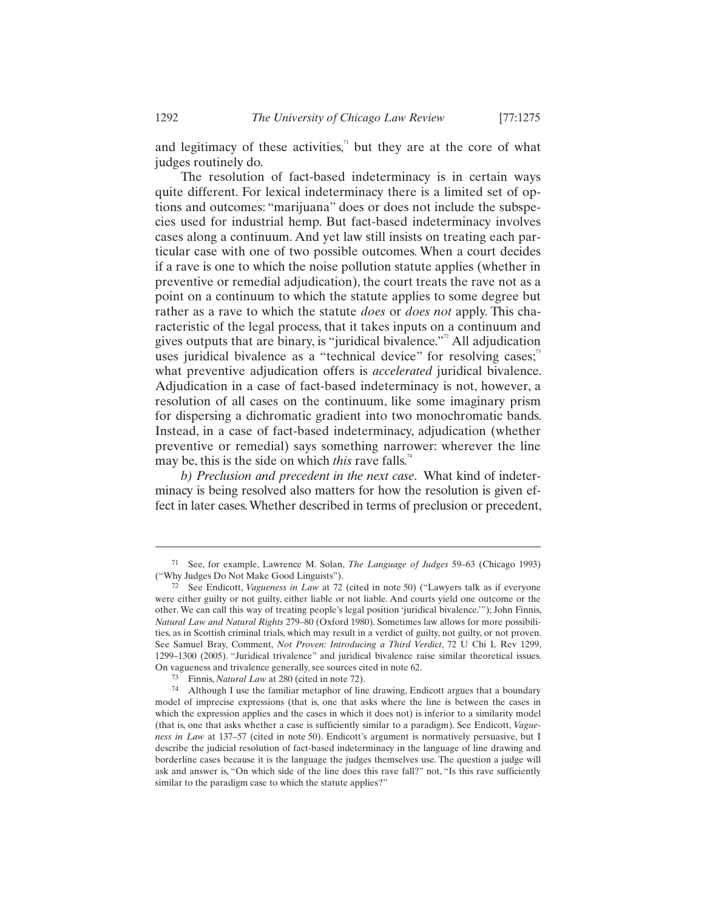and legitimacy of these activities, $\alpha$ <sup>n</sup> but they are at the core of what judges routinely do.

The resolution of fact-based indeterminacy is in certain ways quite different. For lexical indeterminacy there is a limited set of options and outcomes: "marijuana" does or does not include the subspecies used for industrial hemp. But fact-based indeterminacy involves cases along a continuum. And yet law still insists on treating each particular case with one of two possible outcomes. When a court decides if a rave is one to which the noise pollution statute applies (whether in preventive or remedial adjudication), the court treats the rave not as a point on a continuum to which the statute applies to some degree but rather as a rave to which the statute *does* or *does not* apply. This characteristic of the legal process, that it takes inputs on a continuum and gives outputs that are binary, is "juridical bivalence."<sup> $2$ </sup> All adjudication uses juridical bivalence as a "technical device" for resolving cases;<sup>73</sup> what preventive adjudication offers is *accelerated* juridical bivalence. Adjudication in a case of fact-based indeterminacy is not, however, a resolution of all cases on the continuum, like some imaginary prism for dispersing a dichromatic gradient into two monochromatic bands. Instead, in a case of fact-based indeterminacy, adjudication (whether preventive or remedial) says something narrower: wherever the line may be, this is the side on which *this* rave falls.<sup>74</sup>

*b) Preclusion and precedent in the next case*. What kind of indeterminacy is being resolved also matters for how the resolution is given effect in later cases. Whether described in terms of preclusion or precedent,

<sup>71</sup> See, for example, Lawrence M. Solan, *The Language of Judges* 59–63 (Chicago 1993) ("Why Judges Do Not Make Good Linguists"). 72 See Endicott, *Vagueness in Law* at 72 (cited in note 50) ("Lawyers talk as if everyone

were either guilty or not guilty, either liable or not liable. And courts yield one outcome or the other. We can call this way of treating people's legal position 'juridical bivalence.'"); John Finnis, *Natural Law and Natural Rights* 279–80 (Oxford 1980). Sometimes law allows for more possibilities, as in Scottish criminal trials, which may result in a verdict of guilty, not guilty, or not proven. See Samuel Bray, Comment, *Not Proven: Introducing a Third Verdict*, 72 U Chi L Rev 1299, 1299–1300 (2005). "Juridical trivalence" and juridical bivalence raise similar theoretical issues. On vagueness and trivalence generally, see sources cited in note 62. 73 Finnis, *Natural Law* at 280 (cited in note 72).

<sup>74</sup> Although I use the familiar metaphor of line drawing, Endicott argues that a boundary model of imprecise expressions (that is, one that asks where the line is between the cases in which the expression applies and the cases in which it does not) is inferior to a similarity model (that is, one that asks whether a case is sufficiently similar to a paradigm). See Endicott, *Vagueness in Law* at 137–57 (cited in note 50). Endicott's argument is normatively persuasive, but I describe the judicial resolution of fact-based indeterminacy in the language of line drawing and borderline cases because it is the language the judges themselves use. The question a judge will ask and answer is, "On which side of the line does this rave fall?" not, "Is this rave sufficiently similar to the paradigm case to which the statute applies?"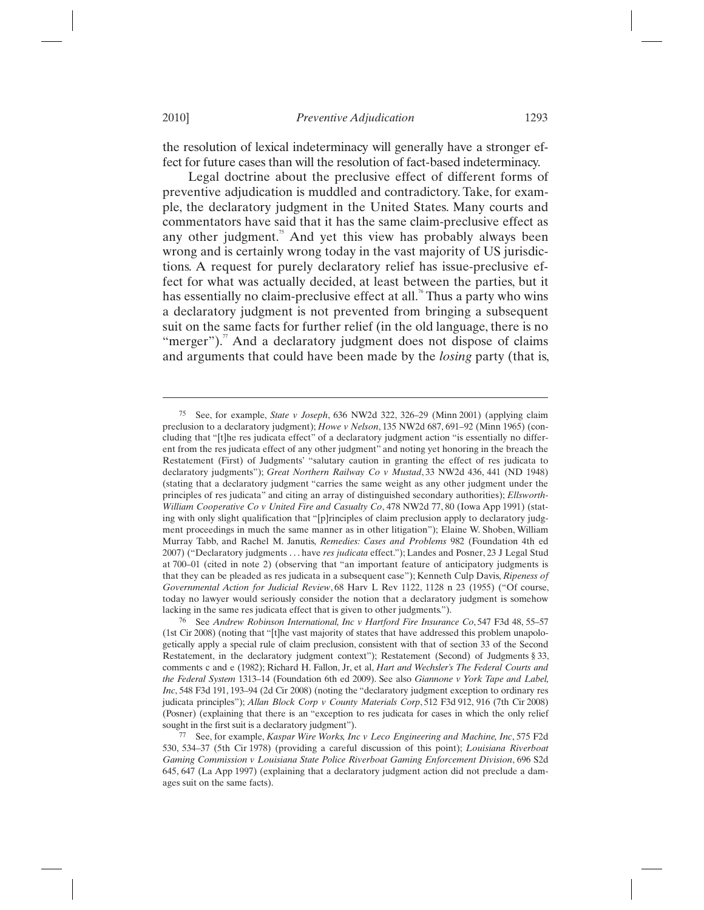the resolution of lexical indeterminacy will generally have a stronger effect for future cases than will the resolution of fact-based indeterminacy.

Legal doctrine about the preclusive effect of different forms of preventive adjudication is muddled and contradictory. Take, for example, the declaratory judgment in the United States. Many courts and commentators have said that it has the same claim-preclusive effect as any other judgment. $\frac{3}{5}$  And yet this view has probably always been wrong and is certainly wrong today in the vast majority of US jurisdictions. A request for purely declaratory relief has issue-preclusive effect for what was actually decided, at least between the parties, but it has essentially no claim-preclusive effect at all.<sup>76</sup> Thus a party who wins a declaratory judgment is not prevented from bringing a subsequent suit on the same facts for further relief (in the old language, there is no "merger"). $\pi$  And a declaratory judgment does not dispose of claims and arguments that could have been made by the *losing* party (that is,

<sup>75</sup> See, for example, *State v Joseph*, 636 NW2d 322, 326–29 (Minn 2001) (applying claim preclusion to a declaratory judgment); *Howe v Nelson*, 135 NW2d 687, 691–92 (Minn 1965) (concluding that "[t]he res judicata effect" of a declaratory judgment action "is essentially no different from the res judicata effect of any other judgment" and noting yet honoring in the breach the Restatement (First) of Judgments' "salutary caution in granting the effect of res judicata to declaratory judgments"); *Great Northern Railway Co v Mustad*, 33 NW2d 436, 441 (ND 1948) (stating that a declaratory judgment "carries the same weight as any other judgment under the principles of res judicata" and citing an array of distinguished secondary authorities); *Ellsworth-William Cooperative Co v United Fire and Casualty Co*, 478 NW2d 77, 80 (Iowa App 1991) (stating with only slight qualification that "[p]rinciples of claim preclusion apply to declaratory judgment proceedings in much the same manner as in other litigation"); Elaine W. Shoben, William Murray Tabb, and Rachel M. Janutis, *Remedies: Cases and Problems* 982 (Foundation 4th ed 2007) ("Declaratory judgments . . . have *res judicata* effect."); Landes and Posner, 23 J Legal Stud at 700–01 (cited in note 2) (observing that "an important feature of anticipatory judgments is that they can be pleaded as res judicata in a subsequent case"); Kenneth Culp Davis, *Ripeness of Governmental Action for Judicial Review*, 68 Harv L Rev 1122, 1128 n 23 (1955) ("Of course, today no lawyer would seriously consider the notion that a declaratory judgment is somehow lacking in the same res judicata effect that is given to other judgments.").

<sup>76</sup> See *Andrew Robinson International, Inc v Hartford Fire Insurance Co*, 547 F3d 48, 55–57 (1st Cir 2008) (noting that "[t]he vast majority of states that have addressed this problem unapologetically apply a special rule of claim preclusion, consistent with that of section 33 of the Second Restatement, in the declaratory judgment context"); Restatement (Second) of Judgments § 33, comments c and e (1982); Richard H. Fallon, Jr, et al, *Hart and Wechsler's The Federal Courts and the Federal System* 1313–14 (Foundation 6th ed 2009). See also *Giannone v York Tape and Label, Inc*, 548 F3d 191, 193–94 (2d Cir 2008) (noting the "declaratory judgment exception to ordinary res judicata principles"); *Allan Block Corp v County Materials Corp*, 512 F3d 912, 916 (7th Cir 2008) (Posner) (explaining that there is an "exception to res judicata for cases in which the only relief sought in the first suit is a declaratory judgment"). 77 See, for example, *Kaspar Wire Works, Inc v Leco Engineering and Machine, Inc*, 575 F2d

<sup>530, 534–37 (5</sup>th Cir 1978) (providing a careful discussion of this point); *Louisiana Riverboat Gaming Commission v Louisiana State Police Riverboat Gaming Enforcement Division*, 696 S2d 645, 647 (La App 1997) (explaining that a declaratory judgment action did not preclude a damages suit on the same facts).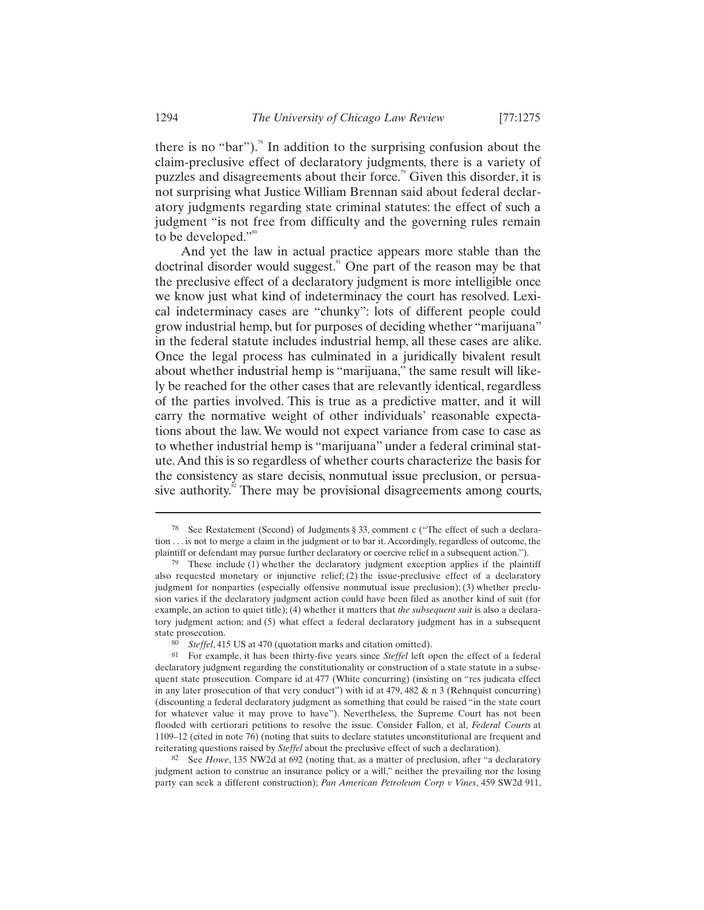there is no "bar").<sup>78</sup> In addition to the surprising confusion about the claim-preclusive effect of declaratory judgments, there is a variety of puzzles and disagreements about their force.<sup>79</sup> Given this disorder, it is not surprising what Justice William Brennan said about federal declaratory judgments regarding state criminal statutes: the effect of such a judgment "is not free from difficulty and the governing rules remain to be developed."<sup>80</sup>

And yet the law in actual practice appears more stable than the doctrinal disorder would suggest.<sup>81</sup> One part of the reason may be that the preclusive effect of a declaratory judgment is more intelligible once we know just what kind of indeterminacy the court has resolved. Lexical indeterminacy cases are "chunky": lots of different people could grow industrial hemp, but for purposes of deciding whether "marijuana" in the federal statute includes industrial hemp, all these cases are alike. Once the legal process has culminated in a juridically bivalent result about whether industrial hemp is "marijuana," the same result will likely be reached for the other cases that are relevantly identical, regardless of the parties involved. This is true as a predictive matter, and it will carry the normative weight of other individuals' reasonable expectations about the law. We would not expect variance from case to case as to whether industrial hemp is "marijuana" under a federal criminal statute. And this is so regardless of whether courts characterize the basis for the consistency as stare decisis, nonmutual issue preclusion, or persuasive authority. $\mathbb{R}^2$  There may be provisional disagreements among courts,

82 See *Howe*, 135 NW2d at 692 (noting that, as a matter of preclusion, after "a declaratory judgment action to construe an insurance policy or a will," neither the prevailing nor the losing party can seek a different construction); *Pan American Petroleum Corp v Vines*, 459 SW2d 911,

<sup>78</sup> See Restatement (Second) of Judgments § 33, comment c ("The effect of such a declaration . . . is not to merge a claim in the judgment or to bar it. Accordingly, regardless of outcome, the plaintiff or defendant may pursue further declaratory or coercive relief in a subsequent action."). These include (1) whether the declaratory judgment exception applies if the plaintiff

also requested monetary or injunctive relief;  $(2)$  the issue-preclusive effect of a declaratory judgment for nonparties (especially offensive nonmutual issue preclusion); (3) whether preclusion varies if the declaratory judgment action could have been filed as another kind of suit (for example, an action to quiet title); (4) whether it matters that *the subsequent suit* is also a declaratory judgment action; and (5) what effect a federal declaratory judgment has in a subsequent state prosecution.

<sup>80</sup> *Steffel*, 415 US at 470 (quotation marks and citation omitted).

<sup>81</sup> For example, it has been thirty-five years since *Steffel* left open the effect of a federal declaratory judgment regarding the constitutionality or construction of a state statute in a subsequent state prosecution. Compare id at 477 (White concurring) (insisting on "res judicata effect in any later prosecution of that very conduct") with id at  $479, 482 \& n 3$  (Rehnquist concurring) (discounting a federal declaratory judgment as something that could be raised "in the state court for whatever value it may prove to have"). Nevertheless, the Supreme Court has not been flooded with certiorari petitions to resolve the issue. Consider Fallon, et al, *Federal Courts* at 1109–12 (cited in note 76) (noting that suits to declare statutes unconstitutional are frequent and reiterating questions raised by *Steffel* about the preclusive effect of such a declaration).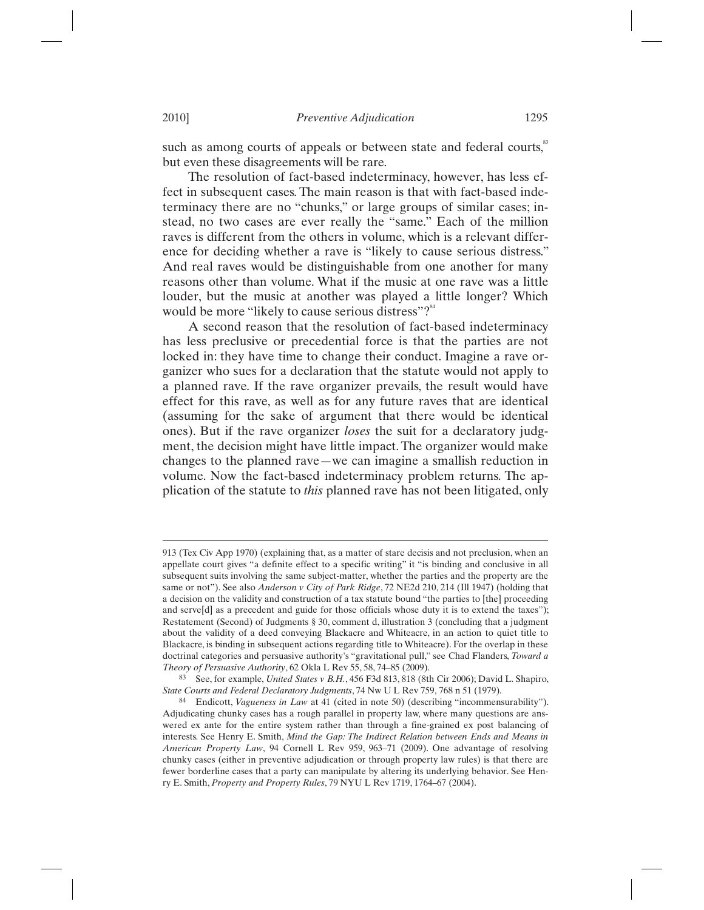such as among courts of appeals or between state and federal courts,<sup>83</sup> but even these disagreements will be rare.

The resolution of fact-based indeterminacy, however, has less effect in subsequent cases. The main reason is that with fact-based indeterminacy there are no "chunks," or large groups of similar cases; instead, no two cases are ever really the "same." Each of the million raves is different from the others in volume, which is a relevant difference for deciding whether a rave is "likely to cause serious distress." And real raves would be distinguishable from one another for many reasons other than volume. What if the music at one rave was a little louder, but the music at another was played a little longer? Which would be more "likely to cause serious distress"?"

A second reason that the resolution of fact-based indeterminacy has less preclusive or precedential force is that the parties are not locked in: they have time to change their conduct. Imagine a rave organizer who sues for a declaration that the statute would not apply to a planned rave. If the rave organizer prevails, the result would have effect for this rave, as well as for any future raves that are identical (assuming for the sake of argument that there would be identical ones). But if the rave organizer *loses* the suit for a declaratory judgment, the decision might have little impact. The organizer would make changes to the planned rave—we can imagine a smallish reduction in volume. Now the fact-based indeterminacy problem returns. The application of the statute to *this* planned rave has not been litigated, only

<sup>913 (</sup>Tex Civ App 1970) (explaining that, as a matter of stare decisis and not preclusion, when an appellate court gives "a definite effect to a specific writing" it "is binding and conclusive in all subsequent suits involving the same subject-matter, whether the parties and the property are the same or not"). See also *Anderson v City of Park Ridge*, 72 NE2d 210, 214 (Ill 1947) (holding that a decision on the validity and construction of a tax statute bound "the parties to [the] proceeding and serve $[d]$  as a precedent and guide for those officials whose duty it is to extend the taxes"); Restatement (Second) of Judgments § 30, comment d, illustration 3 (concluding that a judgment about the validity of a deed conveying Blackacre and Whiteacre, in an action to quiet title to Blackacre, is binding in subsequent actions regarding title to Whiteacre). For the overlap in these doctrinal categories and persuasive authority's "gravitational pull," see Chad Flanders, *Toward a Theory of Persuasive Authority*, 62 Okla L Rev 55, 58, 74–85 (2009).<br><sup>83</sup> See, for example, *United States v B.H.*, 456 F3d 813, 818 (8th Cir 2006); David L. Shapiro,

*State Courts and Federal Declaratory Judgments*, 74 Nw U L Rev 759, 768 n 51 (1979).

<sup>84</sup> Endicott, *Vagueness in Law* at 41 (cited in note 50) (describing "incommensurability"). Adjudicating chunky cases has a rough parallel in property law, where many questions are answered ex ante for the entire system rather than through a fine-grained ex post balancing of interests. See Henry E. Smith, *Mind the Gap: The Indirect Relation between Ends and Means in American Property Law*, 94 Cornell L Rev 959, 963–71 (2009). One advantage of resolving chunky cases (either in preventive adjudication or through property law rules) is that there are fewer borderline cases that a party can manipulate by altering its underlying behavior. See Henry E. Smith, *Property and Property Rules*, 79 NYU L Rev 1719, 1764–67 (2004).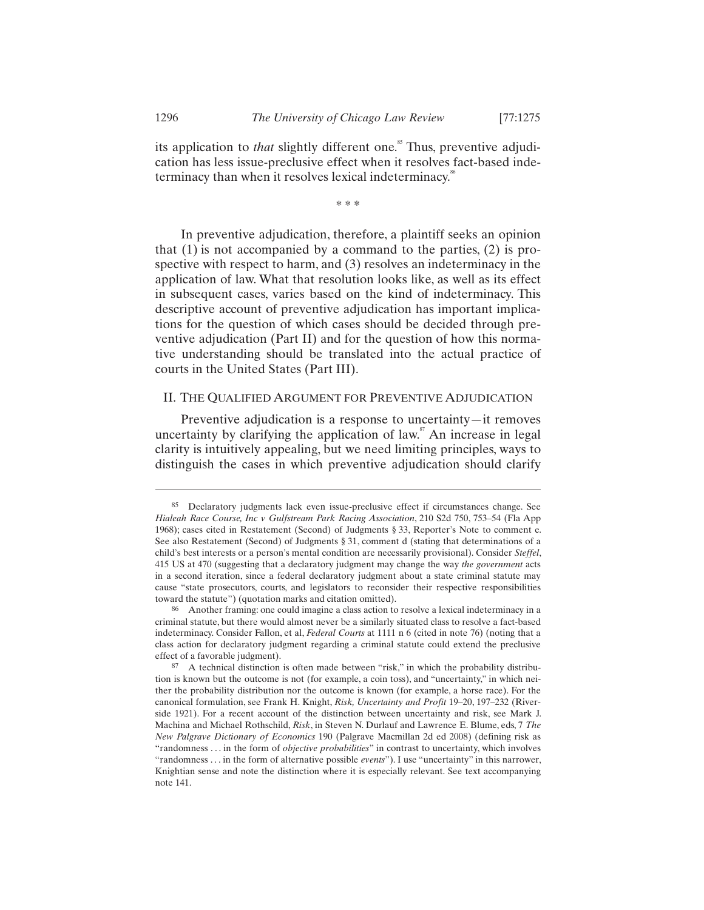its application to *that* slightly different one.<sup>85</sup> Thus, preventive adjudication has less issue-preclusive effect when it resolves fact-based indeterminacy than when it resolves lexical indeterminacy.<sup>86</sup>

\* \* \*

In preventive adjudication, therefore, a plaintiff seeks an opinion that (1) is not accompanied by a command to the parties, (2) is prospective with respect to harm, and (3) resolves an indeterminacy in the application of law. What that resolution looks like, as well as its effect in subsequent cases, varies based on the kind of indeterminacy. This descriptive account of preventive adjudication has important implications for the question of which cases should be decided through preventive adjudication (Part II) and for the question of how this normative understanding should be translated into the actual practice of courts in the United States (Part III).

## II. THE QUALIFIED ARGUMENT FOR PREVENTIVE ADJUDICATION

Preventive adjudication is a response to uncertainty—it removes uncertainty by clarifying the application of law.<sup>87</sup> An increase in legal clarity is intuitively appealing, but we need limiting principles, ways to distinguish the cases in which preventive adjudication should clarify

<sup>85</sup> Declaratory judgments lack even issue-preclusive effect if circumstances change. See *Hialeah Race Course, Inc v Gulfstream Park Racing Association*, 210 S2d 750, 753–54 (Fla App 1968); cases cited in Restatement (Second) of Judgments § 33, Reporter's Note to comment e. See also Restatement (Second) of Judgments § 31, comment d (stating that determinations of a child's best interests or a person's mental condition are necessarily provisional). Consider *Steffel*, 415 US at 470 (suggesting that a declaratory judgment may change the way *the government* acts in a second iteration, since a federal declaratory judgment about a state criminal statute may cause "state prosecutors, courts, and legislators to reconsider their respective responsibilities toward the statute") (quotation marks and citation omitted).

<sup>86</sup> Another framing: one could imagine a class action to resolve a lexical indeterminacy in a criminal statute, but there would almost never be a similarly situated class to resolve a fact-based indeterminacy. Consider Fallon, et al, *Federal Courts* at 1111 n 6 (cited in note 76) (noting that a class action for declaratory judgment regarding a criminal statute could extend the preclusive

 $87$  A technical distinction is often made between "risk," in which the probability distribution is known but the outcome is not (for example, a coin toss), and "uncertainty," in which neither the probability distribution nor the outcome is known (for example, a horse race). For the canonical formulation, see Frank H. Knight, *Risk, Uncertainty and Profit* 19–20, 197–232 (Riverside 1921). For a recent account of the distinction between uncertainty and risk, see Mark J. Machina and Michael Rothschild, *Risk*, in Steven N. Durlauf and Lawrence E. Blume, eds, 7 *The New Palgrave Dictionary of Economics* 190 (Palgrave Macmillan 2d ed 2008) (defining risk as "randomness . . . in the form of *objective probabilities*" in contrast to uncertainty, which involves "randomness . . . in the form of alternative possible *events*"). I use "uncertainty" in this narrower, Knightian sense and note the distinction where it is especially relevant. See text accompanying note 141.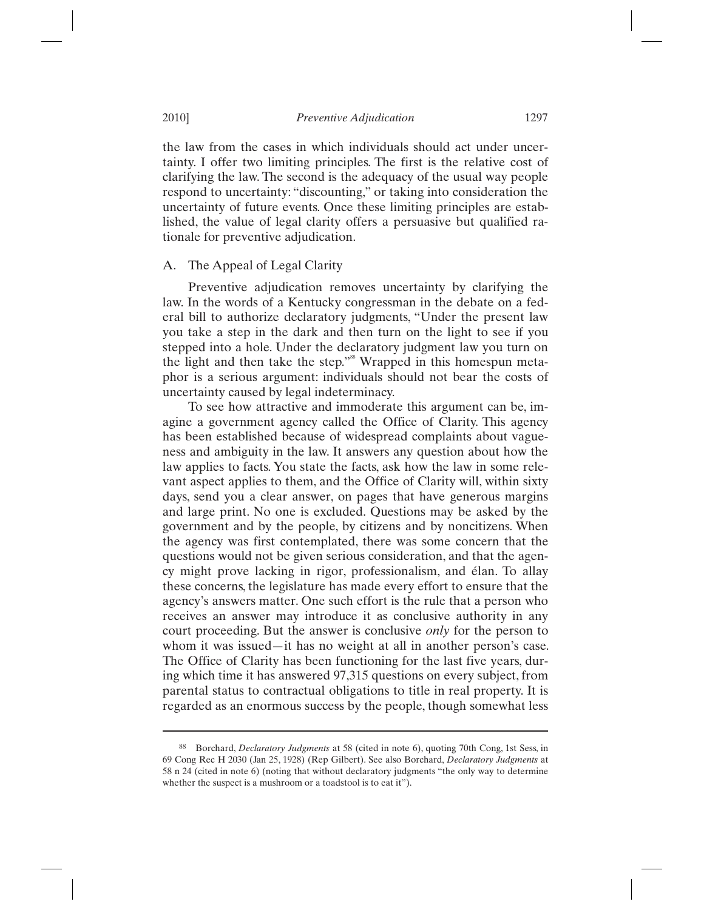the law from the cases in which individuals should act under uncertainty. I offer two limiting principles. The first is the relative cost of clarifying the law. The second is the adequacy of the usual way people respond to uncertainty: "discounting," or taking into consideration the uncertainty of future events. Once these limiting principles are established, the value of legal clarity offers a persuasive but qualified rationale for preventive adjudication.

## A. The Appeal of Legal Clarity

Preventive adjudication removes uncertainty by clarifying the law. In the words of a Kentucky congressman in the debate on a federal bill to authorize declaratory judgments, "Under the present law you take a step in the dark and then turn on the light to see if you stepped into a hole. Under the declaratory judgment law you turn on the light and then take the step."<sup>88</sup> Wrapped in this homespun metaphor is a serious argument: individuals should not bear the costs of uncertainty caused by legal indeterminacy.

To see how attractive and immoderate this argument can be, imagine a government agency called the Office of Clarity. This agency has been established because of widespread complaints about vagueness and ambiguity in the law. It answers any question about how the law applies to facts. You state the facts, ask how the law in some relevant aspect applies to them, and the Office of Clarity will, within sixty days, send you a clear answer, on pages that have generous margins and large print. No one is excluded. Questions may be asked by the government and by the people, by citizens and by noncitizens. When the agency was first contemplated, there was some concern that the questions would not be given serious consideration, and that the agency might prove lacking in rigor, professionalism, and élan. To allay these concerns, the legislature has made every effort to ensure that the agency's answers matter. One such effort is the rule that a person who receives an answer may introduce it as conclusive authority in any court proceeding. But the answer is conclusive *only* for the person to whom it was issued—it has no weight at all in another person's case. The Office of Clarity has been functioning for the last five years, during which time it has answered 97,315 questions on every subject, from parental status to contractual obligations to title in real property. It is regarded as an enormous success by the people, though somewhat less

<sup>88</sup> Borchard, *Declaratory Judgments* at 58 (cited in note 6), quoting 70th Cong, 1st Sess, in 69 Cong Rec H 2030 (Jan 25, 1928) (Rep Gilbert). See also Borchard, *Declaratory Judgments* at 58 n 24 (cited in note 6) (noting that without declaratory judgments "the only way to determine whether the suspect is a mushroom or a toadstool is to eat it").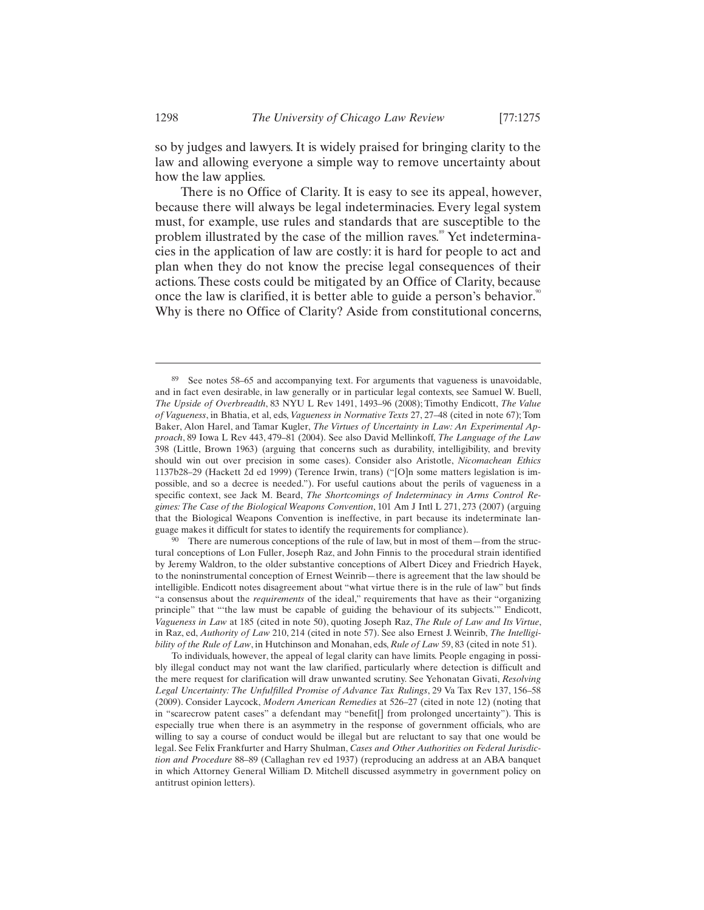so by judges and lawyers. It is widely praised for bringing clarity to the law and allowing everyone a simple way to remove uncertainty about how the law applies.

There is no Office of Clarity. It is easy to see its appeal, however, because there will always be legal indeterminacies. Every legal system must, for example, use rules and standards that are susceptible to the problem illustrated by the case of the million raves.<sup>89</sup> Yet indeterminacies in the application of law are costly: it is hard for people to act and plan when they do not know the precise legal consequences of their actions. These costs could be mitigated by an Office of Clarity, because once the law is clarified, it is better able to guide a person's behavior.<sup>8</sup> Why is there no Office of Clarity? Aside from constitutional concerns,

tural conceptions of Lon Fuller, Joseph Raz, and John Finnis to the procedural strain identified by Jeremy Waldron, to the older substantive conceptions of Albert Dicey and Friedrich Hayek, to the noninstrumental conception of Ernest Weinrib—there is agreement that the law should be intelligible. Endicott notes disagreement about "what virtue there is in the rule of law" but finds "a consensus about the *requirements* of the ideal," requirements that have as their "organizing principle" that "'the law must be capable of guiding the behaviour of its subjects.'" Endicott, *Vagueness in Law* at 185 (cited in note 50), quoting Joseph Raz, *The Rule of Law and Its Virtue*, in Raz, ed, *Authority of Law* 210, 214 (cited in note 57). See also Ernest J. Weinrib, *The Intelligibility of the Rule of Law*, in Hutchinson and Monahan, eds, *Rule of Law* 59, 83 (cited in note 51).

<sup>89</sup> See notes 58–65 and accompanying text. For arguments that vagueness is unavoidable, and in fact even desirable, in law generally or in particular legal contexts, see Samuel W. Buell, *The Upside of Overbreadth*, 83 NYU L Rev 1491, 1493–96 (2008); Timothy Endicott, *The Value of Vagueness*, in Bhatia, et al, eds, *Vagueness in Normative Texts* 27, 27–48 (cited in note 67); Tom Baker, Alon Harel, and Tamar Kugler, *The Virtues of Uncertainty in Law: An Experimental Approach*, 89 Iowa L Rev 443, 479–81 (2004). See also David Mellinkoff, *The Language of the Law* 398 (Little, Brown 1963) (arguing that concerns such as durability, intelligibility, and brevity should win out over precision in some cases). Consider also Aristotle, *Nicomachean Ethics* 1137b28–29 (Hackett 2d ed 1999) (Terence Irwin, trans) ("[O]n some matters legislation is impossible, and so a decree is needed."). For useful cautions about the perils of vagueness in a specific context, see Jack M. Beard, *The Shortcomings of Indeterminacy in Arms Control Regimes: The Case of the Biological Weapons Convention*, 101 Am J Intl L 271, 273 (2007) (arguing that the Biological Weapons Convention is ineffective, in part because its indeterminate language makes it difficult for states to identify the requirements for compliance).<br><sup>90</sup> There are numerous conceptions of the rule of law, but in most of them—from the struc-

To individuals, however, the appeal of legal clarity can have limits. People engaging in possibly illegal conduct may not want the law clarified, particularly where detection is difficult and the mere request for clarification will draw unwanted scrutiny. See Yehonatan Givati, *Resolving Legal Uncertainty: The Unfulfilled Promise of Advance Tax Rulings*, 29 Va Tax Rev 137, 156–58 (2009). Consider Laycock, *Modern American Remedies* at 526–27 (cited in note 12) (noting that in "scarecrow patent cases" a defendant may "benefit[] from prolonged uncertainty"). This is especially true when there is an asymmetry in the response of government officials, who are willing to say a course of conduct would be illegal but are reluctant to say that one would be legal. See Felix Frankfurter and Harry Shulman, *Cases and Other Authorities on Federal Jurisdiction and Procedure* 88–89 (Callaghan rev ed 1937) (reproducing an address at an ABA banquet in which Attorney General William D. Mitchell discussed asymmetry in government policy on antitrust opinion letters).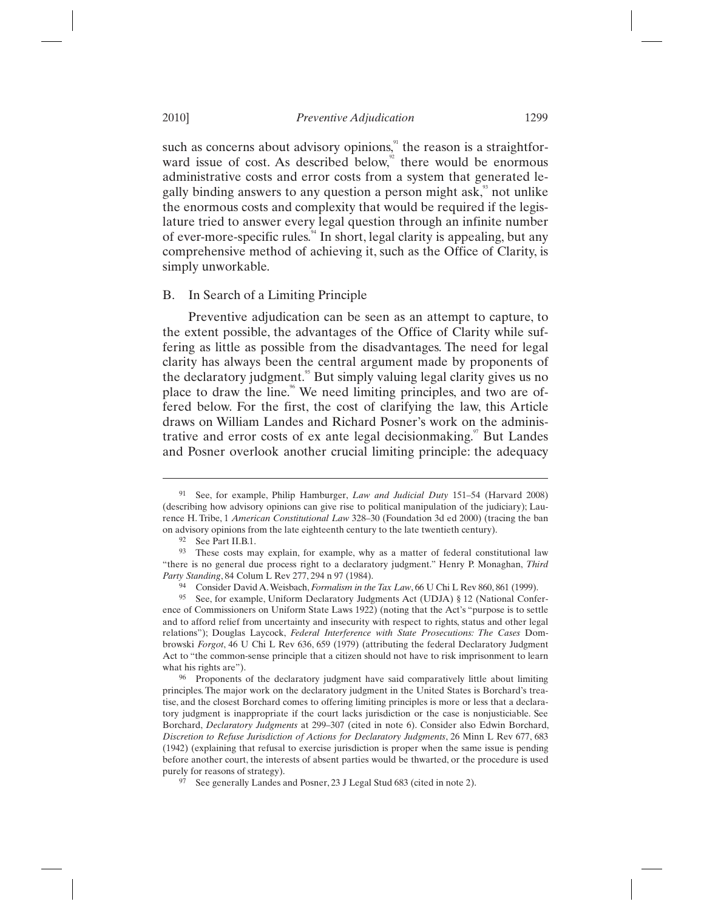such as concerns about advisory opinions,<sup>91</sup> the reason is a straightforward issue of cost. As described below, $\degree$  there would be enormous administrative costs and error costs from a system that generated legally binding answers to any question a person might ask,<sup>35</sup> not unlike the enormous costs and complexity that would be required if the legislature tried to answer every legal question through an infinite number of ever-more-specific rules.<sup>94</sup> In short, legal clarity is appealing, but any comprehensive method of achieving it, such as the Office of Clarity, is simply unworkable.

## B. In Search of a Limiting Principle

Preventive adjudication can be seen as an attempt to capture, to the extent possible, the advantages of the Office of Clarity while suffering as little as possible from the disadvantages. The need for legal clarity has always been the central argument made by proponents of the declaratory judgment.<sup>55</sup> But simply valuing legal clarity gives us no place to draw the line.<sup>96</sup> We need limiting principles, and two are offered below. For the first, the cost of clarifying the law, this Article draws on William Landes and Richard Posner's work on the administrative and error costs of ex ante legal decision making.<sup>97</sup> But Landes and Posner overlook another crucial limiting principle: the adequacy

<sup>91</sup> See, for example, Philip Hamburger, *Law and Judicial Duty* 151–54 (Harvard 2008) (describing how advisory opinions can give rise to political manipulation of the judiciary); Laurence H. Tribe, 1 *American Constitutional Law* 328–30 (Foundation 3d ed 2000) (tracing the ban on advisory opinions from the late eighteenth century to the late twentieth century). <sup>92</sup> See Part II.B.1.

<sup>93</sup> These costs may explain, for example, why as a matter of federal constitutional law "there is no general due process right to a declaratory judgment." Henry P. Monaghan, *Third Party Standing*, 84 Colum L Rev 277, 294 n 97 (1984).

<sup>94</sup> Consider David A. Weisbach, *Formalism in the Tax Law*, 66 U Chi L Rev 860, 861 (1999).

<sup>95</sup> See, for example, Uniform Declaratory Judgments Act (UDJA) § 12 (National Conference of Commissioners on Uniform State Laws 1922) (noting that the Act's "purpose is to settle and to afford relief from uncertainty and insecurity with respect to rights, status and other legal relations"); Douglas Laycock, *Federal Interference with State Prosecutions: The Cases* Dombrowski *Forgot*, 46 U Chi L Rev 636, 659 (1979) (attributing the federal Declaratory Judgment Act to "the common-sense principle that a citizen should not have to risk imprisonment to learn

what his rights are").<br><sup>96</sup> Proponents of the declaratory judgment have said comparatively little about limiting principles. The major work on the declaratory judgment in the United States is Borchard's treatise, and the closest Borchard comes to offering limiting principles is more or less that a declaratory judgment is inappropriate if the court lacks jurisdiction or the case is nonjusticiable. See Borchard, *Declaratory Judgments* at 299–307 (cited in note 6). Consider also Edwin Borchard, *Discretion to Refuse Jurisdiction of Actions for Declaratory Judgments*, 26 Minn L Rev 677, 683 (1942) (explaining that refusal to exercise jurisdiction is proper when the same issue is pending before another court, the interests of absent parties would be thwarted, or the procedure is used purely for reasons of strategy). 97 See generally Landes and Posner, 23 J Legal Stud 683 (cited in note 2).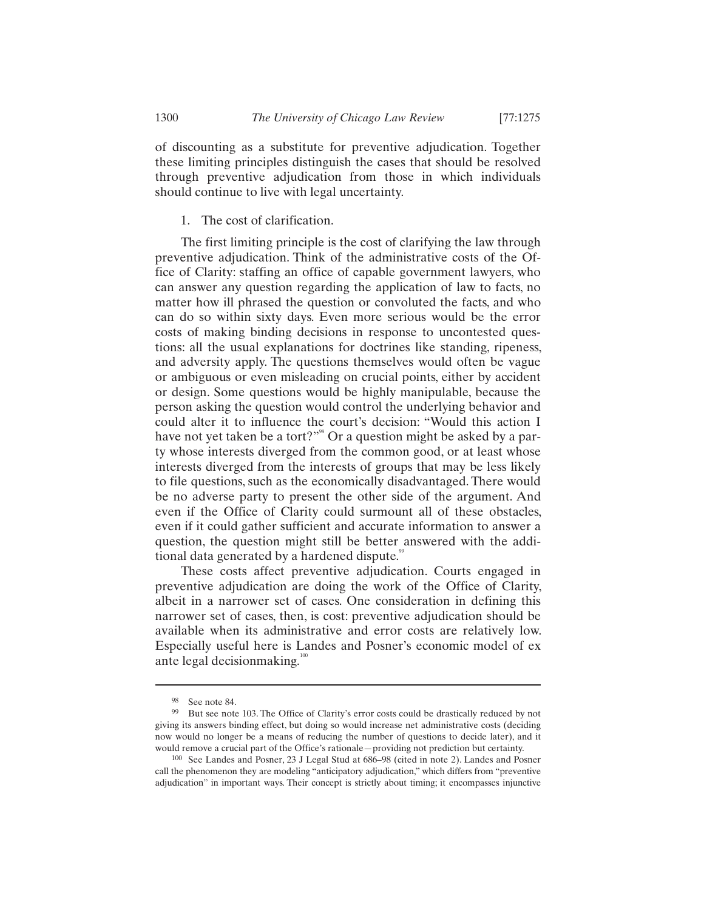of discounting as a substitute for preventive adjudication. Together these limiting principles distinguish the cases that should be resolved through preventive adjudication from those in which individuals should continue to live with legal uncertainty.

## 1. The cost of clarification.

The first limiting principle is the cost of clarifying the law through preventive adjudication. Think of the administrative costs of the Office of Clarity: staffing an office of capable government lawyers, who can answer any question regarding the application of law to facts, no matter how ill phrased the question or convoluted the facts, and who can do so within sixty days. Even more serious would be the error costs of making binding decisions in response to uncontested questions: all the usual explanations for doctrines like standing, ripeness, and adversity apply. The questions themselves would often be vague or ambiguous or even misleading on crucial points, either by accident or design. Some questions would be highly manipulable, because the person asking the question would control the underlying behavior and could alter it to influence the court's decision: "Would this action I have not yet taken be a tort?"<sup>98</sup> Or a question might be asked by a party whose interests diverged from the common good, or at least whose interests diverged from the interests of groups that may be less likely to file questions, such as the economically disadvantaged. There would be no adverse party to present the other side of the argument. And even if the Office of Clarity could surmount all of these obstacles, even if it could gather sufficient and accurate information to answer a question, the question might still be better answered with the additional data generated by a hardened dispute.<sup>99</sup>

These costs affect preventive adjudication. Courts engaged in preventive adjudication are doing the work of the Office of Clarity, albeit in a narrower set of cases. One consideration in defining this narrower set of cases, then, is cost: preventive adjudication should be available when its administrative and error costs are relatively low. Especially useful here is Landes and Posner's economic model of ex ante legal decision making. $100$ 

<sup>98</sup> See note 84.

<sup>99</sup> But see note 103. The Office of Clarity's error costs could be drastically reduced by not giving its answers binding effect, but doing so would increase net administrative costs (deciding now would no longer be a means of reducing the number of questions to decide later), and it would remove a crucial part of the Office's rationale—providing not prediction but certainty.

<sup>100</sup> See Landes and Posner, 23 J Legal Stud at 686–98 (cited in note 2). Landes and Posner call the phenomenon they are modeling "anticipatory adjudication," which differs from "preventive adjudication" in important ways. Their concept is strictly about timing; it encompasses injunctive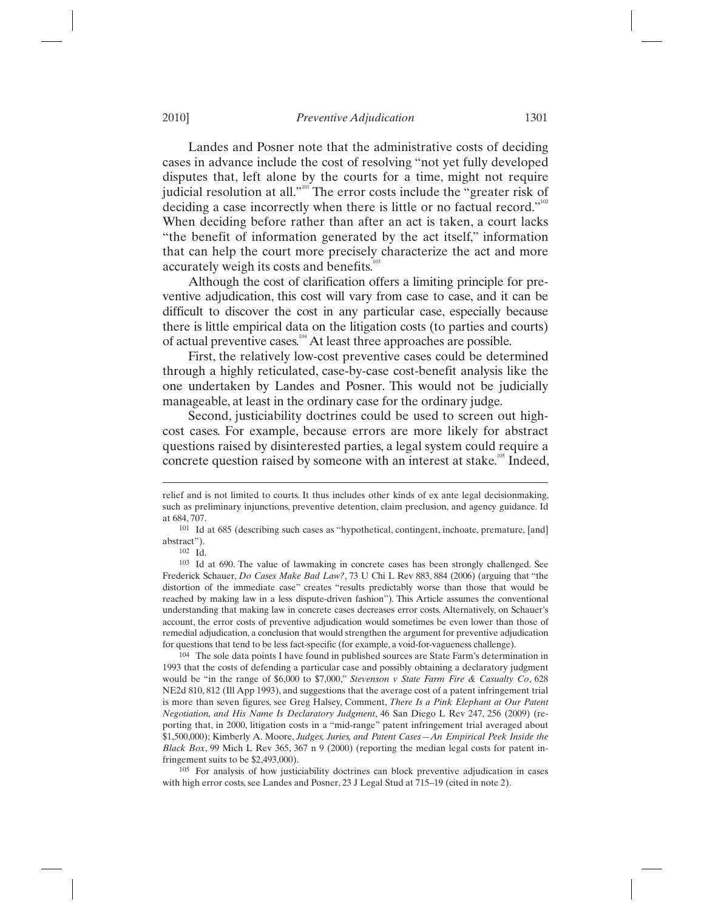Landes and Posner note that the administrative costs of deciding cases in advance include the cost of resolving "not yet fully developed disputes that, left alone by the courts for a time, might not require judicial resolution at all."<sup>101</sup> The error costs include the "greater risk of deciding a case incorrectly when there is little or no factual record." When deciding before rather than after an act is taken, a court lacks "the benefit of information generated by the act itself," information that can help the court more precisely characterize the act and more accurately weigh its costs and benefits. $\alpha$ <sup>1</sup>

Although the cost of clarification offers a limiting principle for preventive adjudication, this cost will vary from case to case, and it can be difficult to discover the cost in any particular case, especially because there is little empirical data on the litigation costs (to parties and courts) of actual preventive cases.<sup>104</sup> At least three approaches are possible.

First, the relatively low-cost preventive cases could be determined through a highly reticulated, case-by-case cost-benefit analysis like the one undertaken by Landes and Posner. This would not be judicially manageable, at least in the ordinary case for the ordinary judge.

Second, justiciability doctrines could be used to screen out highcost cases. For example, because errors are more likely for abstract questions raised by disinterested parties, a legal system could require a concrete question raised by someone with an interest at stake.<sup>105</sup> Indeed,

 $\overline{a}$ 

104 The sole data points I have found in published sources are State Farm's determination in 1993 that the costs of defending a particular case and possibly obtaining a declaratory judgment would be "in the range of \$6,000 to \$7,000," *Stevenson v State Farm Fire & Casualty Co*, 628 NE2d 810, 812 (Ill App 1993), and suggestions that the average cost of a patent infringement trial is more than seven figures, see Greg Halsey, Comment, *There Is a Pink Elephant at Our Patent Negotiation, and His Name Is Declaratory Judgment*, 46 San Diego L Rev 247, 256 (2009) (reporting that, in 2000, litigation costs in a "mid-range" patent infringement trial averaged about \$1,500,000); Kimberly A. Moore, *Judges, Juries, and Patent Cases—An Empirical Peek Inside the Black Box*, 99 Mich L Rev 365, 367 n 9 (2000) (reporting the median legal costs for patent infringement suits to be \$2,493,000).<br><sup>105</sup> For analysis of how justiciability doctrines can block preventive adjudication in cases

with high error costs, see Landes and Posner, 23 J Legal Stud at 715–19 (cited in note 2).

relief and is not limited to courts. It thus includes other kinds of ex ante legal decisionmaking, such as preliminary injunctions, preventive detention, claim preclusion, and agency guidance. Id

at 684, 707.<br><sup>101</sup> Id at 685 (describing such cases as "hypothetical, contingent, inchoate, premature, [and] abstract").<br> $102$  Id.

<sup>&</sup>lt;sup>103</sup> Id at 690. The value of lawmaking in concrete cases has been strongly challenged. See Frederick Schauer, *Do Cases Make Bad Law?*, 73 U Chi L Rev 883, 884 (2006) (arguing that "the distortion of the immediate case" creates "results predictably worse than those that would be reached by making law in a less dispute-driven fashion"). This Article assumes the conventional understanding that making law in concrete cases decreases error costs. Alternatively, on Schauer's account, the error costs of preventive adjudication would sometimes be even lower than those of remedial adjudication, a conclusion that would strengthen the argument for preventive adjudication for questions that tend to be less fact-specific (for example, a void-for-vagueness challenge).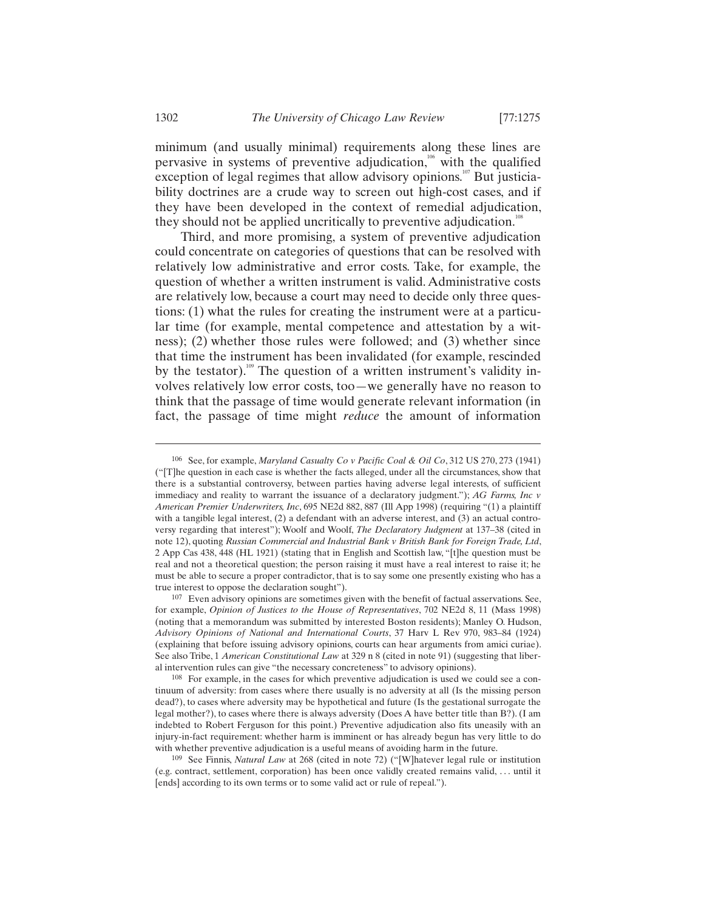minimum (and usually minimal) requirements along these lines are pervasive in systems of preventive adjudication,<sup>106</sup> with the qualified exception of legal regimes that allow advisory opinions.<sup>107</sup> But justiciability doctrines are a crude way to screen out high-cost cases, and if they have been developed in the context of remedial adjudication, they should not be applied uncritically to preventive adjudication.<sup>108</sup>

Third, and more promising, a system of preventive adjudication could concentrate on categories of questions that can be resolved with relatively low administrative and error costs. Take, for example, the question of whether a written instrument is valid. Administrative costs are relatively low, because a court may need to decide only three questions: (1) what the rules for creating the instrument were at a particular time (for example, mental competence and attestation by a witness); (2) whether those rules were followed; and (3) whether since that time the instrument has been invalidated (for example, rescinded by the testator).<sup>109</sup> The question of a written instrument's validity involves relatively low error costs, too—we generally have no reason to think that the passage of time would generate relevant information (in fact, the passage of time might *reduce* the amount of information

-

<sup>106</sup> See, for example, *Maryland Casualty Co v Pacific Coal & Oil Co*, 312 US 270, 273 (1941) ("[T]he question in each case is whether the facts alleged, under all the circumstances, show that there is a substantial controversy, between parties having adverse legal interests, of sufficient immediacy and reality to warrant the issuance of a declaratory judgment."); *AG Farms, Inc v American Premier Underwriters, Inc*, 695 NE2d 882, 887 (Ill App 1998) (requiring "(1) a plaintiff with a tangible legal interest, (2) a defendant with an adverse interest, and (3) an actual controversy regarding that interest"); Woolf and Woolf, *The Declaratory Judgment* at 137–38 (cited in note 12), quoting *Russian Commercial and Industrial Bank v British Bank for Foreign Trade, Ltd*, 2 App Cas 438, 448 (HL 1921) (stating that in English and Scottish law, "[t]he question must be real and not a theoretical question; the person raising it must have a real interest to raise it; he must be able to secure a proper contradictor, that is to say some one presently existing who has a true interest to oppose the declaration sought").<br>
<sup>107</sup> Even advisory opinions are sometimes given with the benefit of factual asservations. See,

for example, *Opinion of Justices to the House of Representatives*, 702 NE2d 8, 11 (Mass 1998) (noting that a memorandum was submitted by interested Boston residents); Manley O. Hudson, *Advisory Opinions of National and International Courts*, 37 Harv L Rev 970, 983–84 (1924) (explaining that before issuing advisory opinions, courts can hear arguments from amici curiae). See also Tribe, 1 *American Constitutional Law* at 329 n 8 (cited in note 91) (suggesting that liberal intervention rules can give "the necessary concreteness" to advisory opinions).<br><sup>108</sup> For example, in the cases for which preventive adjudication is used we could see a con-

tinuum of adversity: from cases where there usually is no adversity at all (Is the missing person dead?), to cases where adversity may be hypothetical and future (Is the gestational surrogate the legal mother?), to cases where there is always adversity (Does A have better title than B?). (I am indebted to Robert Ferguson for this point.) Preventive adjudication also fits uneasily with an injury-in-fact requirement: whether harm is imminent or has already begun has very little to do with whether preventive adjudication is a useful means of avoiding harm in the future.

<sup>109</sup> See Finnis, *Natural Law* at 268 (cited in note 72) ("[W]hatever legal rule or institution (e.g. contract, settlement, corporation) has been once validly created remains valid, . . . until it [ends] according to its own terms or to some valid act or rule of repeal.").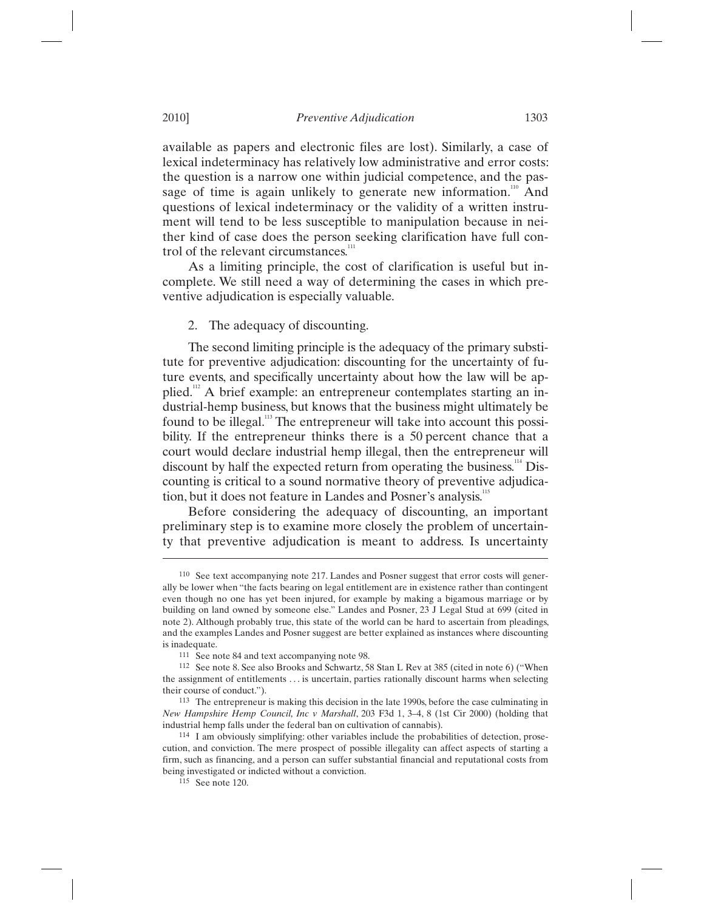available as papers and electronic files are lost). Similarly, a case of lexical indeterminacy has relatively low administrative and error costs: the question is a narrow one within judicial competence, and the passage of time is again unlikely to generate new information.<sup>110</sup> And questions of lexical indeterminacy or the validity of a written instrument will tend to be less susceptible to manipulation because in neither kind of case does the person seeking clarification have full control of the relevant circumstances.<sup>11</sup>

As a limiting principle, the cost of clarification is useful but incomplete. We still need a way of determining the cases in which preventive adjudication is especially valuable.

## 2. The adequacy of discounting.

The second limiting principle is the adequacy of the primary substitute for preventive adjudication: discounting for the uncertainty of future events, and specifically uncertainty about how the law will be applied.<sup>112</sup> A brief example: an entrepreneur contemplates starting an industrial-hemp business, but knows that the business might ultimately be found to be illegal.<sup>113</sup> The entrepreneur will take into account this possibility. If the entrepreneur thinks there is a 50 percent chance that a court would declare industrial hemp illegal, then the entrepreneur will discount by half the expected return from operating the business.<sup>114</sup> Discounting is critical to a sound normative theory of preventive adjudication, but it does not feature in Landes and Posner's analysis.<sup>1</sup>

Before considering the adequacy of discounting, an important preliminary step is to examine more closely the problem of uncertainty that preventive adjudication is meant to address. Is uncertainty

<sup>110</sup> See text accompanying note 217. Landes and Posner suggest that error costs will generally be lower when "the facts bearing on legal entitlement are in existence rather than contingent even though no one has yet been injured, for example by making a bigamous marriage or by building on land owned by someone else." Landes and Posner, 23 J Legal Stud at 699 (cited in note 2). Although probably true, this state of the world can be hard to ascertain from pleadings, and the examples Landes and Posner suggest are better explained as instances where discounting is inadequate.<br><sup>111</sup> See note 84 and text accompanying note 98.

 $112$  See note 8. See also Brooks and Schwartz, 58 Stan L Rev at 385 (cited in note 6) ("When the assignment of entitlements . . . is uncertain, parties rationally discount harms when selecting their course of conduct.").<br>
<sup>113</sup> The entrepreneur is making this decision in the late 1990s, before the case culminating in

*New Hampshire Hemp Council, Inc v Marshall*, 203 F3d 1, 3–4, 8 (1st Cir 2000) (holding that industrial hemp falls under the federal ban on cultivation of cannabis).<br><sup>114</sup> I am obviously simplifying: other variables include the probabilities of detection, prose-

cution, and conviction. The mere prospect of possible illegality can affect aspects of starting a firm, such as financing, and a person can suffer substantial financial and reputational costs from being investigated or indicted without a conviction.<br><sup>115</sup> See note 120.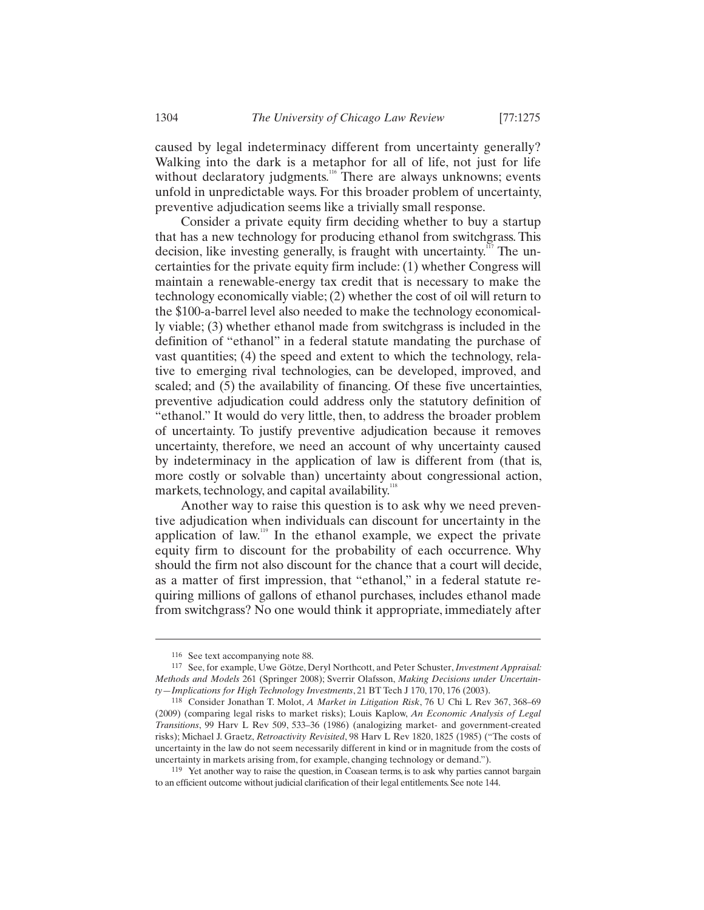caused by legal indeterminacy different from uncertainty generally? Walking into the dark is a metaphor for all of life, not just for life without declaratory judgments.<sup>116</sup> There are always unknowns; events unfold in unpredictable ways. For this broader problem of uncertainty, preventive adjudication seems like a trivially small response.

Consider a private equity firm deciding whether to buy a startup that has a new technology for producing ethanol from switchgrass. This decision, like investing generally, is fraught with uncertainty.<sup>117</sup> The uncertainties for the private equity firm include: (1) whether Congress will maintain a renewable-energy tax credit that is necessary to make the technology economically viable; (2) whether the cost of oil will return to the \$100-a-barrel level also needed to make the technology economically viable; (3) whether ethanol made from switchgrass is included in the definition of "ethanol" in a federal statute mandating the purchase of vast quantities; (4) the speed and extent to which the technology, relative to emerging rival technologies, can be developed, improved, and scaled; and (5) the availability of financing. Of these five uncertainties, preventive adjudication could address only the statutory definition of "ethanol." It would do very little, then, to address the broader problem of uncertainty. To justify preventive adjudication because it removes uncertainty, therefore, we need an account of why uncertainty caused by indeterminacy in the application of law is different from (that is, more costly or solvable than) uncertainty about congressional action, markets, technology, and capital availability.<sup>118</sup>

Another way to raise this question is to ask why we need preventive adjudication when individuals can discount for uncertainty in the application of law.<sup>119</sup> In the ethanol example, we expect the private equity firm to discount for the probability of each occurrence. Why should the firm not also discount for the chance that a court will decide, as a matter of first impression, that "ethanol," in a federal statute requiring millions of gallons of ethanol purchases, includes ethanol made from switchgrass? No one would think it appropriate, immediately after

<sup>116</sup> See text accompanying note 88. 117 See, for example, Uwe Götze, Deryl Northcott, and Peter Schuster, *Investment Appraisal: Methods and Models* 261 (Springer 2008); Sverrir Olafsson, *Making Decisions under Uncertain-*

*ty—Implications for High Technology Investments*, 21 BT Tech J 170, 170, 176 (2003). 118 Consider Jonathan T. Molot, *A Market in Litigation Risk*, 76 U Chi L Rev 367, 368–69 (2009) (comparing legal risks to market risks); Louis Kaplow, *An Economic Analysis of Legal Transitions*, 99 Harv L Rev 509, 533–36 (1986) (analogizing market- and government-created risks); Michael J. Graetz, *Retroactivity Revisited*, 98 Harv L Rev 1820, 1825 (1985) ("The costs of uncertainty in the law do not seem necessarily different in kind or in magnitude from the costs of uncertainty in markets arising from, for example, changing technology or demand.").<br><sup>119</sup> Yet another way to raise the question, in Coasean terms, is to ask why parties cannot bargain

to an efficient outcome without judicial clarification of their legal entitlements. See note 144.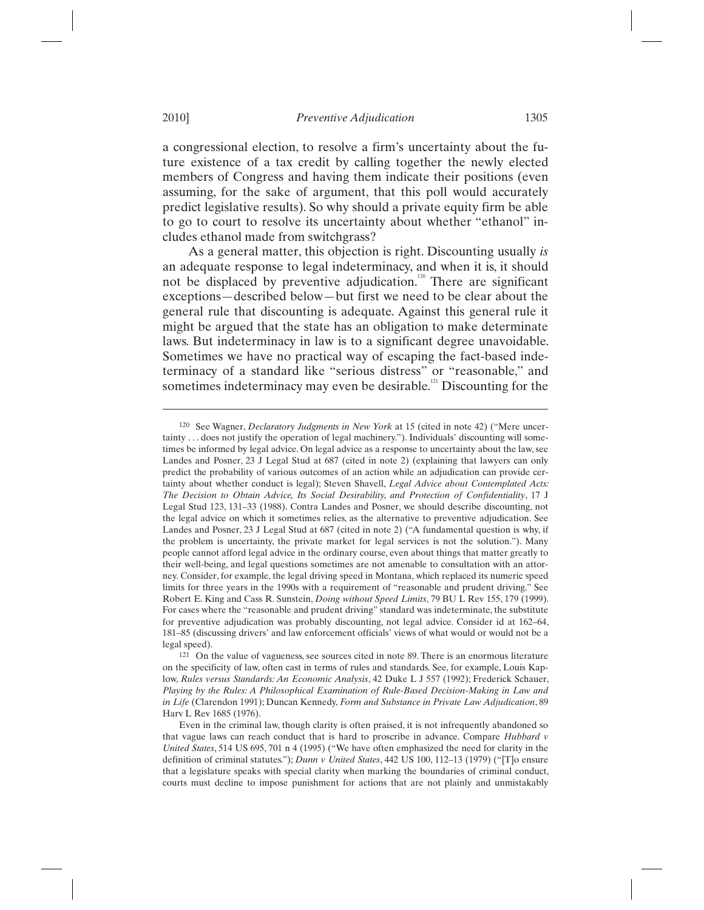a congressional election, to resolve a firm's uncertainty about the future existence of a tax credit by calling together the newly elected members of Congress and having them indicate their positions (even assuming, for the sake of argument, that this poll would accurately predict legislative results). So why should a private equity firm be able to go to court to resolve its uncertainty about whether "ethanol" includes ethanol made from switchgrass?

As a general matter, this objection is right. Discounting usually *is* an adequate response to legal indeterminacy, and when it is, it should not be displaced by preventive adjudication.<sup>120</sup> There are significant exceptions—described below—but first we need to be clear about the general rule that discounting is adequate. Against this general rule it might be argued that the state has an obligation to make determinate laws. But indeterminacy in law is to a significant degree unavoidable. Sometimes we have no practical way of escaping the fact-based indeterminacy of a standard like "serious distress" or "reasonable," and sometimes indeterminacy may even be desirable.<sup>121</sup> Discounting for the

<sup>120</sup> See Wagner, *Declaratory Judgments in New York* at 15 (cited in note 42) ("Mere uncertainty . . . does not justify the operation of legal machinery."). Individuals' discounting will sometimes be informed by legal advice. On legal advice as a response to uncertainty about the law, see Landes and Posner, 23 J Legal Stud at 687 (cited in note 2) (explaining that lawyers can only predict the probability of various outcomes of an action while an adjudication can provide certainty about whether conduct is legal); Steven Shavell, *Legal Advice about Contemplated Acts: The Decision to Obtain Advice, Its Social Desirability, and Protection of Confidentiality*, 17 J Legal Stud 123, 131–33 (1988). Contra Landes and Posner, we should describe discounting, not the legal advice on which it sometimes relies, as the alternative to preventive adjudication. See Landes and Posner, 23 J Legal Stud at 687 (cited in note 2) ("A fundamental question is why, if the problem is uncertainty, the private market for legal services is not the solution."). Many people cannot afford legal advice in the ordinary course, even about things that matter greatly to their well-being, and legal questions sometimes are not amenable to consultation with an attorney. Consider, for example, the legal driving speed in Montana, which replaced its numeric speed limits for three years in the 1990s with a requirement of "reasonable and prudent driving." See Robert E. King and Cass R. Sunstein, *Doing without Speed Limits*, 79 BU L Rev 155, 179 (1999). For cases where the "reasonable and prudent driving" standard was indeterminate, the substitute for preventive adjudication was probably discounting, not legal advice. Consider id at 162–64, 181–85 (discussing drivers' and law enforcement officials' views of what would or would not be a legal speed).

<sup>121</sup> On the value of vagueness, see sources cited in note 89. There is an enormous literature on the specificity of law, often cast in terms of rules and standards. See, for example, Louis Kaplow, *Rules versus Standards: An Economic Analysis*, 42 Duke L J 557 (1992); Frederick Schauer, *Playing by the Rules: A Philosophical Examination of Rule-Based Decision-Making in Law and in Life* (Clarendon 1991); Duncan Kennedy, *Form and Substance in Private Law Adjudication*, 89 Harv L Rev 1685 (1976).

Even in the criminal law, though clarity is often praised, it is not infrequently abandoned so that vague laws can reach conduct that is hard to proscribe in advance. Compare *Hubbard v United States*, 514 US 695, 701 n 4 (1995) ("We have often emphasized the need for clarity in the definition of criminal statutes."); *Dunn v United States*, 442 US 100, 112–13 (1979) ("[T]o ensure that a legislature speaks with special clarity when marking the boundaries of criminal conduct, courts must decline to impose punishment for actions that are not plainly and unmistakably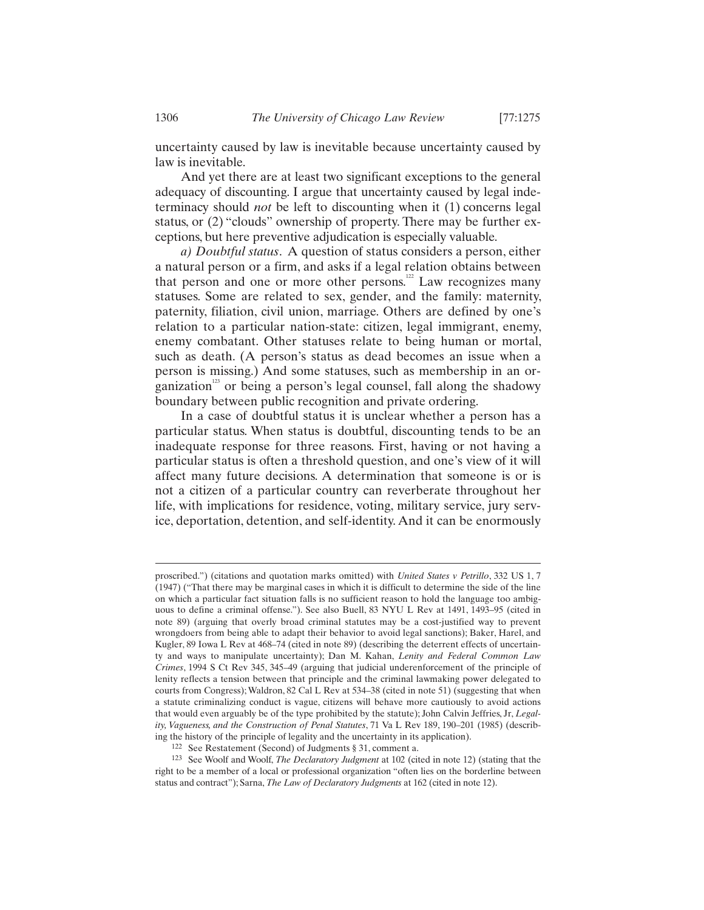uncertainty caused by law is inevitable because uncertainty caused by law is inevitable.

And yet there are at least two significant exceptions to the general adequacy of discounting. I argue that uncertainty caused by legal indeterminacy should *not* be left to discounting when it (1) concerns legal status, or (2) "clouds" ownership of property. There may be further exceptions, but here preventive adjudication is especially valuable.

*a) Doubtful status*. A question of status considers a person, either a natural person or a firm, and asks if a legal relation obtains between that person and one or more other persons. $12$  Law recognizes many statuses. Some are related to sex, gender, and the family: maternity, paternity, filiation, civil union, marriage. Others are defined by one's relation to a particular nation-state: citizen, legal immigrant, enemy, enemy combatant. Other statuses relate to being human or mortal, such as death. (A person's status as dead becomes an issue when a person is missing.) And some statuses, such as membership in an organization<sup>123</sup> or being a person's legal counsel, fall along the shadowy boundary between public recognition and private ordering.

In a case of doubtful status it is unclear whether a person has a particular status. When status is doubtful, discounting tends to be an inadequate response for three reasons. First, having or not having a particular status is often a threshold question, and one's view of it will affect many future decisions. A determination that someone is or is not a citizen of a particular country can reverberate throughout her life, with implications for residence, voting, military service, jury service, deportation, detention, and self-identity. And it can be enormously

proscribed.") (citations and quotation marks omitted) with *United States v Petrillo*, 332 US 1, 7 (1947) ("That there may be marginal cases in which it is difficult to determine the side of the line on which a particular fact situation falls is no sufficient reason to hold the language too ambiguous to define a criminal offense."). See also Buell, 83 NYU L Rev at 1491, 1493–95 (cited in note 89) (arguing that overly broad criminal statutes may be a cost-justified way to prevent wrongdoers from being able to adapt their behavior to avoid legal sanctions); Baker, Harel, and Kugler, 89 Iowa L Rev at 468–74 (cited in note 89) (describing the deterrent effects of uncertainty and ways to manipulate uncertainty); Dan M. Kahan, *Lenity and Federal Common Law Crimes*, 1994 S Ct Rev 345, 345–49 (arguing that judicial underenforcement of the principle of lenity reflects a tension between that principle and the criminal lawmaking power delegated to courts from Congress); Waldron, 82 Cal L Rev at 534–38 (cited in note 51) (suggesting that when a statute criminalizing conduct is vague, citizens will behave more cautiously to avoid actions that would even arguably be of the type prohibited by the statute); John Calvin Jeffries, Jr, *Legality, Vagueness, and the Construction of Penal Statutes*, 71 Va L Rev 189, 190–201 (1985) (describing the history of the principle of legality and the uncertainty in its application). 122 See Restatement (Second) of Judgments § 31, comment a.

<sup>123</sup> See Woolf and Woolf, *The Declaratory Judgment* at 102 (cited in note 12) (stating that the right to be a member of a local or professional organization "often lies on the borderline between status and contract"); Sarna, *The Law of Declaratory Judgments* at 162 (cited in note 12).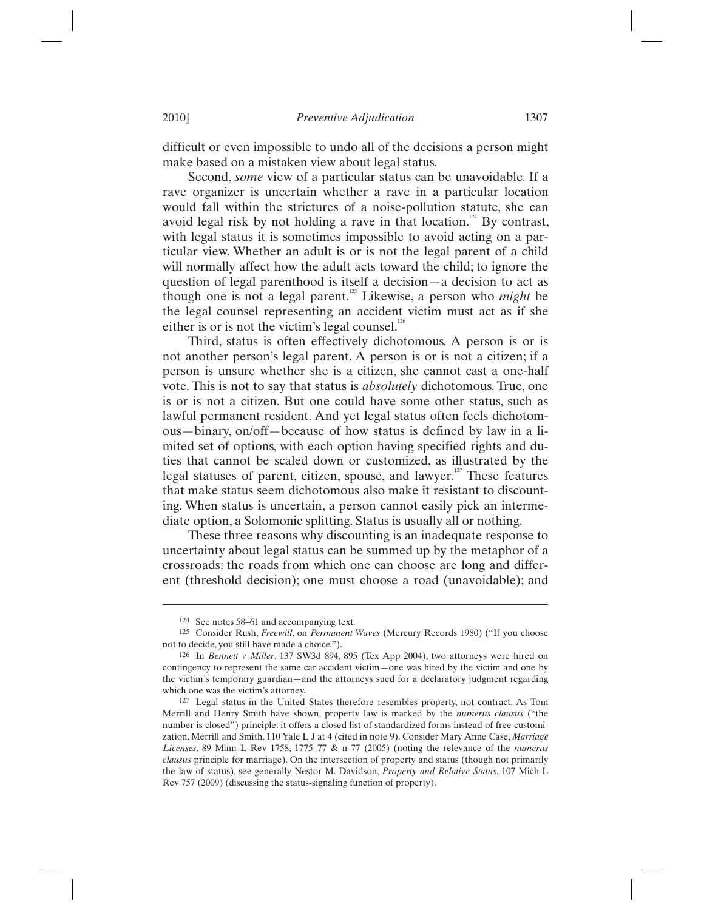difficult or even impossible to undo all of the decisions a person might make based on a mistaken view about legal status.

Second, *some* view of a particular status can be unavoidable. If a rave organizer is uncertain whether a rave in a particular location would fall within the strictures of a noise-pollution statute, she can avoid legal risk by not holding a rave in that location.<sup>124</sup> By contrast, with legal status it is sometimes impossible to avoid acting on a particular view. Whether an adult is or is not the legal parent of a child will normally affect how the adult acts toward the child; to ignore the question of legal parenthood is itself a decision—a decision to act as though one is not a legal parent.125 Likewise, a person who *might* be the legal counsel representing an accident victim must act as if she either is or is not the victim's legal counsel. $126$ 

Third, status is often effectively dichotomous. A person is or is not another person's legal parent. A person is or is not a citizen; if a person is unsure whether she is a citizen, she cannot cast a one-half vote. This is not to say that status is *absolutely* dichotomous. True, one is or is not a citizen. But one could have some other status, such as lawful permanent resident. And yet legal status often feels dichotomous—binary, on/off—because of how status is defined by law in a limited set of options, with each option having specified rights and duties that cannot be scaled down or customized, as illustrated by the legal statuses of parent, citizen, spouse, and lawyer.<sup>127</sup> These features that make status seem dichotomous also make it resistant to discounting. When status is uncertain, a person cannot easily pick an intermediate option, a Solomonic splitting. Status is usually all or nothing.

These three reasons why discounting is an inadequate response to uncertainty about legal status can be summed up by the metaphor of a crossroads: the roads from which one can choose are long and different (threshold decision); one must choose a road (unavoidable); and

<sup>124</sup> See notes 58–61 and accompanying text. 125 Consider Rush, *Freewill*, on *Permanent Waves* (Mercury Records 1980) ("If you choose not to decide, you still have made a choice.").

<sup>126</sup> In *Bennett v Miller*, 137 SW3d 894, 895 (Tex App 2004), two attorneys were hired on contingency to represent the same car accident victim—one was hired by the victim and one by the victim's temporary guardian—and the attorneys sued for a declaratory judgment regarding

which one was the victim's attorney.<br><sup>127</sup> Legal status in the United States therefore resembles property, not contract. As Tom Merrill and Henry Smith have shown, property law is marked by the *numerus clausus* ("the number is closed") principle: it offers a closed list of standardized forms instead of free customization. Merrill and Smith, 110 Yale L J at 4 (cited in note 9). Consider Mary Anne Case, *Marriage Licenses*, 89 Minn L Rev 1758, 1775–77 & n 77 (2005) (noting the relevance of the *numerus clausus* principle for marriage). On the intersection of property and status (though not primarily the law of status), see generally Nestor M. Davidson, *Property and Relative Status*, 107 Mich L Rev 757 (2009) (discussing the status-signaling function of property).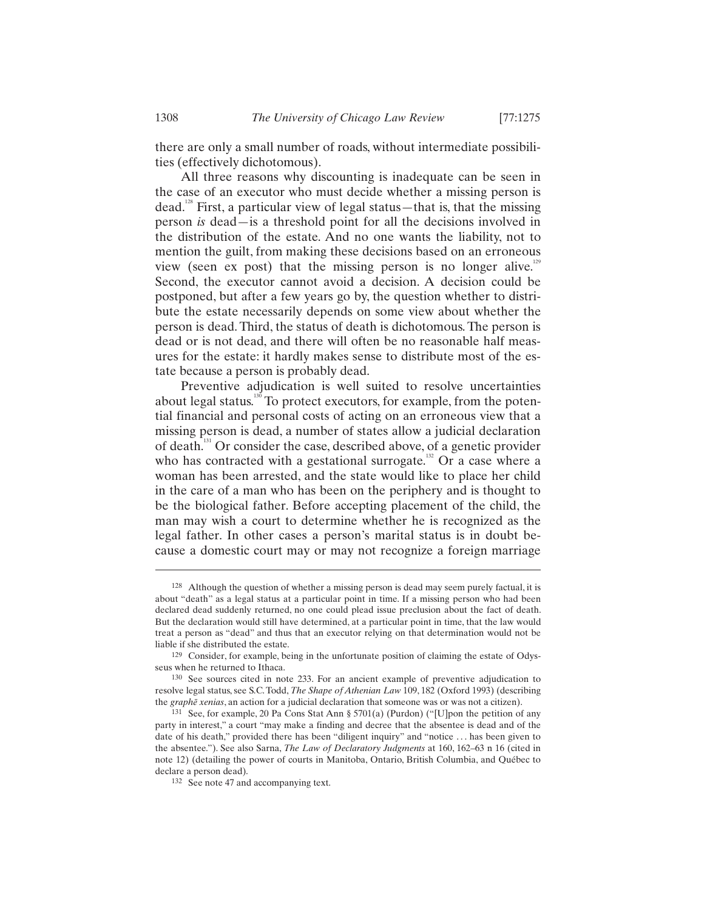there are only a small number of roads, without intermediate possibilities (effectively dichotomous).

All three reasons why discounting is inadequate can be seen in the case of an executor who must decide whether a missing person is dead.<sup>128</sup> First, a particular view of legal status—that is, that the missing person *is* dead—is a threshold point for all the decisions involved in the distribution of the estate. And no one wants the liability, not to mention the guilt, from making these decisions based on an erroneous view (seen ex post) that the missing person is no longer alive.<sup>129</sup> Second, the executor cannot avoid a decision. A decision could be postponed, but after a few years go by, the question whether to distribute the estate necessarily depends on some view about whether the person is dead. Third, the status of death is dichotomous. The person is dead or is not dead, and there will often be no reasonable half measures for the estate: it hardly makes sense to distribute most of the estate because a person is probably dead.

Preventive adjudication is well suited to resolve uncertainties about legal status.<sup>130</sup> To protect executors, for example, from the potential financial and personal costs of acting on an erroneous view that a missing person is dead, a number of states allow a judicial declaration of death.131 Or consider the case, described above, of a genetic provider who has contracted with a gestational surrogate.<sup>132</sup> Or a case where a woman has been arrested, and the state would like to place her child in the care of a man who has been on the periphery and is thought to be the biological father. Before accepting placement of the child, the man may wish a court to determine whether he is recognized as the legal father. In other cases a person's marital status is in doubt because a domestic court may or may not recognize a foreign marriage

<sup>128</sup> Although the question of whether a missing person is dead may seem purely factual, it is about "death" as a legal status at a particular point in time. If a missing person who had been declared dead suddenly returned, no one could plead issue preclusion about the fact of death. But the declaration would still have determined, at a particular point in time, that the law would treat a person as "dead" and thus that an executor relying on that determination would not be liable if she distributed the estate.

<sup>129</sup> Consider, for example, being in the unfortunate position of claiming the estate of Odysseus when he returned to Ithaca.<br><sup>130</sup> See sources cited in note 233. For an ancient example of preventive adjudication to

resolve legal status, see S.C. Todd, *The Shape of Athenian Law* 109, 182 (Oxford 1993) (describing the *graphē xenias*, an action for a judicial declaration that someone was or was not a citizen).

<sup>&</sup>lt;sup>131</sup> See, for example, 20 Pa Cons Stat Ann § 5701(a) (Purdon) ("[U]pon the petition of any party in interest," a court "may make a finding and decree that the absentee is dead and of the date of his death," provided there has been "diligent inquiry" and "notice . . . has been given to the absentee."). See also Sarna, *The Law of Declaratory Judgments* at 160, 162–63 n 16 (cited in note 12) (detailing the power of courts in Manitoba, Ontario, British Columbia, and Québec to declare a person dead).<br><sup>132</sup> See note 47 and accompanying text.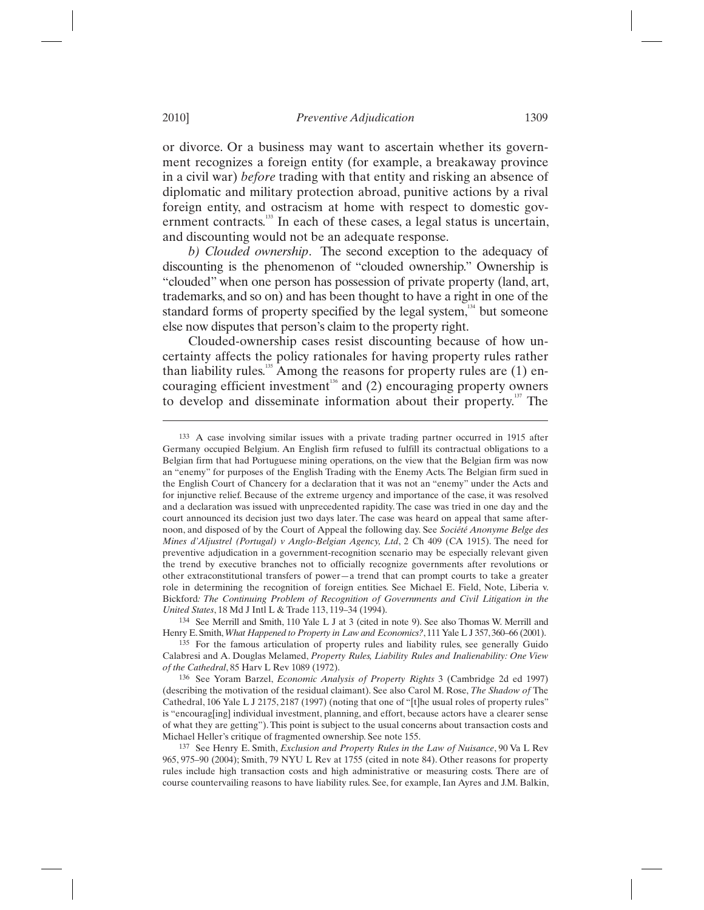or divorce. Or a business may want to ascertain whether its government recognizes a foreign entity (for example, a breakaway province in a civil war) *before* trading with that entity and risking an absence of diplomatic and military protection abroad, punitive actions by a rival foreign entity, and ostracism at home with respect to domestic government contracts.<sup>133</sup> In each of these cases, a legal status is uncertain, and discounting would not be an adequate response.

*b) Clouded ownership*. The second exception to the adequacy of discounting is the phenomenon of "clouded ownership." Ownership is "clouded" when one person has possession of private property (land, art, trademarks, and so on) and has been thought to have a right in one of the standard forms of property specified by the legal system, $134$  but someone else now disputes that person's claim to the property right.

Clouded-ownership cases resist discounting because of how uncertainty affects the policy rationales for having property rules rather than liability rules.<sup>135</sup> Among the reasons for property rules are  $(1)$  encouraging efficient investment<sup>136</sup> and (2) encouraging property owners to develop and disseminate information about their property.<sup>137</sup> The

<sup>133</sup> A case involving similar issues with a private trading partner occurred in 1915 after Germany occupied Belgium. An English firm refused to fulfill its contractual obligations to a Belgian firm that had Portuguese mining operations, on the view that the Belgian firm was now an "enemy" for purposes of the English Trading with the Enemy Acts. The Belgian firm sued in the English Court of Chancery for a declaration that it was not an "enemy" under the Acts and for injunctive relief. Because of the extreme urgency and importance of the case, it was resolved and a declaration was issued with unprecedented rapidity. The case was tried in one day and the court announced its decision just two days later. The case was heard on appeal that same afternoon, and disposed of by the Court of Appeal the following day. See *Société Anonyme Belge des Mines d'Aljustrel (Portugal) v Anglo-Belgian Agency, Ltd*, 2 Ch 409 (CA 1915). The need for preventive adjudication in a government-recognition scenario may be especially relevant given the trend by executive branches not to officially recognize governments after revolutions or other extraconstitutional transfers of power—a trend that can prompt courts to take a greater role in determining the recognition of foreign entities. See Michael E. Field, Note, Liberia v. Bickford*: The Continuing Problem of Recognition of Governments and Civil Litigation in the United States*, 18 Md J Intl L & Trade 113, 119–34 (1994).

<sup>134</sup> See Merrill and Smith, 110 Yale L J at 3 (cited in note 9). See also Thomas W. Merrill and Henry E. Smith, *What Happened to Property in Law and Economics*?, 111 Yale L J 357, 360–66 (2001). <sup>135</sup> For the famous articulation of property rules and liability rules, see generally Guido

Calabresi and A. Douglas Melamed, *Property Rules, Liability Rules and Inalienability: One View of the Cathedral*, 85 Harv L Rev 1089 (1972). 136 See Yoram Barzel, *Economic Analysis of Property Rights* 3 (Cambridge 2d ed 1997)

<sup>(</sup>describing the motivation of the residual claimant). See also Carol M. Rose, *The Shadow of* The Cathedral, 106 Yale L J 2175, 2187 (1997) (noting that one of "[t]he usual roles of property rules" is "encourag[ing] individual investment, planning, and effort, because actors have a clearer sense of what they are getting"). This point is subject to the usual concerns about transaction costs and Michael Heller's critique of fragmented ownership. See note 155. 137 See Henry E. Smith, *Exclusion and Property Rules in the Law of Nuisance*, 90 Va L Rev

<sup>965, 975–90 (2004);</sup> Smith, 79 NYU L Rev at 1755 (cited in note 84). Other reasons for property rules include high transaction costs and high administrative or measuring costs. There are of course countervailing reasons to have liability rules. See, for example, Ian Ayres and J.M. Balkin,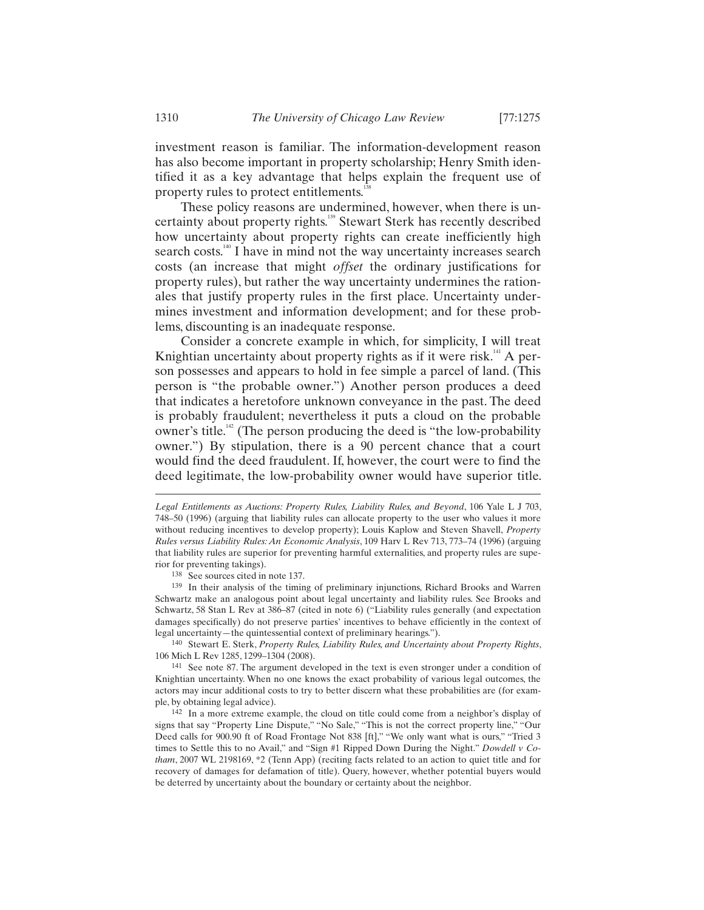investment reason is familiar. The information-development reason has also become important in property scholarship; Henry Smith identified it as a key advantage that helps explain the frequent use of property rules to protect entitlements.<sup>1</sup>

These policy reasons are undermined, however, when there is uncertainty about property rights.139 Stewart Sterk has recently described how uncertainty about property rights can create inefficiently high search costs.<sup>140</sup> I have in mind not the way uncertainty increases search costs (an increase that might *offset* the ordinary justifications for property rules), but rather the way uncertainty undermines the rationales that justify property rules in the first place. Uncertainty undermines investment and information development; and for these problems, discounting is an inadequate response.

Consider a concrete example in which, for simplicity, I will treat Knightian uncertainty about property rights as if it were risk.<sup>141</sup> A person possesses and appears to hold in fee simple a parcel of land. (This person is "the probable owner.") Another person produces a deed that indicates a heretofore unknown conveyance in the past. The deed is probably fraudulent; nevertheless it puts a cloud on the probable owner's title.<sup>142</sup> (The person producing the deed is "the low-probability") owner.") By stipulation, there is a 90 percent chance that a court would find the deed fraudulent. If, however, the court were to find the deed legitimate, the low-probability owner would have superior title.

140 Stewart E. Sterk, *Property Rules, Liability Rules, and Uncertainty about Property Rights*, 106 Mich L Rev 1285, 1299–1304 (2008).

*Legal Entitlements as Auctions: Property Rules, Liability Rules, and Beyond*, 106 Yale L J 703, 748–50 (1996) (arguing that liability rules can allocate property to the user who values it more without reducing incentives to develop property); Louis Kaplow and Steven Shavell, *Property Rules versus Liability Rules: An Economic Analysis*, 109 Harv L Rev 713, 773–74 (1996) (arguing that liability rules are superior for preventing harmful externalities, and property rules are superior for preventing takings). 138 See sources cited in note 137. 139 In their analysis of the timing of preliminary injunctions, Richard Brooks and Warren

Schwartz make an analogous point about legal uncertainty and liability rules. See Brooks and Schwartz, 58 Stan L Rev at 386–87 (cited in note 6) ("Liability rules generally (and expectation damages specifically) do not preserve parties' incentives to behave efficiently in the context of legal uncertainty—the quintessential context of preliminary hearings.").

<sup>141</sup> See note 87. The argument developed in the text is even stronger under a condition of Knightian uncertainty. When no one knows the exact probability of various legal outcomes, the actors may incur additional costs to try to better discern what these probabilities are (for exam-<br>ple, by obtaining legal advice).

<sup>&</sup>lt;sup>142</sup> In a more extreme example, the cloud on title could come from a neighbor's display of signs that say "Property Line Dispute," "No Sale," "This is not the correct property line," "Our Deed calls for 900.90 ft of Road Frontage Not 838 [ft]," "We only want what is ours," "Tried 3 times to Settle this to no Avail," and "Sign #1 Ripped Down During the Night." *Dowdell v Cotham*, 2007 WL 2198169, \*2 (Tenn App) (reciting facts related to an action to quiet title and for recovery of damages for defamation of title). Query, however, whether potential buyers would be deterred by uncertainty about the boundary or certainty about the neighbor.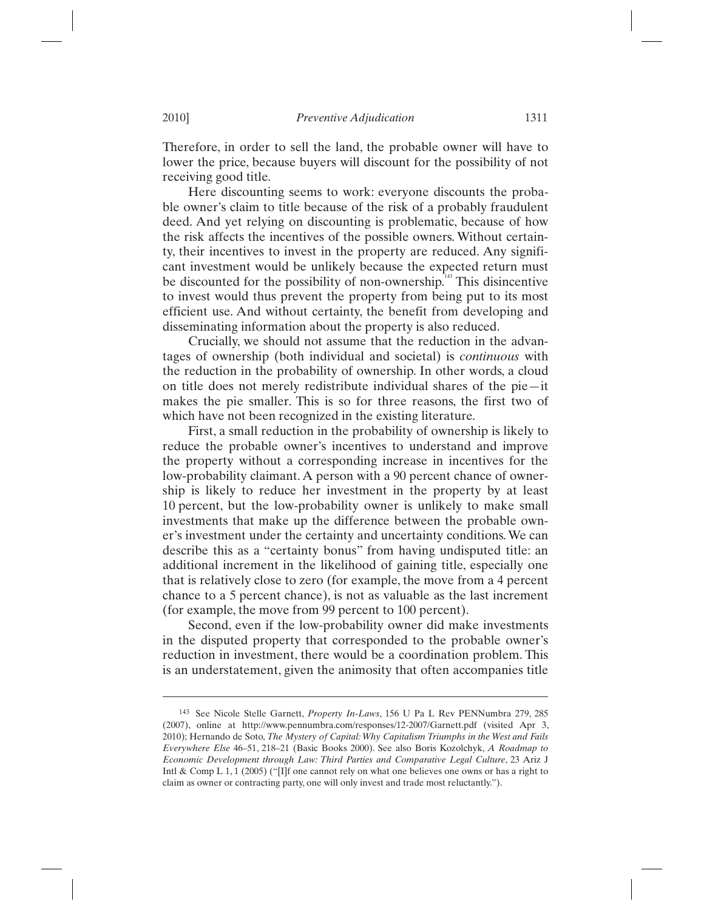Therefore, in order to sell the land, the probable owner will have to lower the price, because buyers will discount for the possibility of not receiving good title.

Here discounting seems to work: everyone discounts the probable owner's claim to title because of the risk of a probably fraudulent deed. And yet relying on discounting is problematic, because of how the risk affects the incentives of the possible owners. Without certainty, their incentives to invest in the property are reduced. Any significant investment would be unlikely because the expected return must be discounted for the possibility of non-ownership.<sup>143</sup> This disincentive to invest would thus prevent the property from being put to its most efficient use. And without certainty, the benefit from developing and disseminating information about the property is also reduced.

Crucially, we should not assume that the reduction in the advantages of ownership (both individual and societal) is *continuous* with the reduction in the probability of ownership. In other words, a cloud on title does not merely redistribute individual shares of the pie—it makes the pie smaller. This is so for three reasons, the first two of which have not been recognized in the existing literature.

First, a small reduction in the probability of ownership is likely to reduce the probable owner's incentives to understand and improve the property without a corresponding increase in incentives for the low-probability claimant. A person with a 90 percent chance of ownership is likely to reduce her investment in the property by at least 10 percent, but the low-probability owner is unlikely to make small investments that make up the difference between the probable owner's investment under the certainty and uncertainty conditions. We can describe this as a "certainty bonus" from having undisputed title: an additional increment in the likelihood of gaining title, especially one that is relatively close to zero (for example, the move from a 4 percent chance to a 5 percent chance), is not as valuable as the last increment (for example, the move from 99 percent to 100 percent).

Second, even if the low-probability owner did make investments in the disputed property that corresponded to the probable owner's reduction in investment, there would be a coordination problem. This is an understatement, given the animosity that often accompanies title

<sup>143</sup> See Nicole Stelle Garnett, *Property In-Laws*, 156 U Pa L Rev PENNumbra 279, 285 (2007), online at http://www.pennumbra.com/responses/12-2007/Garnett.pdf (visited Apr 3, 2010); Hernando de Soto, *The Mystery of Capital: Why Capitalism Triumphs in the West and Fails Everywhere Else* 46–51, 218–21 (Basic Books 2000). See also Boris Kozolchyk, *A Roadmap to Economic Development through Law: Third Parties and Comparative Legal Culture*, 23 Ariz J Intl & Comp L 1, 1 (2005) ("[I]f one cannot rely on what one believes one owns or has a right to claim as owner or contracting party, one will only invest and trade most reluctantly.").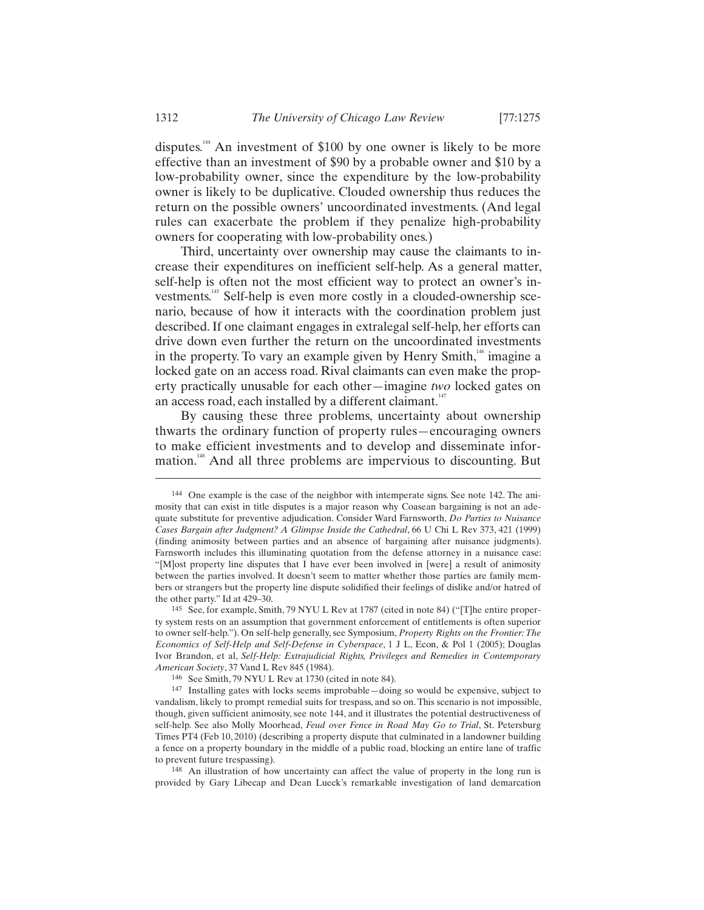disputes.144 An investment of \$100 by one owner is likely to be more effective than an investment of \$90 by a probable owner and \$10 by a low-probability owner, since the expenditure by the low-probability owner is likely to be duplicative. Clouded ownership thus reduces the return on the possible owners' uncoordinated investments. (And legal rules can exacerbate the problem if they penalize high-probability owners for cooperating with low-probability ones.)

Third, uncertainty over ownership may cause the claimants to increase their expenditures on inefficient self-help. As a general matter, self-help is often not the most efficient way to protect an owner's investments.<sup>145</sup> Self-help is even more costly in a clouded-ownership scenario, because of how it interacts with the coordination problem just described. If one claimant engages in extralegal self-help, her efforts can drive down even further the return on the uncoordinated investments in the property. To vary an example given by Henry Smith, $\frac{146}{1}$  imagine a locked gate on an access road. Rival claimants can even make the property practically unusable for each other—imagine *two* locked gates on an access road, each installed by a different claimant.<sup>147</sup>

By causing these three problems, uncertainty about ownership thwarts the ordinary function of property rules—encouraging owners to make efficient investments and to develop and disseminate information.<sup>148</sup> And all three problems are impervious to discounting. But

<sup>144</sup> One example is the case of the neighbor with intemperate signs. See note 142. The animosity that can exist in title disputes is a major reason why Coasean bargaining is not an adequate substitute for preventive adjudication. Consider Ward Farnsworth, *Do Parties to Nuisance Cases Bargain after Judgment? A Glimpse Inside the Cathedral*, 66 U Chi L Rev 373, 421 (1999) (finding animosity between parties and an absence of bargaining after nuisance judgments). Farnsworth includes this illuminating quotation from the defense attorney in a nuisance case: "[M]ost property line disputes that I have ever been involved in [were] a result of animosity between the parties involved. It doesn't seem to matter whether those parties are family members or strangers but the property line dispute solidified their feelings of dislike and/or hatred of the other party." Id at 429–30.<br><sup>145</sup> See, for example, Smith, 79 NYU L Rev at 1787 (cited in note 84) ("[T]he entire proper-

ty system rests on an assumption that government enforcement of entitlements is often superior to owner self-help."). On self-help generally, see Symposium, *Property Rights on the Frontier: The Economics of Self-Help and Self-Defense in Cyberspace*, 1 J L, Econ, & Pol 1 (2005); Douglas Ivor Brandon, et al, *Self-Help: Extrajudicial Rights, Privileges and Remedies in Contemporary American Society*, 37 Vand L Rev 845 (1984). 146 See Smith, 79 NYU L Rev at 1730 (cited in note 84).

<sup>147</sup> Installing gates with locks seems improbable—doing so would be expensive, subject to vandalism, likely to prompt remedial suits for trespass, and so on. This scenario is not impossible, though, given sufficient animosity, see note 144, and it illustrates the potential destructiveness of self-help. See also Molly Moorhead, *Feud over Fence in Road May Go to Trial*, St. Petersburg Times PT4 (Feb 10, 2010) (describing a property dispute that culminated in a landowner building a fence on a property boundary in the middle of a public road, blocking an entire lane of traffic to prevent future trespassing).<br><sup>148</sup> An illustration of how uncertainty can affect the value of property in the long run is

provided by Gary Libecap and Dean Lueck's remarkable investigation of land demarcation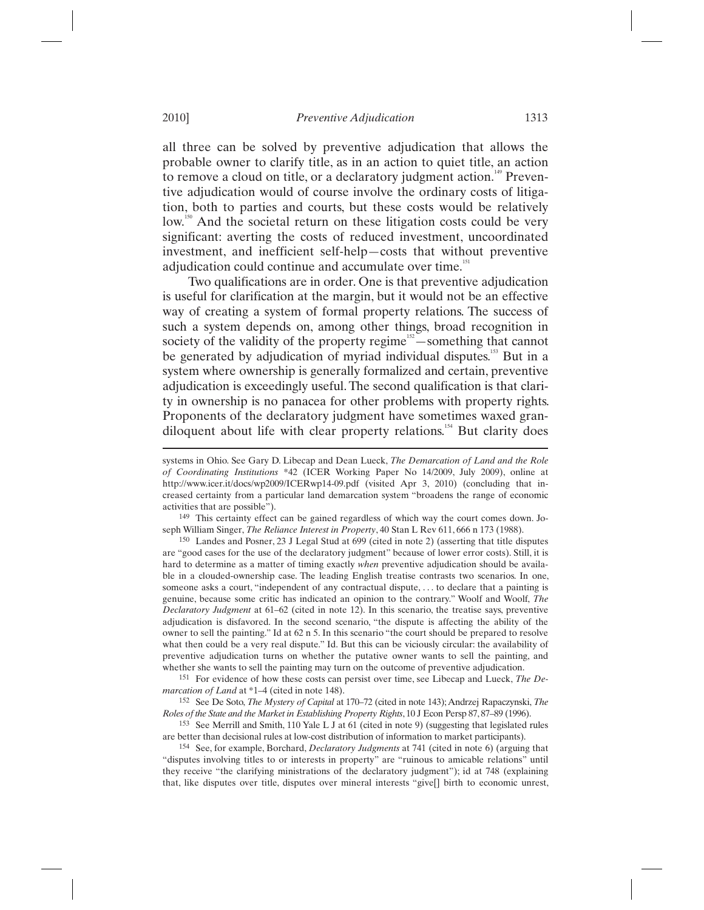all three can be solved by preventive adjudication that allows the probable owner to clarify title, as in an action to quiet title, an action to remove a cloud on title, or a declaratory judgment action.<sup>149</sup> Preventive adjudication would of course involve the ordinary costs of litigation, both to parties and courts, but these costs would be relatively low.<sup>150</sup> And the societal return on these litigation costs could be very significant: averting the costs of reduced investment, uncoordinated investment, and inefficient self-help—costs that without preventive adjudication could continue and accumulate over time.<sup>151</sup>

Two qualifications are in order. One is that preventive adjudication is useful for clarification at the margin, but it would not be an effective way of creating a system of formal property relations. The success of such a system depends on, among other things, broad recognition in society of the validity of the property regime $152$ —something that cannot be generated by adjudication of myriad individual disputes.<sup>153</sup> But in a system where ownership is generally formalized and certain, preventive adjudication is exceedingly useful. The second qualification is that clarity in ownership is no panacea for other problems with property rights. Proponents of the declaratory judgment have sometimes waxed grandiloquent about life with clear property relations.154 But clarity does

149 This certainty effect can be gained regardless of which way the court comes down. Joseph William Singer, *The Reliance Interest in Property*, 40 Stan L Rev 611, 666 n 173 (1988).

150 Landes and Posner, 23 J Legal Stud at 699 (cited in note 2) (asserting that title disputes are "good cases for the use of the declaratory judgment" because of lower error costs). Still, it is hard to determine as a matter of timing exactly *when* preventive adjudication should be available in a clouded-ownership case. The leading English treatise contrasts two scenarios. In one, someone asks a court, "independent of any contractual dispute, ... to declare that a painting is genuine, because some critic has indicated an opinion to the contrary." Woolf and Woolf, *The Declaratory Judgment* at 61–62 (cited in note 12). In this scenario, the treatise says, preventive adjudication is disfavored. In the second scenario, "the dispute is affecting the ability of the owner to sell the painting." Id at 62 n 5. In this scenario "the court should be prepared to resolve what then could be a very real dispute." Id. But this can be viciously circular: the availability of preventive adjudication turns on whether the putative owner wants to sell the painting, and whether she wants to sell the painting may turn on the outcome of preventive adjudication.<br><sup>151</sup> For evidence of how these costs can persist over time, see Libecap and Lueck, *The De-*

*marcation of Land* at \*1–4 (cited in note 148).

152 See De Soto, *The Mystery of Capital* at 170–72 (cited in note 143); Andrzej Rapaczynski, *The Roles of the State and the Market in Establishing Property Rights*, 10 J Econ Persp 87, 87–89 (1996).

153 See Merrill and Smith, 110 Yale L J at 61 (cited in note 9) (suggesting that legislated rules are better than decisional rules at low-cost distribution of information to market participants).

154 See, for example, Borchard, *Declaratory Judgments* at 741 (cited in note 6) (arguing that "disputes involving titles to or interests in property" are "ruinous to amicable relations" until they receive "the clarifying ministrations of the declaratory judgment"); id at 748 (explaining that, like disputes over title, disputes over mineral interests "give[] birth to economic unrest,

systems in Ohio. See Gary D. Libecap and Dean Lueck, *The Demarcation of Land and the Role of Coordinating Institutions* \*42 (ICER Working Paper No 14/2009, July 2009), online at http://www.icer.it/docs/wp2009/ICERwp14-09.pdf (visited Apr 3, 2010) (concluding that increased certainty from a particular land demarcation system "broadens the range of economic activities that are possible").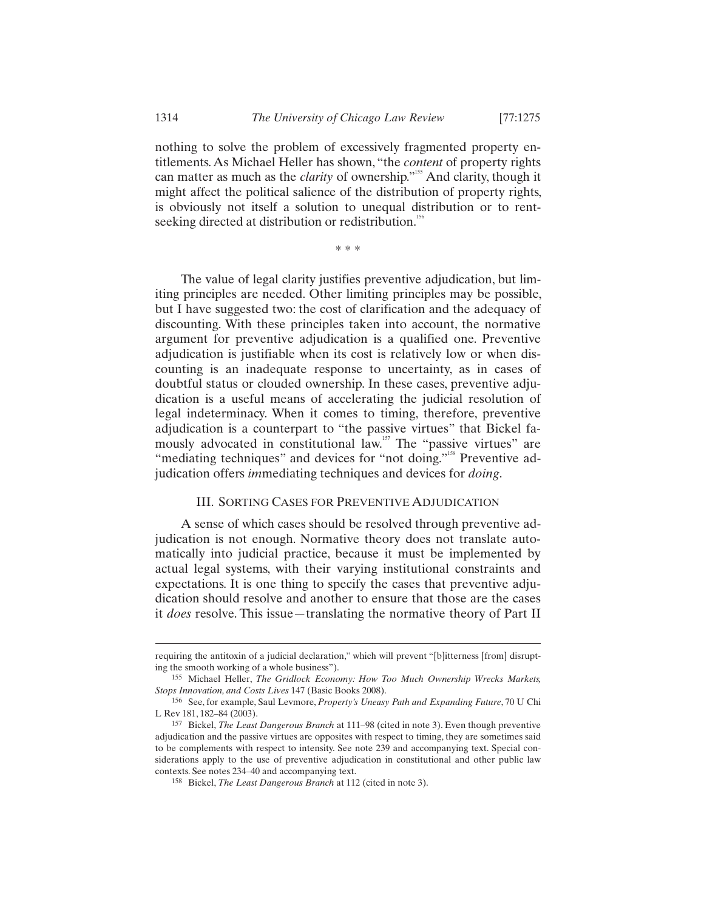nothing to solve the problem of excessively fragmented property entitlements. As Michael Heller has shown, "the *content* of property rights can matter as much as the *clarity* of ownership."<sup>155</sup> And clarity, though it might affect the political salience of the distribution of property rights, is obviously not itself a solution to unequal distribution or to rentseeking directed at distribution or redistribution.<sup>156</sup>

\* \* \*

The value of legal clarity justifies preventive adjudication, but limiting principles are needed. Other limiting principles may be possible, but I have suggested two: the cost of clarification and the adequacy of discounting. With these principles taken into account, the normative argument for preventive adjudication is a qualified one. Preventive adjudication is justifiable when its cost is relatively low or when discounting is an inadequate response to uncertainty, as in cases of doubtful status or clouded ownership. In these cases, preventive adjudication is a useful means of accelerating the judicial resolution of legal indeterminacy. When it comes to timing, therefore, preventive adjudication is a counterpart to "the passive virtues" that Bickel famously advocated in constitutional law.<sup>157</sup> The "passive virtues" are "mediating techniques" and devices for "not doing."<sup>158</sup> Preventive adjudication offers *im*mediating techniques and devices for *doing*.

## III. SORTING CASES FOR PREVENTIVE ADJUDICATION

A sense of which cases should be resolved through preventive adjudication is not enough. Normative theory does not translate automatically into judicial practice, because it must be implemented by actual legal systems, with their varying institutional constraints and expectations. It is one thing to specify the cases that preventive adjudication should resolve and another to ensure that those are the cases it *does* resolve. This issue—translating the normative theory of Part II

requiring the antitoxin of a judicial declaration," which will prevent "[b]itterness [from] disrupting the smooth working of a whole business"). 155 Michael Heller, *The Gridlock Economy: How Too Much Ownership Wrecks Markets,* 

*Stops Innovation, and Costs Lives* 147 (Basic Books 2008). 156 See, for example, Saul Levmore, *Property's Uneasy Path and Expanding Future*, 70 U Chi

L Rev 181, 182–84 (2003).

<sup>157</sup> Bickel, *The Least Dangerous Branch* at 111–98 (cited in note 3). Even though preventive adjudication and the passive virtues are opposites with respect to timing, they are sometimes said to be complements with respect to intensity. See note 239 and accompanying text. Special considerations apply to the use of preventive adjudication in constitutional and other public law contexts. See notes 234–40 and accompanying text. 158 Bickel, *The Least Dangerous Branch* at 112 (cited in note 3).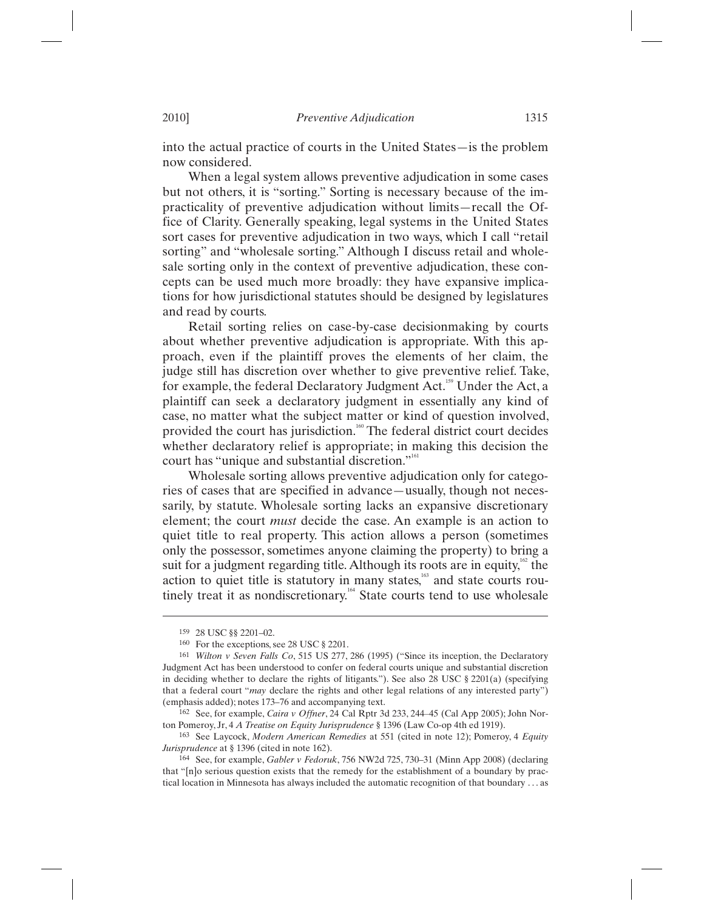into the actual practice of courts in the United States—is the problem now considered.

When a legal system allows preventive adjudication in some cases but not others, it is "sorting." Sorting is necessary because of the impracticality of preventive adjudication without limits—recall the Office of Clarity. Generally speaking, legal systems in the United States sort cases for preventive adjudication in two ways, which I call "retail sorting" and "wholesale sorting." Although I discuss retail and wholesale sorting only in the context of preventive adjudication, these concepts can be used much more broadly: they have expansive implications for how jurisdictional statutes should be designed by legislatures and read by courts.

Retail sorting relies on case-by-case decisionmaking by courts about whether preventive adjudication is appropriate. With this approach, even if the plaintiff proves the elements of her claim, the judge still has discretion over whether to give preventive relief. Take, for example, the federal Declaratory Judgment Act.<sup>159</sup> Under the Act, a plaintiff can seek a declaratory judgment in essentially any kind of case, no matter what the subject matter or kind of question involved, provided the court has jurisdiction.<sup>160</sup> The federal district court decides whether declaratory relief is appropriate; in making this decision the court has "unique and substantial discretion."<sup>161</sup>

Wholesale sorting allows preventive adjudication only for categories of cases that are specified in advance—usually, though not necessarily, by statute. Wholesale sorting lacks an expansive discretionary element; the court *must* decide the case. An example is an action to quiet title to real property. This action allows a person (sometimes only the possessor, sometimes anyone claiming the property) to bring a suit for a judgment regarding title. Although its roots are in equity,<sup>162</sup> the action to quiet title is statutory in many states,<sup>163</sup> and state courts routinely treat it as nondiscretionary.<sup>164</sup> State courts tend to use wholesale

<sup>159 28</sup> USC §§ 2201–02.

<sup>160</sup> For the exceptions, see 28 USC § 2201.

<sup>161</sup> *Wilton v Seven Falls Co*, 515 US 277, 286 (1995) ("Since its inception, the Declaratory Judgment Act has been understood to confer on federal courts unique and substantial discretion in deciding whether to declare the rights of litigants."). See also 28 USC  $\S 2201(a)$  (specifying that a federal court "*may* declare the rights and other legal relations of any interested party") (emphasis added); notes 173–76 and accompanying text.

<sup>&</sup>lt;sup>162</sup> See, for example, *Caira v Offner*, 24 Cal Rptr 3d 233, 244–45 (Cal App 2005); John Norton Pomeroy, Jr, 4 *A Treatise on Equity Jurisprudence* § 1396 (Law Co-op 4th ed 1919). 163 See Laycock, *Modern American Remedies* at 551 (cited in note 12); Pomeroy, 4 *Equity* 

*Jurisprudence* at § 1396 (cited in note 162).

<sup>164</sup> See, for example, *Gabler v Fedoruk*, 756 NW2d 725, 730–31 (Minn App 2008) (declaring that "[n]o serious question exists that the remedy for the establishment of a boundary by practical location in Minnesota has always included the automatic recognition of that boundary . . . as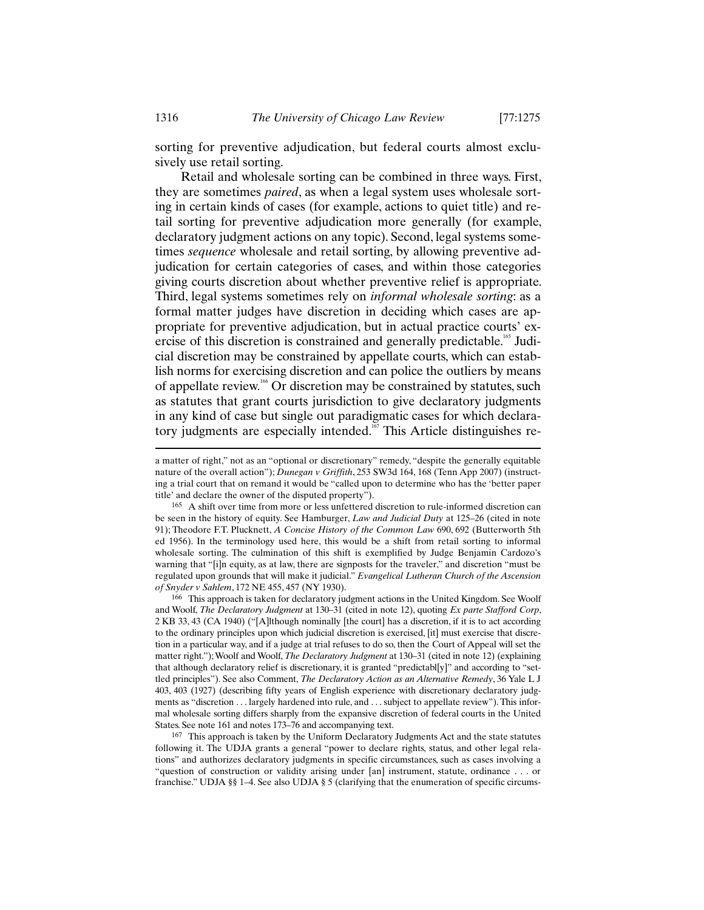sorting for preventive adjudication, but federal courts almost exclusively use retail sorting.

Retail and wholesale sorting can be combined in three ways. First, they are sometimes *paired*, as when a legal system uses wholesale sorting in certain kinds of cases (for example, actions to quiet title) and retail sorting for preventive adjudication more generally (for example, declaratory judgment actions on any topic). Second, legal systems sometimes *sequence* wholesale and retail sorting, by allowing preventive adjudication for certain categories of cases, and within those categories giving courts discretion about whether preventive relief is appropriate. Third, legal systems sometimes rely on *informal wholesale sorting*: as a formal matter judges have discretion in deciding which cases are appropriate for preventive adjudication, but in actual practice courts' exercise of this discretion is constrained and generally predictable.<sup>165</sup> Judicial discretion may be constrained by appellate courts, which can establish norms for exercising discretion and can police the outliers by means of appellate review.<sup>166</sup> Or discretion may be constrained by statutes, such as statutes that grant courts jurisdiction to give declaratory judgments in any kind of case but single out paradigmatic cases for which declaratory judgments are especially intended.<sup>167</sup> This Article distinguishes re-

-

a matter of right," not as an "optional or discretionary" remedy, "despite the generally equitable nature of the overall action"); *Dunegan v Griffith*, 253 SW3d 164, 168 (Tenn App 2007) (instructing a trial court that on remand it would be "called upon to determine who has the 'better paper title' and declare the owner of the disputed property").<br><sup>165</sup> A shift over time from more or less unfettered discretion to rule-informed discretion can

be seen in the history of equity. See Hamburger, *Law and Judicial Duty* at 125–26 (cited in note 91); Theodore F.T. Plucknett, *A Concise History of the Common Law* 690, 692 (Butterworth 5th ed 1956). In the terminology used here, this would be a shift from retail sorting to informal wholesale sorting. The culmination of this shift is exemplified by Judge Benjamin Cardozo's warning that "[i]n equity, as at law, there are signposts for the traveler," and discretion "must be regulated upon grounds that will make it judicial." *Evangelical Lutheran Church of the Ascension of Snyder v Sahlem*, 172 NE 455, 457 (NY 1930).<br><sup>166</sup> This approach is taken for declaratory judgment actions in the United Kingdom. See Woolf

and Woolf, *The Declaratory Judgment* at 130–31 (cited in note 12), quoting *Ex parte Stafford Corp*, 2 KB 33, 43 (CA 1940) ("[A]lthough nominally [the court] has a discretion, if it is to act according to the ordinary principles upon which judicial discretion is exercised, [it] must exercise that discretion in a particular way, and if a judge at trial refuses to do so, then the Court of Appeal will set the matter right."); Woolf and Woolf, *The Declaratory Judgment* at 130–31 (cited in note 12) (explaining that although declaratory relief is discretionary, it is granted "predictabl[y]" and according to "settled principles"). See also Comment, *The Declaratory Action as an Alternative Remedy*, 36 Yale L J 403, 403 (1927) (describing fifty years of English experience with discretionary declaratory judgments as "discretion . . . largely hardened into rule, and . . . subject to appellate review"). This informal wholesale sorting differs sharply from the expansive discretion of federal courts in the United States. See note 161 and notes 173–76 and accompanying text. 167 This approach is taken by the Uniform Declaratory Judgments Act and the state statutes

following it. The UDJA grants a general "power to declare rights, status, and other legal relations" and authorizes declaratory judgments in specific circumstances, such as cases involving a "question of construction or validity arising under [an] instrument, statute, ordinance . . . or franchise." UDJA §§ 1–4. See also UDJA § 5 (clarifying that the enumeration of specific circums-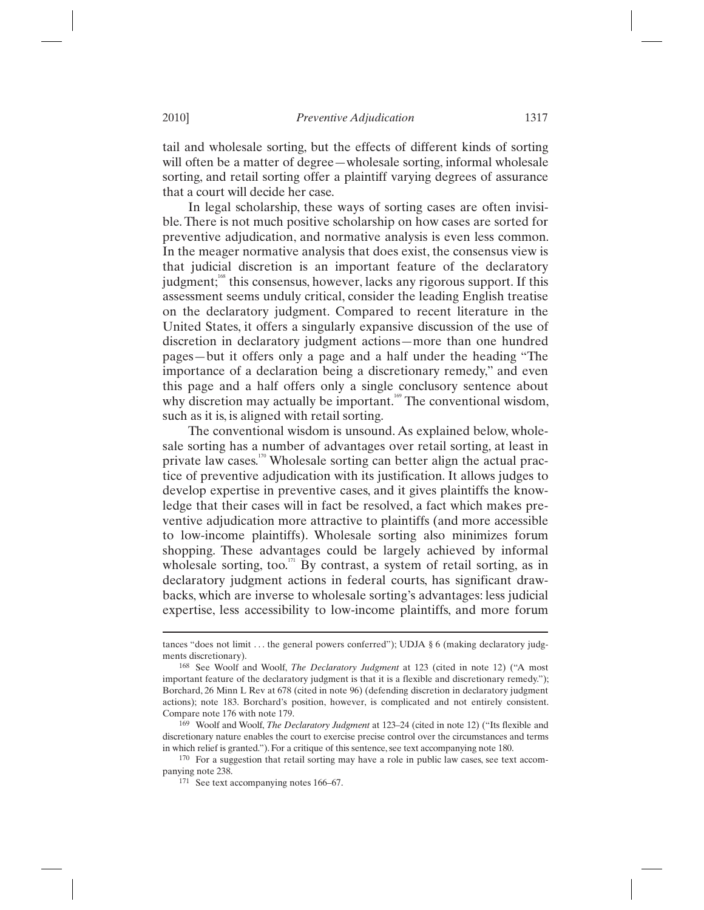tail and wholesale sorting, but the effects of different kinds of sorting will often be a matter of degree—wholesale sorting, informal wholesale sorting, and retail sorting offer a plaintiff varying degrees of assurance that a court will decide her case.

In legal scholarship, these ways of sorting cases are often invisible. There is not much positive scholarship on how cases are sorted for preventive adjudication, and normative analysis is even less common. In the meager normative analysis that does exist, the consensus view is that judicial discretion is an important feature of the declaratory judgment;<sup>168</sup> this consensus, however, lacks any rigorous support. If this assessment seems unduly critical, consider the leading English treatise on the declaratory judgment. Compared to recent literature in the United States, it offers a singularly expansive discussion of the use of discretion in declaratory judgment actions—more than one hundred pages—but it offers only a page and a half under the heading "The importance of a declaration being a discretionary remedy," and even this page and a half offers only a single conclusory sentence about why discretion may actually be important.<sup>169</sup> The conventional wisdom, such as it is, is aligned with retail sorting.

The conventional wisdom is unsound. As explained below, wholesale sorting has a number of advantages over retail sorting, at least in private law cases.<sup>170</sup> Wholesale sorting can better align the actual practice of preventive adjudication with its justification. It allows judges to develop expertise in preventive cases, and it gives plaintiffs the knowledge that their cases will in fact be resolved, a fact which makes preventive adjudication more attractive to plaintiffs (and more accessible to low-income plaintiffs). Wholesale sorting also minimizes forum shopping. These advantages could be largely achieved by informal wholesale sorting, too.<sup>171</sup> By contrast, a system of retail sorting, as in declaratory judgment actions in federal courts, has significant drawbacks, which are inverse to wholesale sorting's advantages: less judicial expertise, less accessibility to low-income plaintiffs, and more forum

tances "does not limit . . . the general powers conferred"); UDJA § 6 (making declaratory judgments discretionary).

<sup>168</sup> See Woolf and Woolf, *The Declaratory Judgment* at 123 (cited in note 12) ("A most important feature of the declaratory judgment is that it is a flexible and discretionary remedy."); Borchard, 26 Minn L Rev at 678 (cited in note 96) (defending discretion in declaratory judgment actions); note 183. Borchard's position, however, is complicated and not entirely consistent. Compare note 176 with note 179.

<sup>169</sup> Woolf and Woolf, *The Declaratory Judgment* at 123–24 (cited in note 12) ("Its flexible and discretionary nature enables the court to exercise precise control over the circumstances and terms in which relief is granted."). For a critique of this sentence, see text accompanying note 180.

<sup>170</sup> For a suggestion that retail sorting may have a role in public law cases, see text accompanying note 238.<br><sup>171</sup> See text accompanying notes 166–67.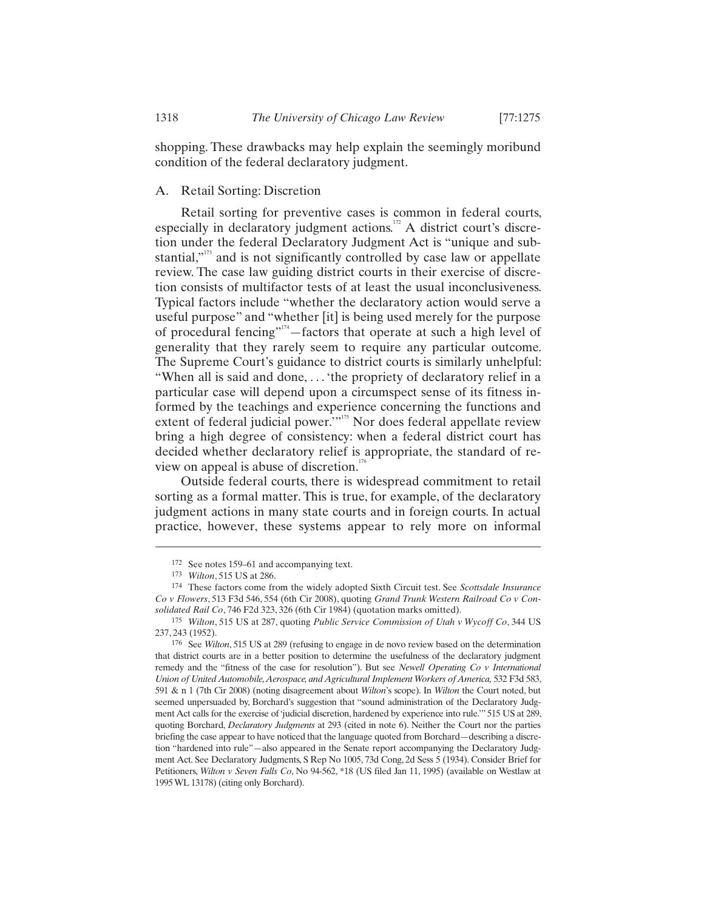shopping. These drawbacks may help explain the seemingly moribund condition of the federal declaratory judgment.

## A. Retail Sorting: Discretion

Retail sorting for preventive cases is common in federal courts, especially in declaratory judgment actions.<sup>172</sup> A district court's discretion under the federal Declaratory Judgment Act is "unique and substantial, $"''$  and is not significantly controlled by case law or appellate review. The case law guiding district courts in their exercise of discretion consists of multifactor tests of at least the usual inconclusiveness. Typical factors include "whether the declaratory action would serve a useful purpose" and "whether [it] is being used merely for the purpose of procedural fencing"<sup>174</sup> - factors that operate at such a high level of generality that they rarely seem to require any particular outcome. The Supreme Court's guidance to district courts is similarly unhelpful: "When all is said and done, . . . 'the propriety of declaratory relief in a particular case will depend upon a circumspect sense of its fitness informed by the teachings and experience concerning the functions and extent of federal judicial power."<sup>3175</sup> Nor does federal appellate review bring a high degree of consistency: when a federal district court has decided whether declaratory relief is appropriate, the standard of review on appeal is abuse of discretion. $\overline{1}$ 

Outside federal courts, there is widespread commitment to retail sorting as a formal matter. This is true, for example, of the declaratory judgment actions in many state courts and in foreign courts. In actual practice, however, these systems appear to rely more on informal

-

<sup>172</sup> See notes 159–61 and accompanying text. 173 *Wilton*, 515 US at 286. 174 These factors come from the widely adopted Sixth Circuit test. See *Scottsdale Insurance Co v Flowers*, 513 F3d 546, 554 (6th Cir 2008), quoting *Grand Trunk Western Railroad Co v Consolidated Rail Co*, 746 F2d 323, 326 (6th Cir 1984) (quotation marks omitted).

<sup>175</sup> *Wilton*, 515 US at 287, quoting *Public Service Commission of Utah v Wycoff Co*, 344 US

<sup>237, 243 (1952). 176</sup> See *Wilton*, 515 US at 289 (refusing to engage in de novo review based on the determination that district courts are in a better position to determine the usefulness of the declaratory judgment remedy and the "fitness of the case for resolution"). But see *Newell Operating Co v International Union of United Automobile, Aerospace, and Agricultural Implement Workers of America,* 532 F3d 583, 591 & n 1 (7th Cir 2008) (noting disagreement about *Wilton*'s scope). In *Wilton* the Court noted, but seemed unpersuaded by, Borchard's suggestion that "sound administration of the Declaratory Judgment Act calls for the exercise of 'judicial discretion, hardened by experience into rule.'" 515 US at 289, quoting Borchard, *Declaratory Judgments* at 293 (cited in note 6). Neither the Court nor the parties briefing the case appear to have noticed that the language quoted from Borchard—describing a discretion "hardened into rule"—also appeared in the Senate report accompanying the Declaratory Judgment Act. See Declaratory Judgments, S Rep No 1005, 73d Cong, 2d Sess 5 (1934). Consider Brief for Petitioners, *Wilton v Seven Falls Co*, No 94-562, \*18 (US filed Jan 11, 1995) (available on Westlaw at 1995 WL 13178) (citing only Borchard).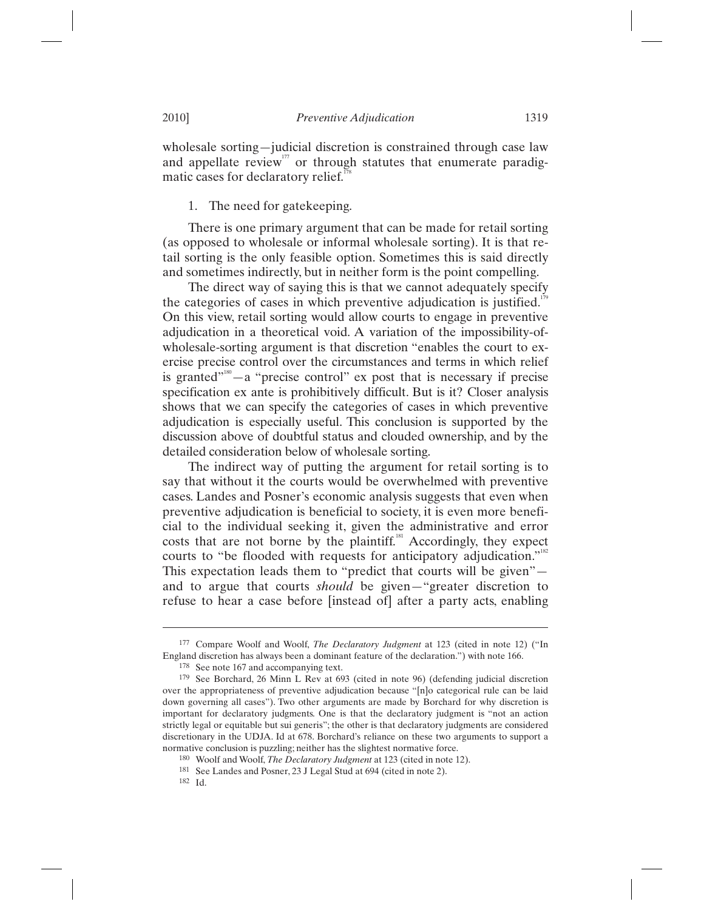wholesale sorting—judicial discretion is constrained through case law and appellate review<sup> $177$ </sup> or through statutes that enumerate paradigmatic cases for declaratory relief. $17$ 

## 1. The need for gatekeeping.

There is one primary argument that can be made for retail sorting (as opposed to wholesale or informal wholesale sorting). It is that retail sorting is the only feasible option. Sometimes this is said directly and sometimes indirectly, but in neither form is the point compelling.

The direct way of saying this is that we cannot adequately specify the categories of cases in which preventive adjudication is justified.<sup>179</sup> On this view, retail sorting would allow courts to engage in preventive adjudication in a theoretical void. A variation of the impossibility-ofwholesale-sorting argument is that discretion "enables the court to exercise precise control over the circumstances and terms in which relief is granted"<sup>180</sup> $-$ a "precise control" ex post that is necessary if precise specification ex ante is prohibitively difficult. But is it? Closer analysis shows that we can specify the categories of cases in which preventive adjudication is especially useful. This conclusion is supported by the discussion above of doubtful status and clouded ownership, and by the detailed consideration below of wholesale sorting.

The indirect way of putting the argument for retail sorting is to say that without it the courts would be overwhelmed with preventive cases. Landes and Posner's economic analysis suggests that even when preventive adjudication is beneficial to society, it is even more beneficial to the individual seeking it, given the administrative and error costs that are not borne by the plaintiff.<sup>81</sup> Accordingly, they expect courts to "be flooded with requests for anticipatory adjudication."<sup>182</sup> This expectation leads them to "predict that courts will be given" and to argue that courts *should* be given—"greater discretion to refuse to hear a case before [instead of] after a party acts, enabling

<sup>&</sup>lt;sup>177</sup> Compare Woolf and Woolf, *The Declaratory Judgment* at 123 (cited in note 12) ("In England discretion has always been a dominant feature of the declaration.") with note 166.

<sup>&</sup>lt;sup>178</sup> See note 167 and accompanying text.  $179$  See Borchard, 26 Minn L Rev at 693 (cited in note 96) (defending judicial discretion over the appropriateness of preventive adjudication because "[n]o categorical rule can be laid down governing all cases"). Two other arguments are made by Borchard for why discretion is important for declaratory judgments. One is that the declaratory judgment is "not an action strictly legal or equitable but sui generis"; the other is that declaratory judgments are considered discretionary in the UDJA. Id at 678. Borchard's reliance on these two arguments to support a normative conclusion is puzzling; neither has the slightest normative force.

<sup>&</sup>lt;sup>180</sup> Woolf and Woolf, *The Declaratory Judgment* at 123 (cited in note 12).<br><sup>181</sup> See Landes and Posner, 23 J Legal Stud at 694 (cited in note 2).<br><sup>182</sup> Id.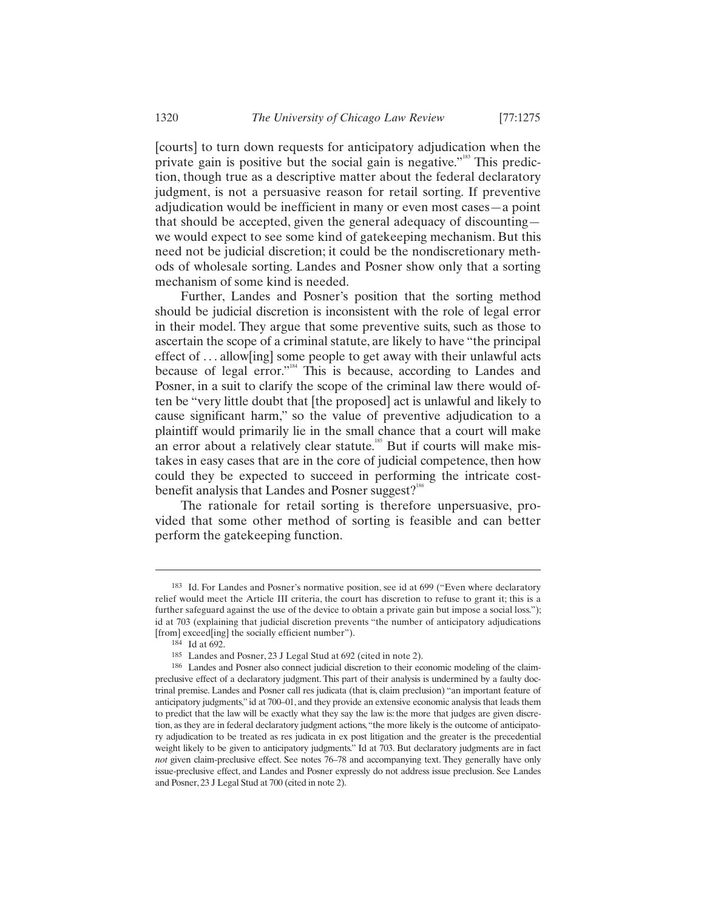[courts] to turn down requests for anticipatory adjudication when the private gain is positive but the social gain is negative."<sup>183</sup> This prediction, though true as a descriptive matter about the federal declaratory judgment, is not a persuasive reason for retail sorting. If preventive adjudication would be inefficient in many or even most cases—a point that should be accepted, given the general adequacy of discounting we would expect to see some kind of gatekeeping mechanism. But this need not be judicial discretion; it could be the nondiscretionary methods of wholesale sorting. Landes and Posner show only that a sorting mechanism of some kind is needed.

Further, Landes and Posner's position that the sorting method should be judicial discretion is inconsistent with the role of legal error in their model. They argue that some preventive suits, such as those to ascertain the scope of a criminal statute, are likely to have "the principal effect of . . . allow[ing] some people to get away with their unlawful acts because of legal error."<sup>184</sup> This is because, according to Landes and Posner, in a suit to clarify the scope of the criminal law there would often be "very little doubt that [the proposed] act is unlawful and likely to cause significant harm," so the value of preventive adjudication to a plaintiff would primarily lie in the small chance that a court will make an error about a relatively clear statute.<sup>185</sup> But if courts will make mistakes in easy cases that are in the core of judicial competence, then how could they be expected to succeed in performing the intricate costbenefit analysis that Landes and Posner suggest?<sup>186</sup>

The rationale for retail sorting is therefore unpersuasive, provided that some other method of sorting is feasible and can better perform the gatekeeping function.

<sup>183</sup> Id. For Landes and Posner's normative position, see id at 699 ("Even where declaratory relief would meet the Article III criteria, the court has discretion to refuse to grant it; this is a further safeguard against the use of the device to obtain a private gain but impose a social loss."); id at 703 (explaining that judicial discretion prevents "the number of anticipatory adjudications

<sup>[</sup>from] exceed[ing] the socially efficient number").<br><sup>184</sup> Id at 692.<br><sup>185</sup> Landes and Posner, 23 J Legal Stud at 692 (cited in note 2).

<sup>&</sup>lt;sup>186</sup> Landes and Posner also connect judicial discretion to their economic modeling of the claimpreclusive effect of a declaratory judgment. This part of their analysis is undermined by a faulty doctrinal premise. Landes and Posner call res judicata (that is, claim preclusion) "an important feature of anticipatory judgments," id at 700–01, and they provide an extensive economic analysis that leads them to predict that the law will be exactly what they say the law is: the more that judges are given discretion, as they are in federal declaratory judgment actions, "the more likely is the outcome of anticipatory adjudication to be treated as res judicata in ex post litigation and the greater is the precedential weight likely to be given to anticipatory judgments." Id at 703. But declaratory judgments are in fact *not* given claim-preclusive effect. See notes 76–78 and accompanying text. They generally have only issue-preclusive effect, and Landes and Posner expressly do not address issue preclusion. See Landes and Posner, 23 J Legal Stud at 700 (cited in note 2).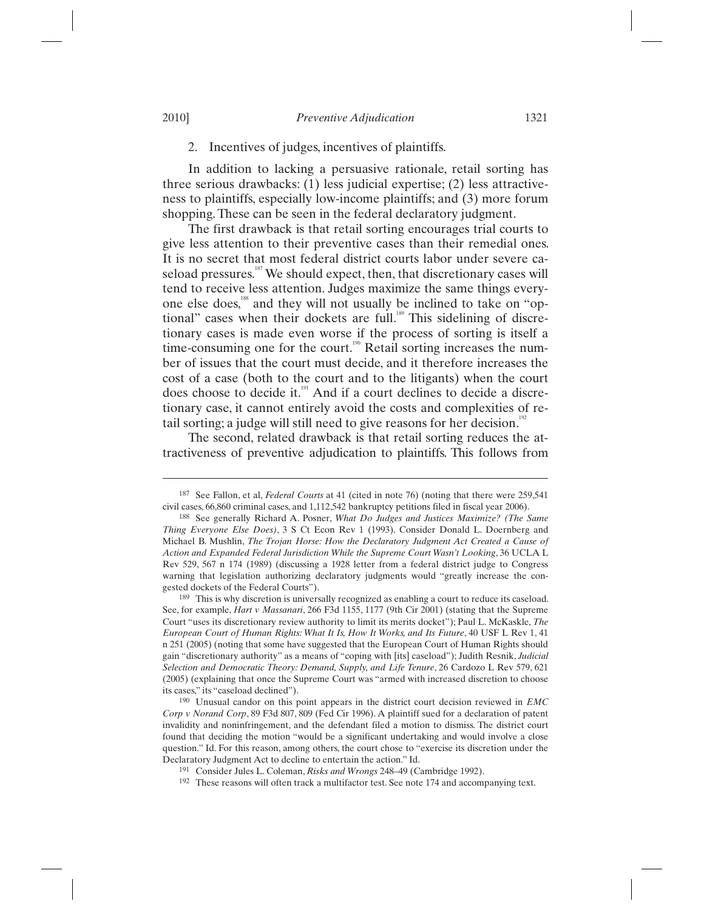## 2. Incentives of judges, incentives of plaintiffs.

In addition to lacking a persuasive rationale, retail sorting has three serious drawbacks: (1) less judicial expertise; (2) less attractiveness to plaintiffs, especially low-income plaintiffs; and (3) more forum shopping. These can be seen in the federal declaratory judgment.

The first drawback is that retail sorting encourages trial courts to give less attention to their preventive cases than their remedial ones. It is no secret that most federal district courts labor under severe caseload pressures.<sup>187</sup> We should expect, then, that discretionary cases will tend to receive less attention. Judges maximize the same things everyone else does,<sup>188</sup> and they will not usually be inclined to take on "optional" cases when their dockets are full.<sup>189</sup> This sidelining of discretionary cases is made even worse if the process of sorting is itself a time-consuming one for the court.<sup>190</sup> Retail sorting increases the number of issues that the court must decide, and it therefore increases the cost of a case (both to the court and to the litigants) when the court does choose to decide it.<sup>191</sup> And if a court declines to decide a discretionary case, it cannot entirely avoid the costs and complexities of retail sorting; a judge will still need to give reasons for her decision.<sup>192</sup>

The second, related drawback is that retail sorting reduces the attractiveness of preventive adjudication to plaintiffs. This follows from

<sup>187</sup> See Fallon, et al, *Federal Courts* at 41 (cited in note 76) (noting that there were 259,541 civil cases, 66,860 criminal cases, and 1,112,542 bankruptcy petitions filed in fiscal year 2006).

<sup>188</sup> See generally Richard A. Posner, *What Do Judges and Justices Maximize? (The Same Thing Everyone Else Does)*, 3 S Ct Econ Rev 1 (1993). Consider Donald L. Doernberg and Michael B. Mushlin, *The Trojan Horse: How the Declaratory Judgment Act Created a Cause of Action and Expanded Federal Jurisdiction While the Supreme Court Wasn't Looking*, 36 UCLA L Rev 529, 567 n 174 (1989) (discussing a 1928 letter from a federal district judge to Congress warning that legislation authorizing declaratory judgments would "greatly increase the congested dockets of the Federal Courts").<br><sup>189</sup> This is why discretion is universally recognized as enabling a court to reduce its caseload.

See, for example, *Hart v Massanari*, 266 F3d 1155, 1177 (9th Cir 2001) (stating that the Supreme Court "uses its discretionary review authority to limit its merits docket"); Paul L. McKaskle, *The European Court of Human Rights: What It Is, How It Works, and Its Future*, 40 USF L Rev 1, 41 n 251 (2005) (noting that some have suggested that the European Court of Human Rights should gain "discretionary authority" as a means of "coping with [its] caseload"); Judith Resnik, *Judicial Selection and Democratic Theory: Demand, Supply, and Life Tenure*, 26 Cardozo L Rev 579, 621 (2005) (explaining that once the Supreme Court was "armed with increased discretion to choose

its cases," its "caseload declined"). 190 Unusual candor on this point appears in the district court decision reviewed in *EMC Corp v Norand Corp*, 89 F3d 807, 809 (Fed Cir 1996). A plaintiff sued for a declaration of patent invalidity and noninfringement, and the defendant filed a motion to dismiss. The district court found that deciding the motion "would be a significant undertaking and would involve a close question." Id. For this reason, among others, the court chose to "exercise its discretion under the Declaratory Judgment Act to decline to entertain the action." Id.<br><sup>191</sup> Consider Jules L. Coleman, *Risks and Wrongs* 248–49 (Cambridge 1992).<br><sup>192</sup> These reasons will often track a multifactor test. See note 174 and accom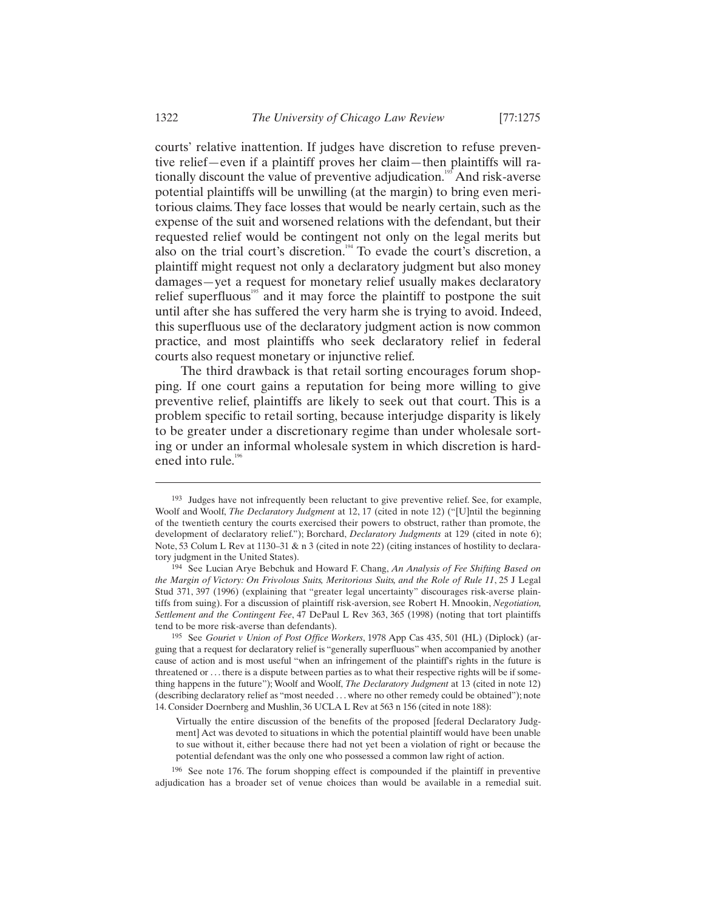courts' relative inattention. If judges have discretion to refuse preventive relief—even if a plaintiff proves her claim—then plaintiffs will rationally discount the value of preventive adjudication.<sup>193</sup> And risk-averse potential plaintiffs will be unwilling (at the margin) to bring even meritorious claims. They face losses that would be nearly certain, such as the expense of the suit and worsened relations with the defendant, but their requested relief would be contingent not only on the legal merits but also on the trial court's discretion.<sup>194</sup> To evade the court's discretion, a plaintiff might request not only a declaratory judgment but also money damages—yet a request for monetary relief usually makes declaratory relief superfluous<sup>195</sup> and it may force the plaintiff to postpone the suit until after she has suffered the very harm she is trying to avoid. Indeed, this superfluous use of the declaratory judgment action is now common practice, and most plaintiffs who seek declaratory relief in federal courts also request monetary or injunctive relief.

The third drawback is that retail sorting encourages forum shopping. If one court gains a reputation for being more willing to give preventive relief, plaintiffs are likely to seek out that court. This is a problem specific to retail sorting, because interjudge disparity is likely to be greater under a discretionary regime than under wholesale sorting or under an informal wholesale system in which discretion is hardened into rule.<sup>196</sup>

<sup>193</sup> Judges have not infrequently been reluctant to give preventive relief. See, for example, Woolf and Woolf, *The Declaratory Judgment* at 12, 17 (cited in note 12) ("[U]ntil the beginning of the twentieth century the courts exercised their powers to obstruct, rather than promote, the development of declaratory relief."); Borchard, *Declaratory Judgments* at 129 (cited in note 6); Note, 53 Colum L Rev at 1130–31 & n 3 (cited in note 22) (citing instances of hostility to declaratory judgment in the United States).

<sup>194</sup> See Lucian Arye Bebchuk and Howard F. Chang, *An Analysis of Fee Shifting Based on the Margin of Victory: On Frivolous Suits, Meritorious Suits, and the Role of Rule 11*, 25 J Legal Stud 371, 397 (1996) (explaining that "greater legal uncertainty" discourages risk-averse plaintiffs from suing). For a discussion of plaintiff risk-aversion, see Robert H. Mnookin, *Negotiation, Settlement and the Contingent Fee*, 47 DePaul L Rev 363, 365 (1998) (noting that tort plaintiffs tend to be more risk-averse than defendants). 195 See *Gouriet v Union of Post Office Workers*, 1978 App Cas 435, 501 (HL) (Diplock) (ar-

guing that a request for declaratory relief is "generally superfluous" when accompanied by another cause of action and is most useful "when an infringement of the plaintiff's rights in the future is threatened or . . . there is a dispute between parties as to what their respective rights will be if something happens in the future"); Woolf and Woolf, *The Declaratory Judgment* at 13 (cited in note 12) (describing declaratory relief as "most needed . . . where no other remedy could be obtained"); note 14. Consider Doernberg and Mushlin, 36 UCLA L Rev at 563 n 156 (cited in note 188):

Virtually the entire discussion of the benefits of the proposed [federal Declaratory Judgment] Act was devoted to situations in which the potential plaintiff would have been unable to sue without it, either because there had not yet been a violation of right or because the potential defendant was the only one who possessed a common law right of action.

<sup>196</sup> See note 176. The forum shopping effect is compounded if the plaintiff in preventive adjudication has a broader set of venue choices than would be available in a remedial suit.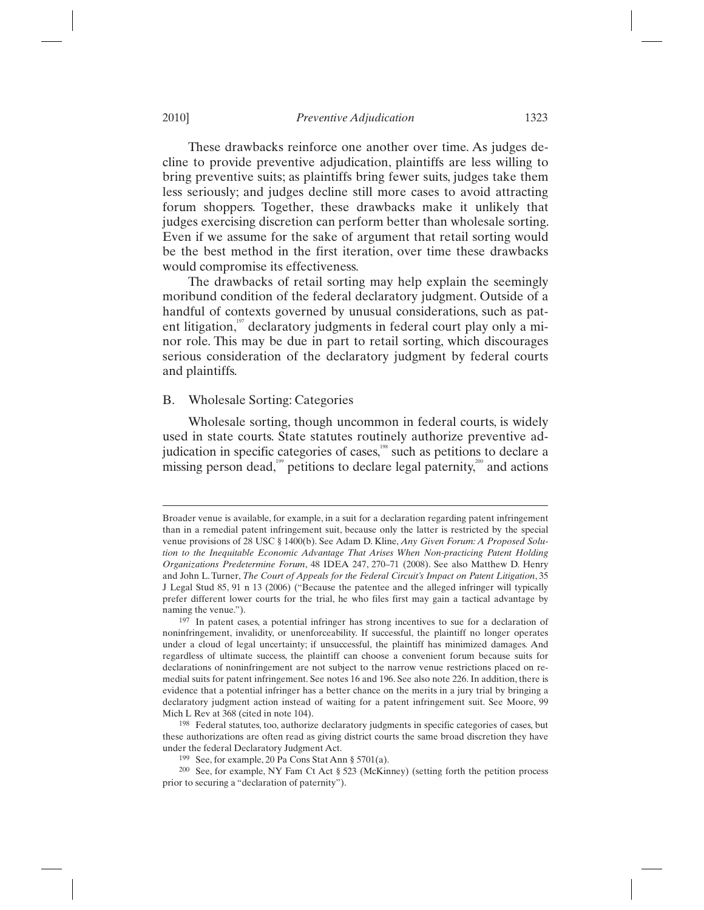These drawbacks reinforce one another over time. As judges decline to provide preventive adjudication, plaintiffs are less willing to bring preventive suits; as plaintiffs bring fewer suits, judges take them less seriously; and judges decline still more cases to avoid attracting forum shoppers. Together, these drawbacks make it unlikely that judges exercising discretion can perform better than wholesale sorting. Even if we assume for the sake of argument that retail sorting would be the best method in the first iteration, over time these drawbacks would compromise its effectiveness.

The drawbacks of retail sorting may help explain the seemingly moribund condition of the federal declaratory judgment. Outside of a handful of contexts governed by unusual considerations, such as patent litigation, $197$  declaratory judgments in federal court play only a minor role. This may be due in part to retail sorting, which discourages serious consideration of the declaratory judgment by federal courts and plaintiffs.

# B. Wholesale Sorting: Categories

Wholesale sorting, though uncommon in federal courts, is widely used in state courts. State statutes routinely authorize preventive adjudication in specific categories of cases,<sup>198</sup> such as petitions to declare a missing person dead,<sup>199</sup> petitions to declare legal paternity,<sup>200</sup> and actions

Broader venue is available, for example, in a suit for a declaration regarding patent infringement than in a remedial patent infringement suit, because only the latter is restricted by the special venue provisions of 28 USC § 1400(b). See Adam D. Kline, *Any Given Forum: A Proposed Solution to the Inequitable Economic Advantage That Arises When Non-practicing Patent Holding Organizations Predetermine Forum*, 48 IDEA 247, 270–71 (2008). See also Matthew D. Henry and John L. Turner, *The Court of Appeals for the Federal Circuit's Impact on Patent Litigation*, 35 J Legal Stud 85, 91 n 13 (2006) ("Because the patentee and the alleged infringer will typically prefer different lower courts for the trial, he who files first may gain a tactical advantage by naming the venue.").

<sup>197</sup> In patent cases, a potential infringer has strong incentives to sue for a declaration of noninfringement, invalidity, or unenforceability. If successful, the plaintiff no longer operates under a cloud of legal uncertainty; if unsuccessful, the plaintiff has minimized damages. And regardless of ultimate success, the plaintiff can choose a convenient forum because suits for declarations of noninfringement are not subject to the narrow venue restrictions placed on remedial suits for patent infringement. See notes 16 and 196. See also note 226. In addition, there is evidence that a potential infringer has a better chance on the merits in a jury trial by bringing a declaratory judgment action instead of waiting for a patent infringement suit. See Moore, 99 Mich L Rev at 368 (cited in note 104).

<sup>198</sup> Federal statutes, too, authorize declaratory judgments in specific categories of cases, but these authorizations are often read as giving district courts the same broad discretion they have under the federal Declaratory Judgment Act.<br><sup>199</sup> See, for example, 20 Pa Cons Stat Ann § 5701(a).

 $1999$  See, for example, NY Fam Ct Act § 523 (McKinney) (setting forth the petition process prior to securing a "declaration of paternity").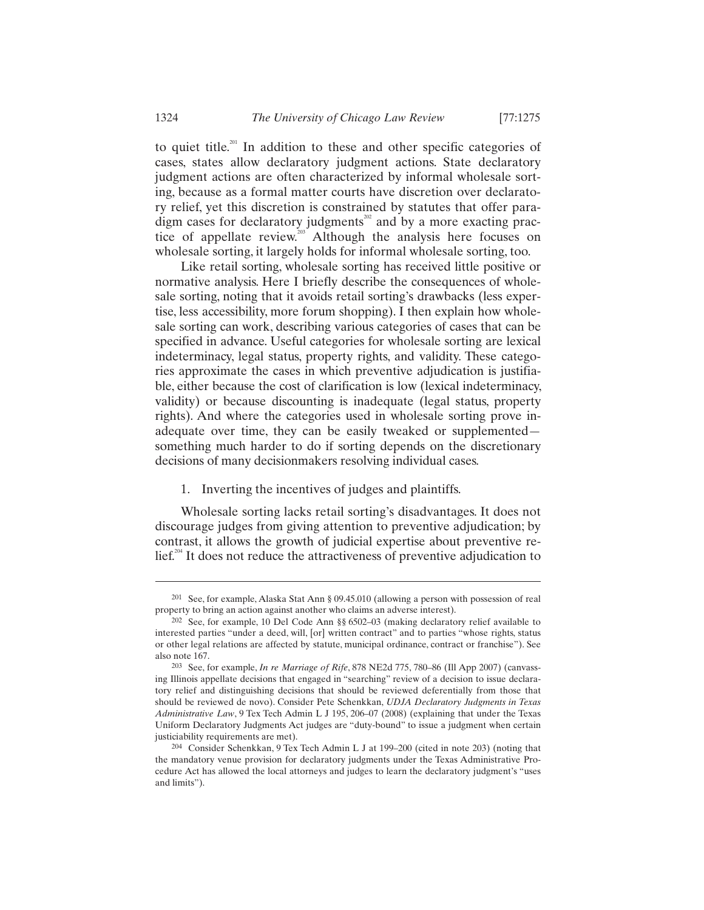to quiet title.<sup>201</sup> In addition to these and other specific categories of cases, states allow declaratory judgment actions. State declaratory judgment actions are often characterized by informal wholesale sorting, because as a formal matter courts have discretion over declaratory relief, yet this discretion is constrained by statutes that offer paradigm cases for declaratory judgments<sup> $202$ </sup> and by a more exacting practice of appellate review.<sup>203</sup> Although the analysis here focuses on wholesale sorting, it largely holds for informal wholesale sorting, too.

Like retail sorting, wholesale sorting has received little positive or normative analysis. Here I briefly describe the consequences of wholesale sorting, noting that it avoids retail sorting's drawbacks (less expertise, less accessibility, more forum shopping). I then explain how wholesale sorting can work, describing various categories of cases that can be specified in advance. Useful categories for wholesale sorting are lexical indeterminacy, legal status, property rights, and validity. These categories approximate the cases in which preventive adjudication is justifiable, either because the cost of clarification is low (lexical indeterminacy, validity) or because discounting is inadequate (legal status, property rights). And where the categories used in wholesale sorting prove inadequate over time, they can be easily tweaked or supplemented something much harder to do if sorting depends on the discretionary decisions of many decisionmakers resolving individual cases.

1. Inverting the incentives of judges and plaintiffs.

Wholesale sorting lacks retail sorting's disadvantages. It does not discourage judges from giving attention to preventive adjudication; by contrast, it allows the growth of judicial expertise about preventive re- $\text{lief.}^{204}$  It does not reduce the attractiveness of preventive adjudication to

-

<sup>201</sup> See, for example, Alaska Stat Ann § 09.45.010 (allowing a person with possession of real property to bring an action against another who claims an adverse interest).

<sup>202</sup> See, for example, 10 Del Code Ann §§ 6502–03 (making declaratory relief available to interested parties "under a deed, will, [or] written contract" and to parties "whose rights, status or other legal relations are affected by statute, municipal ordinance, contract or franchise"). See also note 167. 203 See, for example, *In re Marriage of Rife*, 878 NE2d 775, 780–86 (Ill App 2007) (canvass-

ing Illinois appellate decisions that engaged in "searching" review of a decision to issue declaratory relief and distinguishing decisions that should be reviewed deferentially from those that should be reviewed de novo). Consider Pete Schenkkan, *UDJA Declaratory Judgments in Texas Administrative Law*, 9 Tex Tech Admin L J 195, 206–07 (2008) (explaining that under the Texas Uniform Declaratory Judgments Act judges are "duty-bound" to issue a judgment when certain justiciability requirements are met).

<sup>204</sup> Consider Schenkkan, 9 Tex Tech Admin L J at 199–200 (cited in note 203) (noting that the mandatory venue provision for declaratory judgments under the Texas Administrative Procedure Act has allowed the local attorneys and judges to learn the declaratory judgment's "uses and limits").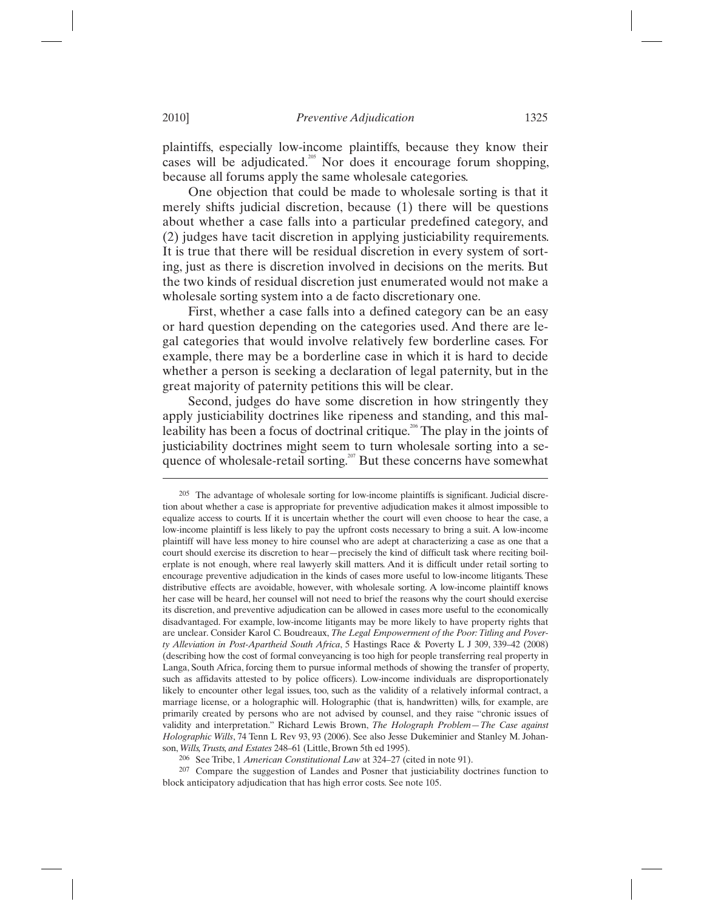plaintiffs, especially low-income plaintiffs, because they know their cases will be adjudicated.<sup>205</sup> Nor does it encourage forum shopping, because all forums apply the same wholesale categories.

One objection that could be made to wholesale sorting is that it merely shifts judicial discretion, because (1) there will be questions about whether a case falls into a particular predefined category, and (2) judges have tacit discretion in applying justiciability requirements. It is true that there will be residual discretion in every system of sorting, just as there is discretion involved in decisions on the merits. But the two kinds of residual discretion just enumerated would not make a wholesale sorting system into a de facto discretionary one.

First, whether a case falls into a defined category can be an easy or hard question depending on the categories used. And there are legal categories that would involve relatively few borderline cases. For example, there may be a borderline case in which it is hard to decide whether a person is seeking a declaration of legal paternity, but in the great majority of paternity petitions this will be clear.

Second, judges do have some discretion in how stringently they apply justiciability doctrines like ripeness and standing, and this malleability has been a focus of doctrinal critique.<sup>206</sup> The play in the joints of justiciability doctrines might seem to turn wholesale sorting into a sequence of wholesale-retail sorting.<sup>207</sup> But these concerns have somewhat

<sup>205</sup> The advantage of wholesale sorting for low-income plaintiffs is significant. Judicial discretion about whether a case is appropriate for preventive adjudication makes it almost impossible to equalize access to courts. If it is uncertain whether the court will even choose to hear the case, a low-income plaintiff is less likely to pay the upfront costs necessary to bring a suit. A low-income plaintiff will have less money to hire counsel who are adept at characterizing a case as one that a court should exercise its discretion to hear—precisely the kind of difficult task where reciting boilerplate is not enough, where real lawyerly skill matters. And it is difficult under retail sorting to encourage preventive adjudication in the kinds of cases more useful to low-income litigants. These distributive effects are avoidable, however, with wholesale sorting. A low-income plaintiff knows her case will be heard, her counsel will not need to brief the reasons why the court should exercise its discretion, and preventive adjudication can be allowed in cases more useful to the economically disadvantaged. For example, low-income litigants may be more likely to have property rights that are unclear. Consider Karol C. Boudreaux, *The Legal Empowerment of the Poor: Titling and Poverty Alleviation in Post-Apartheid South Africa*, 5 Hastings Race & Poverty L J 309, 339–42 (2008) (describing how the cost of formal conveyancing is too high for people transferring real property in Langa, South Africa, forcing them to pursue informal methods of showing the transfer of property, such as affidavits attested to by police officers). Low-income individuals are disproportionately likely to encounter other legal issues, too, such as the validity of a relatively informal contract, a marriage license, or a holographic will. Holographic (that is, handwritten) wills, for example, are primarily created by persons who are not advised by counsel, and they raise "chronic issues of validity and interpretation." Richard Lewis Brown, *The Holograph Problem—The Case against Holographic Wills*, 74 Tenn L Rev 93, 93 (2006). See also Jesse Dukeminier and Stanley M. Johanson, *Wills, Trusts, and Estates* 248–61 (Little, Brown 5th ed 1995).

<sup>&</sup>lt;sup>206</sup> See Tribe, 1 *American Constitutional Law* at 324–27 (cited in note 91).<br><sup>207</sup> Compare the suggestion of Landes and Posner that justiciability doctrines function to block anticipatory adjudication that has high error costs*.* See note 105.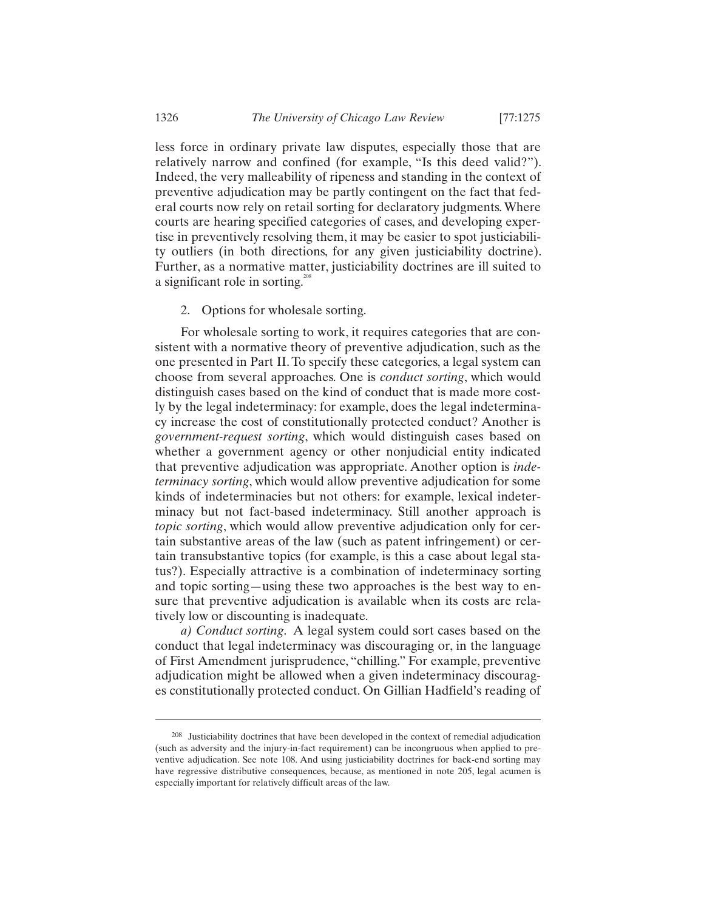less force in ordinary private law disputes, especially those that are relatively narrow and confined (for example, "Is this deed valid?"). Indeed, the very malleability of ripeness and standing in the context of preventive adjudication may be partly contingent on the fact that federal courts now rely on retail sorting for declaratory judgments. Where courts are hearing specified categories of cases, and developing expertise in preventively resolving them, it may be easier to spot justiciability outliers (in both directions, for any given justiciability doctrine). Further, as a normative matter, justiciability doctrines are ill suited to a significant role in sorting.<sup>208</sup>

# 2. Options for wholesale sorting.

For wholesale sorting to work, it requires categories that are consistent with a normative theory of preventive adjudication, such as the one presented in Part II. To specify these categories, a legal system can choose from several approaches. One is *conduct sorting*, which would distinguish cases based on the kind of conduct that is made more costly by the legal indeterminacy: for example, does the legal indeterminacy increase the cost of constitutionally protected conduct? Another is *government-request sorting*, which would distinguish cases based on whether a government agency or other nonjudicial entity indicated that preventive adjudication was appropriate. Another option is *indeterminacy sorting*, which would allow preventive adjudication for some kinds of indeterminacies but not others: for example, lexical indeterminacy but not fact-based indeterminacy. Still another approach is *topic sorting*, which would allow preventive adjudication only for certain substantive areas of the law (such as patent infringement) or certain transubstantive topics (for example, is this a case about legal status?). Especially attractive is a combination of indeterminacy sorting and topic sorting—using these two approaches is the best way to ensure that preventive adjudication is available when its costs are relatively low or discounting is inadequate.

*a) Conduct sorting*. A legal system could sort cases based on the conduct that legal indeterminacy was discouraging or, in the language of First Amendment jurisprudence, "chilling." For example, preventive adjudication might be allowed when a given indeterminacy discourages constitutionally protected conduct. On Gillian Hadfield's reading of

-

<sup>208</sup> Justiciability doctrines that have been developed in the context of remedial adjudication (such as adversity and the injury-in-fact requirement) can be incongruous when applied to preventive adjudication. See note 108. And using justiciability doctrines for back-end sorting may have regressive distributive consequences, because, as mentioned in note 205, legal acumen is especially important for relatively difficult areas of the law.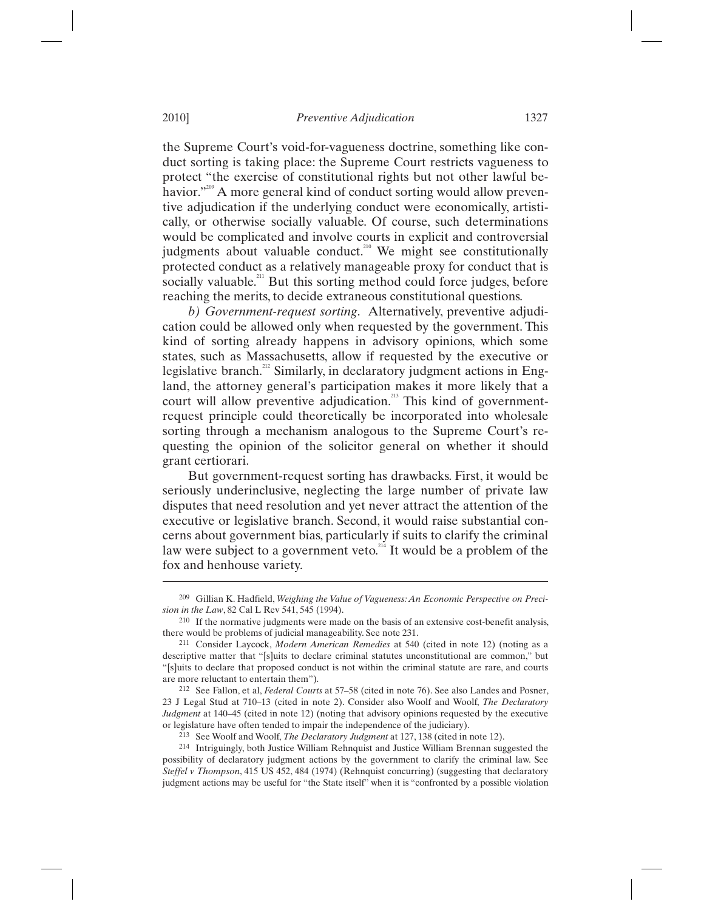the Supreme Court's void-for-vagueness doctrine, something like conduct sorting is taking place: the Supreme Court restricts vagueness to protect "the exercise of constitutional rights but not other lawful behavior."<sup>209</sup> A more general kind of conduct sorting would allow preventive adjudication if the underlying conduct were economically, artistically, or otherwise socially valuable. Of course, such determinations would be complicated and involve courts in explicit and controversial judgments about valuable conduct.<sup>210</sup> We might see constitutionally protected conduct as a relatively manageable proxy for conduct that is socially valuable.<sup>211</sup> But this sorting method could force judges, before reaching the merits, to decide extraneous constitutional questions.

*b) Government-request sorting*. Alternatively, preventive adjudication could be allowed only when requested by the government. This kind of sorting already happens in advisory opinions, which some states, such as Massachusetts, allow if requested by the executive or legislative branch.<sup>212</sup> Similarly, in declaratory judgment actions in England, the attorney general's participation makes it more likely that a court will allow preventive adjudication.<sup>213</sup> This kind of governmentrequest principle could theoretically be incorporated into wholesale sorting through a mechanism analogous to the Supreme Court's requesting the opinion of the solicitor general on whether it should grant certiorari.

But government-request sorting has drawbacks. First, it would be seriously underinclusive, neglecting the large number of private law disputes that need resolution and yet never attract the attention of the executive or legislative branch. Second, it would raise substantial concerns about government bias, particularly if suits to clarify the criminal law were subject to a government veto.<sup>214</sup> It would be a problem of the fox and henhouse variety.

<sup>209</sup> Gillian K. Hadfield, *Weighing the Value of Vagueness: An Economic Perspective on Precision in the Law*, 82 Cal L Rev 541, 545 (1994).

<sup>210</sup> If the normative judgments were made on the basis of an extensive cost-benefit analysis,

there would be problems of judicial manageability. See note 231. 211 Consider Laycock, *Modern American Remedies* at 540 (cited in note 12) (noting as a descriptive matter that "[s]uits to declare criminal statutes unconstitutional are common," but "[s]uits to declare that proposed conduct is not within the criminal statute are rare, and courts are more reluctant to entertain them").

<sup>212</sup> See Fallon, et al, *Federal Courts* at 57–58 (cited in note 76). See also Landes and Posner, 23 J Legal Stud at 710–13 (cited in note 2). Consider also Woolf and Woolf, *The Declaratory Judgment* at 140–45 (cited in note 12) (noting that advisory opinions requested by the executive or legislature have often tended to impair the independence of the judiciary). 213 See Woolf and Woolf, *The Declaratory Judgment* at 127, 138 (cited in note 12).

<sup>214</sup> Intriguingly, both Justice William Rehnquist and Justice William Brennan suggested the possibility of declaratory judgment actions by the government to clarify the criminal law. See *Steffel v Thompson*, 415 US 452, 484 (1974) (Rehnquist concurring) (suggesting that declaratory judgment actions may be useful for "the State itself" when it is "confronted by a possible violation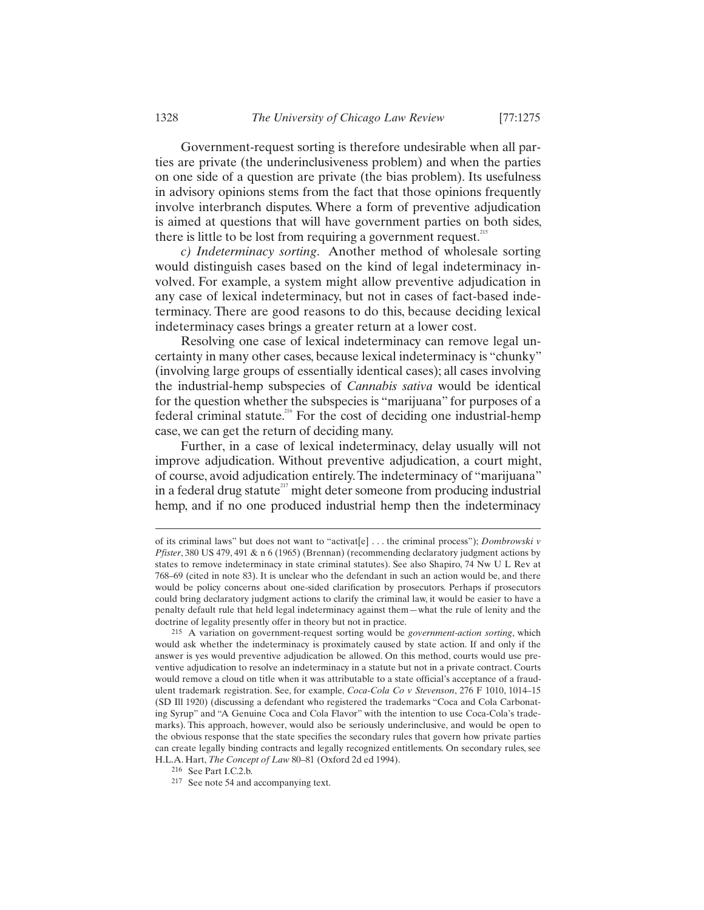Government-request sorting is therefore undesirable when all parties are private (the underinclusiveness problem) and when the parties on one side of a question are private (the bias problem). Its usefulness in advisory opinions stems from the fact that those opinions frequently involve interbranch disputes. Where a form of preventive adjudication is aimed at questions that will have government parties on both sides, there is little to be lost from requiring a government request.<sup>215</sup>

*c) Indeterminacy sorting*. Another method of wholesale sorting would distinguish cases based on the kind of legal indeterminacy involved. For example, a system might allow preventive adjudication in any case of lexical indeterminacy, but not in cases of fact-based indeterminacy. There are good reasons to do this, because deciding lexical indeterminacy cases brings a greater return at a lower cost.

Resolving one case of lexical indeterminacy can remove legal uncertainty in many other cases, because lexical indeterminacy is "chunky" (involving large groups of essentially identical cases); all cases involving the industrial-hemp subspecies of *Cannabis sativa* would be identical for the question whether the subspecies is "marijuana" for purposes of a federal criminal statute.<sup>216</sup> For the cost of deciding one industrial-hemp case, we can get the return of deciding many.

Further, in a case of lexical indeterminacy, delay usually will not improve adjudication. Without preventive adjudication, a court might, of course, avoid adjudication entirely. The indeterminacy of "marijuana" in a federal drug statute $^{217}$  might deter someone from producing industrial hemp, and if no one produced industrial hemp then the indeterminacy

of its criminal laws" but does not want to "activat[e] . . . the criminal process"); *Dombrowski v Pfister*, 380 US 479, 491 & n 6 (1965) (Brennan) (recommending declaratory judgment actions by states to remove indeterminacy in state criminal statutes). See also Shapiro, 74 Nw U L Rev at 768–69 (cited in note 83). It is unclear who the defendant in such an action would be, and there would be policy concerns about one-sided clarification by prosecutors. Perhaps if prosecutors could bring declaratory judgment actions to clarify the criminal law, it would be easier to have a penalty default rule that held legal indeterminacy against them—what the rule of lenity and the doctrine of legality presently offer in theory but not in practice. 215 A variation on government-request sorting would be *government-action sorting*, which

would ask whether the indeterminacy is proximately caused by state action. If and only if the answer is yes would preventive adjudication be allowed. On this method, courts would use preventive adjudication to resolve an indeterminacy in a statute but not in a private contract. Courts would remove a cloud on title when it was attributable to a state official's acceptance of a fraudulent trademark registration. See, for example, *Coca-Cola Co v Stevenson*, 276 F 1010, 1014–15 (SD Ill 1920) (discussing a defendant who registered the trademarks "Coca and Cola Carbonating Syrup" and "A Genuine Coca and Cola Flavor" with the intention to use Coca-Cola's trademarks). This approach, however, would also be seriously underinclusive, and would be open to the obvious response that the state specifies the secondary rules that govern how private parties can create legally binding contracts and legally recognized entitlements. On secondary rules, see H.L.A. Hart, *The Concept of Law* 80–81 (Oxford 2d ed 1994).<br><sup>216</sup> See Part I.C.2.b.<br><sup>217</sup> See note 54 and accompanying text.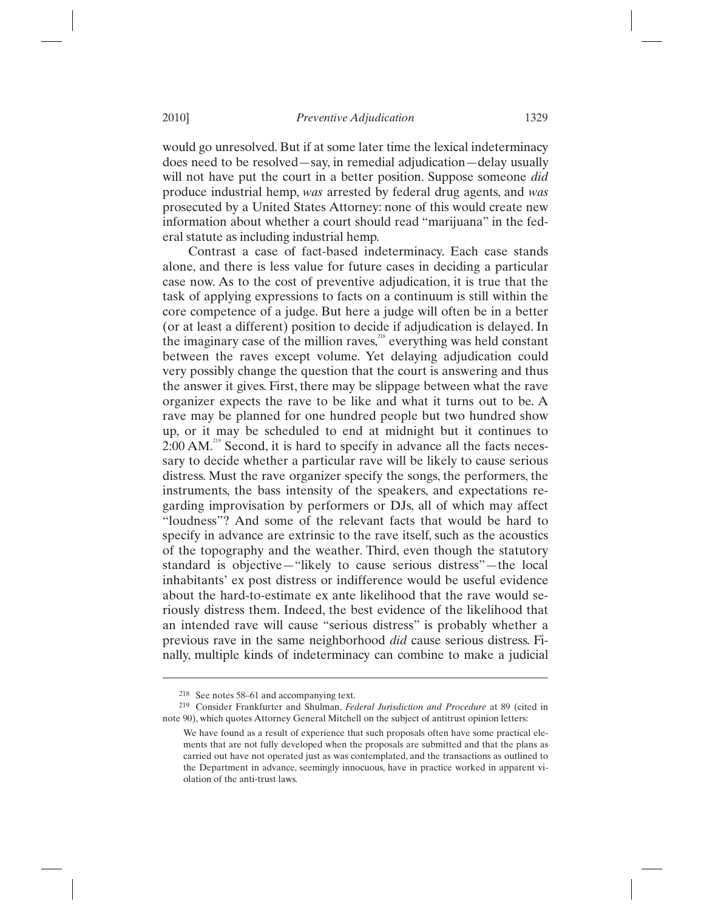would go unresolved. But if at some later time the lexical indeterminacy does need to be resolved—say, in remedial adjudication—delay usually will not have put the court in a better position. Suppose someone *did* produce industrial hemp, *was* arrested by federal drug agents, and *was* prosecuted by a United States Attorney: none of this would create new information about whether a court should read "marijuana" in the federal statute as including industrial hemp.

Contrast a case of fact-based indeterminacy. Each case stands alone, and there is less value for future cases in deciding a particular case now. As to the cost of preventive adjudication, it is true that the task of applying expressions to facts on a continuum is still within the core competence of a judge. But here a judge will often be in a better (or at least a different) position to decide if adjudication is delayed. In the imaginary case of the million raves, $218$  everything was held constant between the raves except volume. Yet delaying adjudication could very possibly change the question that the court is answering and thus the answer it gives. First, there may be slippage between what the rave organizer expects the rave to be like and what it turns out to be. A rave may be planned for one hundred people but two hundred show up, or it may be scheduled to end at midnight but it continues to  $2:00$  AM.<sup>219</sup> Second, it is hard to specify in advance all the facts necessary to decide whether a particular rave will be likely to cause serious distress. Must the rave organizer specify the songs, the performers, the instruments, the bass intensity of the speakers, and expectations regarding improvisation by performers or DJs, all of which may affect "loudness"? And some of the relevant facts that would be hard to specify in advance are extrinsic to the rave itself, such as the acoustics of the topography and the weather. Third, even though the statutory standard is objective—"likely to cause serious distress"—the local inhabitants' ex post distress or indifference would be useful evidence about the hard-to-estimate ex ante likelihood that the rave would seriously distress them. Indeed, the best evidence of the likelihood that an intended rave will cause "serious distress" is probably whether a previous rave in the same neighborhood *did* cause serious distress. Finally, multiple kinds of indeterminacy can combine to make a judicial

<sup>218</sup> See notes 58–61 and accompanying text. 219 Consider Frankfurter and Shulman, *Federal Jurisdiction and Procedure* at 89 (cited in note 90), which quotes Attorney General Mitchell on the subject of antitrust opinion letters:

We have found as a result of experience that such proposals often have some practical elements that are not fully developed when the proposals are submitted and that the plans as carried out have not operated just as was contemplated, and the transactions as outlined to the Department in advance, seemingly innocuous, have in practice worked in apparent violation of the anti-trust laws.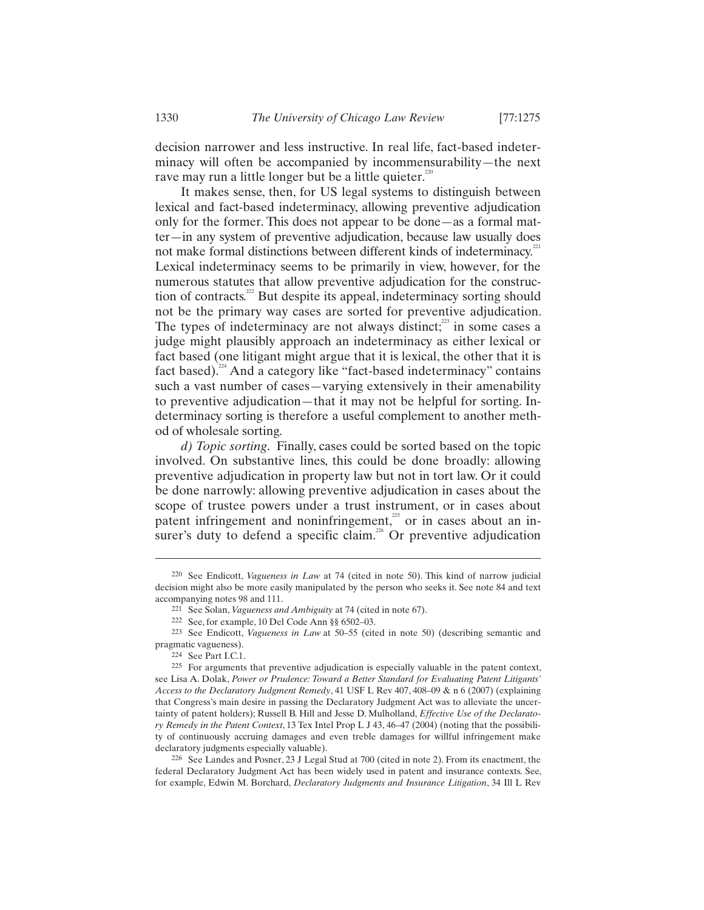It makes sense, then, for US legal systems to distinguish between lexical and fact-based indeterminacy, allowing preventive adjudication only for the former. This does not appear to be done—as a formal matter—in any system of preventive adjudication, because law usually does not make formal distinctions between different kinds of indeterminacy.<sup>22</sup> Lexical indeterminacy seems to be primarily in view, however, for the numerous statutes that allow preventive adjudication for the construction of contracts. $^{222}$  But despite its appeal, indeterminacy sorting should not be the primary way cases are sorted for preventive adjudication. The types of indeterminacy are not always distinct;<sup>223</sup> in some cases a judge might plausibly approach an indeterminacy as either lexical or fact based (one litigant might argue that it is lexical, the other that it is fact based).<sup>224</sup> And a category like "fact-based indeterminacy" contains such a vast number of cases—varying extensively in their amenability to preventive adjudication—that it may not be helpful for sorting. Indeterminacy sorting is therefore a useful complement to another method of wholesale sorting.

*d) Topic sorting*. Finally, cases could be sorted based on the topic involved. On substantive lines, this could be done broadly: allowing preventive adjudication in property law but not in tort law. Or it could be done narrowly: allowing preventive adjudication in cases about the scope of trustee powers under a trust instrument, or in cases about patent infringement and noninfringement,<sup>225</sup> or in cases about an insurer's duty to defend a specific claim.<sup>226</sup> Or preventive adjudication

<sup>220</sup> See Endicott, *Vagueness in Law* at 74 (cited in note 50). This kind of narrow judicial decision might also be more easily manipulated by the person who seeks it. See note 84 and text accompanying notes 98 and 111.<br>
<sup>221</sup> See Solan, *Vagueness and Ambiguity* at 74 (cited in note 67).<br>
<sup>222</sup> See, for example, 10 Del Code Ann §§ 6502–03.<br>
<sup>223</sup> See Endicott, *Vagueness in Law* at 50–55 (cited in note 50)

pragmatic vagueness).<br><sup>224</sup> See Part I.C.1.

 $225$  For arguments that preventive adjudication is especially valuable in the patent context, see Lisa A. Dolak, *Power or Prudence: Toward a Better Standard for Evaluating Patent Litigants' Access to the Declaratory Judgment Remedy*, 41 USF L Rev 407, 408–09 & n 6 (2007) (explaining that Congress's main desire in passing the Declaratory Judgment Act was to alleviate the uncertainty of patent holders); Russell B. Hill and Jesse D. Mulholland, *Effective Use of the Declaratory Remedy in the Patent Context*, 13 Tex Intel Prop L J 43, 46–47 (2004) (noting that the possibility of continuously accruing damages and even treble damages for willful infringement make declaratory judgments especially valuable).

<sup>226</sup> See Landes and Posner, 23 J Legal Stud at 700 (cited in note 2). From its enactment, the federal Declaratory Judgment Act has been widely used in patent and insurance contexts. See, for example, Edwin M. Borchard, *Declaratory Judgments and Insurance Litigation*, 34 Ill L Rev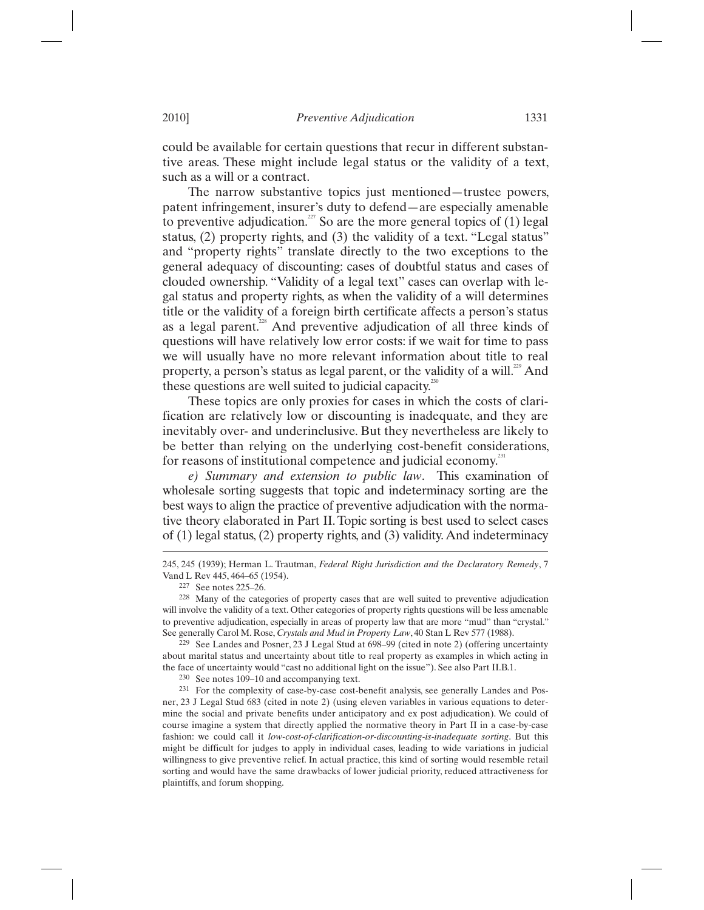could be available for certain questions that recur in different substantive areas. These might include legal status or the validity of a text, such as a will or a contract.

The narrow substantive topics just mentioned—trustee powers, patent infringement, insurer's duty to defend—are especially amenable to preventive adjudication.<sup>27</sup> So are the more general topics of (1) legal status, (2) property rights, and (3) the validity of a text. "Legal status" and "property rights" translate directly to the two exceptions to the general adequacy of discounting: cases of doubtful status and cases of clouded ownership. "Validity of a legal text" cases can overlap with legal status and property rights, as when the validity of a will determines title or the validity of a foreign birth certificate affects a person's status as a legal parent.<sup>228</sup> And preventive adjudication of all three kinds of questions will have relatively low error costs: if we wait for time to pass we will usually have no more relevant information about title to real property, a person's status as legal parent, or the validity of a will.<sup>229</sup> And these questions are well suited to judicial capacity.<sup>2</sup>

These topics are only proxies for cases in which the costs of clarification are relatively low or discounting is inadequate, and they are inevitably over- and underinclusive. But they nevertheless are likely to be better than relying on the underlying cost-benefit considerations, for reasons of institutional competence and judicial economy.<sup>2</sup>

*e) Summary and extension to public law*. This examination of wholesale sorting suggests that topic and indeterminacy sorting are the best ways to align the practice of preventive adjudication with the normative theory elaborated in Part II. Topic sorting is best used to select cases of (1) legal status, (2) property rights, and (3) validity. And indeterminacy

<sup>245, 245 (1939);</sup> Herman L. Trautman, *Federal Right Jurisdiction and the Declaratory Remedy*, 7 Vand L Rev 445, 464–65 (1954).<br>
<sup>227</sup> See notes 225–26.<br>
<sup>228</sup> Many of the categories of property cases that are well suited to preventive adjudication

will involve the validity of a text. Other categories of property rights questions will be less amenable to preventive adjudication, especially in areas of property law that are more "mud" than "crystal." See generally Carol M. Rose, *Crystals and Mud in Property Law*, 40 Stan L Rev 577 (1988).

<sup>229</sup> See Landes and Posner, 23 J Legal Stud at 698–99 (cited in note 2) (offering uncertainty about marital status and uncertainty about title to real property as examples in which acting in the face of uncertainty would "cast no additional light on the issue"). See also Part II.B.1. <sup>230</sup> See notes 109–10 and accompanying text.

<sup>231</sup> For the complexity of case-by-case cost-benefit analysis, see generally Landes and Posner, 23 J Legal Stud 683 (cited in note 2) (using eleven variables in various equations to determine the social and private benefits under anticipatory and ex post adjudication). We could of course imagine a system that directly applied the normative theory in Part II in a case-by-case fashion: we could call it *low-cost-of-clarification-or-discounting-is-inadequate sorting*. But this might be difficult for judges to apply in individual cases, leading to wide variations in judicial willingness to give preventive relief. In actual practice, this kind of sorting would resemble retail sorting and would have the same drawbacks of lower judicial priority, reduced attractiveness for plaintiffs, and forum shopping.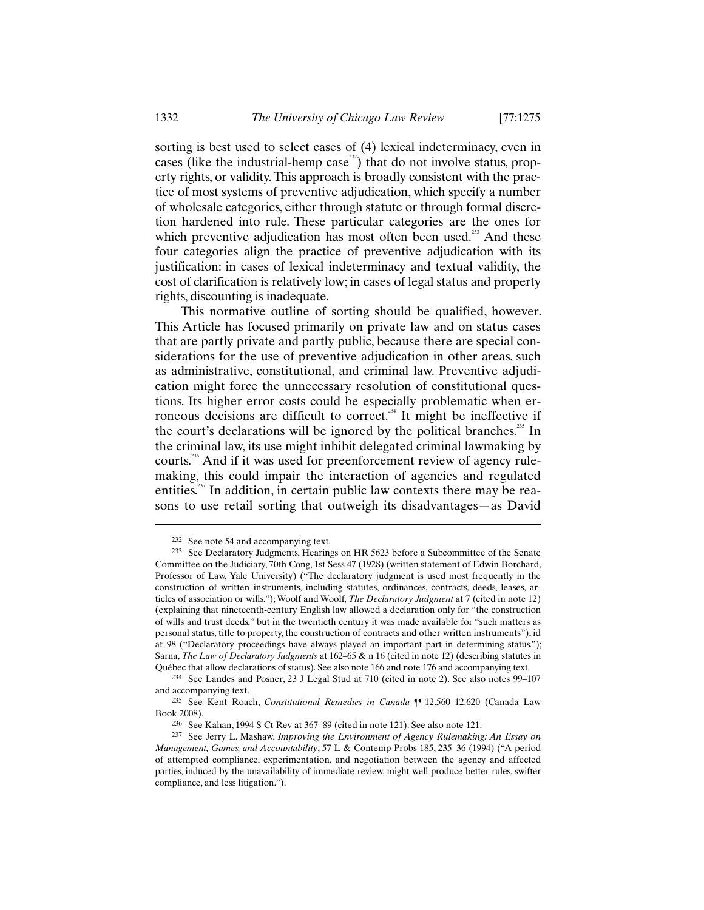sorting is best used to select cases of (4) lexical indeterminacy, even in cases (like the industrial-hemp case<sup>232</sup>) that do not involve status, property rights, or validity. This approach is broadly consistent with the practice of most systems of preventive adjudication, which specify a number of wholesale categories, either through statute or through formal discretion hardened into rule. These particular categories are the ones for which preventive adjudication has most often been used.<sup>233</sup> And these four categories align the practice of preventive adjudication with its justification: in cases of lexical indeterminacy and textual validity, the cost of clarification is relatively low; in cases of legal status and property rights, discounting is inadequate.

This normative outline of sorting should be qualified, however. This Article has focused primarily on private law and on status cases that are partly private and partly public, because there are special considerations for the use of preventive adjudication in other areas, such as administrative, constitutional, and criminal law. Preventive adjudication might force the unnecessary resolution of constitutional questions. Its higher error costs could be especially problematic when erroneous decisions are difficult to correct.<sup>234</sup> It might be ineffective if the court's declarations will be ignored by the political branches.<sup>235</sup> In the criminal law, its use might inhibit delegated criminal lawmaking by courts.<sup>236</sup> And if it was used for preenforcement review of agency rulemaking, this could impair the interaction of agencies and regulated entities. $237$  In addition, in certain public law contexts there may be reasons to use retail sorting that outweigh its disadvantages—as David

-

<sup>232</sup> See note 54 and accompanying text.

<sup>233</sup> See Declaratory Judgments, Hearings on HR 5623 before a Subcommittee of the Senate Committee on the Judiciary, 70th Cong, 1st Sess 47 (1928) (written statement of Edwin Borchard, Professor of Law, Yale University) ("The declaratory judgment is used most frequently in the construction of written instruments, including statutes, ordinances, contracts, deeds, leases, articles of association or wills."); Woolf and Woolf, *The Declaratory Judgment* at 7 (cited in note 12) (explaining that nineteenth-century English law allowed a declaration only for "the construction of wills and trust deeds," but in the twentieth century it was made available for "such matters as personal status, title to property, the construction of contracts and other written instruments"); id at 98 ("Declaratory proceedings have always played an important part in determining status."); Sarna, *The Law of Declaratory Judgments* at 162–65 & n 16 (cited in note 12) (describing statutes in

Québec that allow declarations of status). See also note 166 and note 176 and accompanying text. 234 See Landes and Posner, 23 J Legal Stud at 710 (cited in note 2). See also notes 99–107 and accompanying text. 235 See Kent Roach, *Constitutional Remedies in Canada* ¶¶ 12.560–12.620 (Canada Law

Book 2008).

<sup>236</sup> See Kahan, 1994 S Ct Rev at 367–89 (cited in note 121). See also note 121. 237 See Jerry L. Mashaw, *Improving the Environment of Agency Rulemaking: An Essay on Management, Games, and Accountability*, 57 L & Contemp Probs 185, 235–36 (1994) ("A period of attempted compliance, experimentation, and negotiation between the agency and affected parties, induced by the unavailability of immediate review, might well produce better rules, swifter compliance, and less litigation.").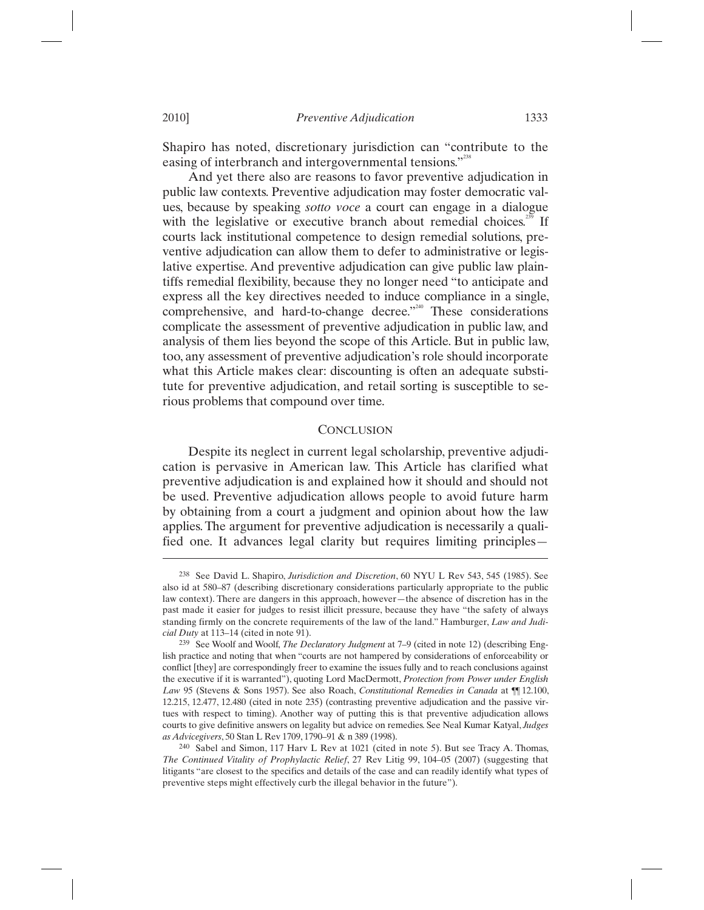Shapiro has noted, discretionary jurisdiction can "contribute to the easing of interbranch and intergovernmental tensions."<sup>238</sup>

And yet there also are reasons to favor preventive adjudication in public law contexts. Preventive adjudication may foster democratic values, because by speaking *sotto voce* a court can engage in a dialogue with the legislative or executive branch about remedial choices.<sup>239</sup> If courts lack institutional competence to design remedial solutions, preventive adjudication can allow them to defer to administrative or legislative expertise. And preventive adjudication can give public law plaintiffs remedial flexibility, because they no longer need "to anticipate and express all the key directives needed to induce compliance in a single, comprehensive, and hard-to-change decree."<sup>240</sup> These considerations complicate the assessment of preventive adjudication in public law, and analysis of them lies beyond the scope of this Article. But in public law, too, any assessment of preventive adjudication's role should incorporate what this Article makes clear: discounting is often an adequate substitute for preventive adjudication, and retail sorting is susceptible to serious problems that compound over time.

## **CONCLUSION**

Despite its neglect in current legal scholarship, preventive adjudication is pervasive in American law. This Article has clarified what preventive adjudication is and explained how it should and should not be used. Preventive adjudication allows people to avoid future harm by obtaining from a court a judgment and opinion about how the law applies. The argument for preventive adjudication is necessarily a qualified one. It advances legal clarity but requires limiting principles—

<sup>238</sup> See David L. Shapiro, *Jurisdiction and Discretion*, 60 NYU L Rev 543, 545 (1985). See also id at 580–87 (describing discretionary considerations particularly appropriate to the public law context). There are dangers in this approach, however—the absence of discretion has in the past made it easier for judges to resist illicit pressure, because they have "the safety of always standing firmly on the concrete requirements of the law of the land." Hamburger, *Law and Judicial Duty* at 113–14 (cited in note 91). 239 See Woolf and Woolf, *The Declaratory Judgment* at 7–9 (cited in note 12) (describing Eng-

lish practice and noting that when "courts are not hampered by considerations of enforceability or conflict [they] are correspondingly freer to examine the issues fully and to reach conclusions against the executive if it is warranted"), quoting Lord MacDermott, *Protection from Power under English Law* 95 (Stevens & Sons 1957). See also Roach, *Constitutional Remedies in Canada* at ¶¶ 12.100, 12.215, 12.477, 12.480 (cited in note 235) (contrasting preventive adjudication and the passive virtues with respect to timing). Another way of putting this is that preventive adjudication allows courts to give definitive answers on legality but advice on remedies. See Neal Kumar Katyal, *Judges as Advicegivers*, 50 Stan L Rev 1709, 1790–91 & n 389 (1998). 240 Sabel and Simon, 117 Harv L Rev at 1021 (cited in note 5). But see Tracy A. Thomas,

*The Continued Vitality of Prophylactic Relief*, 27 Rev Litig 99, 104–05 (2007) (suggesting that litigants "are closest to the specifics and details of the case and can readily identify what types of preventive steps might effectively curb the illegal behavior in the future").